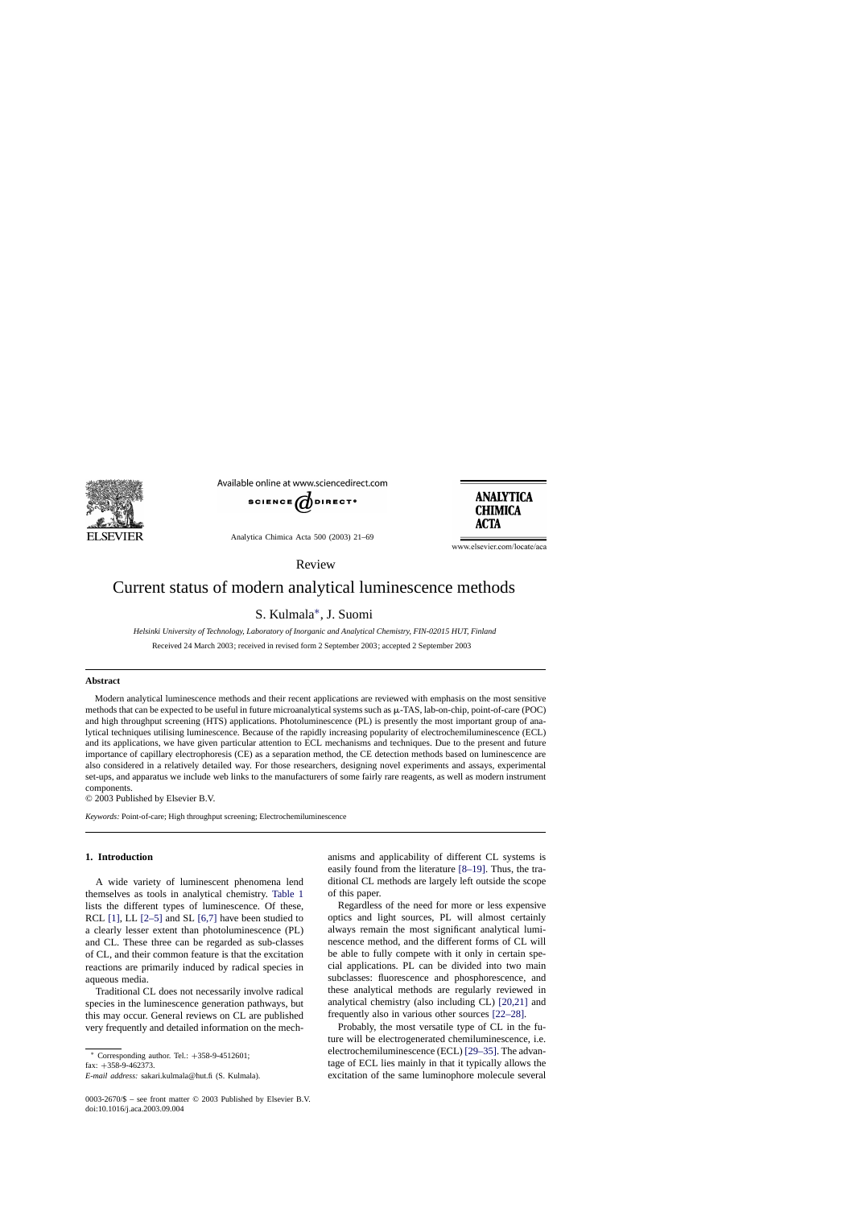

Available online at www.sciencedirect.com



Analytica Chimica Acta 500 (2003) 21–69



www.elsevier.com/locate/aca

Review

# Current status of modern analytical luminescence methods

S. Kulmala∗, J. Suomi

*Helsinki University of Technology, Laboratory of Inorganic and Analytical Chemistry, FIN-02015 HUT, Finland*

Received 24 March 2003; received in revised form 2 September 2003; accepted 2 September 2003

### **Abstract**

Modern analytical luminescence methods and their recent applications are reviewed with emphasis on the most sensitive methods that can be expected to be useful in future microanalytical systems such as  $\mu$ -TAS, lab-on-chip, point-of-care (POC) and high throughput screening (HTS) applications. Photoluminescence (PL) is presently the most important group of analytical techniques utilising luminescence. Because of the rapidly increasing popularity of electrochemiluminescence (ECL) and its applications, we have given particular attention to ECL mechanisms and techniques. Due to the present and future importance of capillary electrophoresis (CE) as a separation method, the CE detection methods based on luminescence are also considered in a relatively detailed way. For those researchers, designing novel experiments and assays, experimental set-ups, and apparatus we include web links to the manufacturers of some fairly rare reagents, as well as modern instrument components.

© 2003 Published by Elsevier B.V.

*Keywords:* Point-of-care; High throughput screening; Electrochemiluminescence

## **1. Introduction**

A wide variety of luminescent phenomena lend themselves as tools in analytical chemistry. [Table 1](#page-1-0) lists the different types of luminescence. Of these, RCL  $[1]$ , LL  $[2-5]$  and SL  $[6,7]$  have been studied to a clearly lesser extent than photoluminescence (PL) and CL. These three can be regarded as sub-classes of CL, and their common feature is that the excitation reactions are primarily induced by radical species in aqueous media.

Traditional CL does not necessarily involve radical species in the luminescence generation pathways, but this may occur. General reviews on CL are published very frequently and detailed information on the mech-

fax: +358-9-462373.

anisms and applicability of different CL systems is easily found from the literature [\[8–19\].](#page-40-0) Thus, the traditional CL methods are largely left outside the scope of this paper.

Regardless of the need for more or less expensive optics and light sources, PL will almost certainly always remain the most significant analytical luminescence method, and the different forms of CL will be able to fully compete with it only in certain special applications. PL can be divided into two main subclasses: fluorescence and phosphorescence, and these analytical methods are regularly reviewed in analytical chemistry (also including CL) [\[20,21\]](#page-41-0) and frequently also in various other sources [\[22–28\].](#page-41-0)

Probably, the most versatile type of CL in the future will be electrogenerated chemiluminescence, i.e. electrochemiluminescence (ECL) [\[29–35\]. T](#page-41-0)he advantage of ECL lies mainly in that it typically allows the excitation of the same luminophore molecule several

<sup>∗</sup> Corresponding author. Tel.: +358-9-4512601;

*E-mail address:* sakari.kulmala@hut.fi (S. Kulmala).

<sup>0003-2670/\$ –</sup> see front matter © 2003 Published by Elsevier B.V. doi:10.1016/j.aca.2003.09.004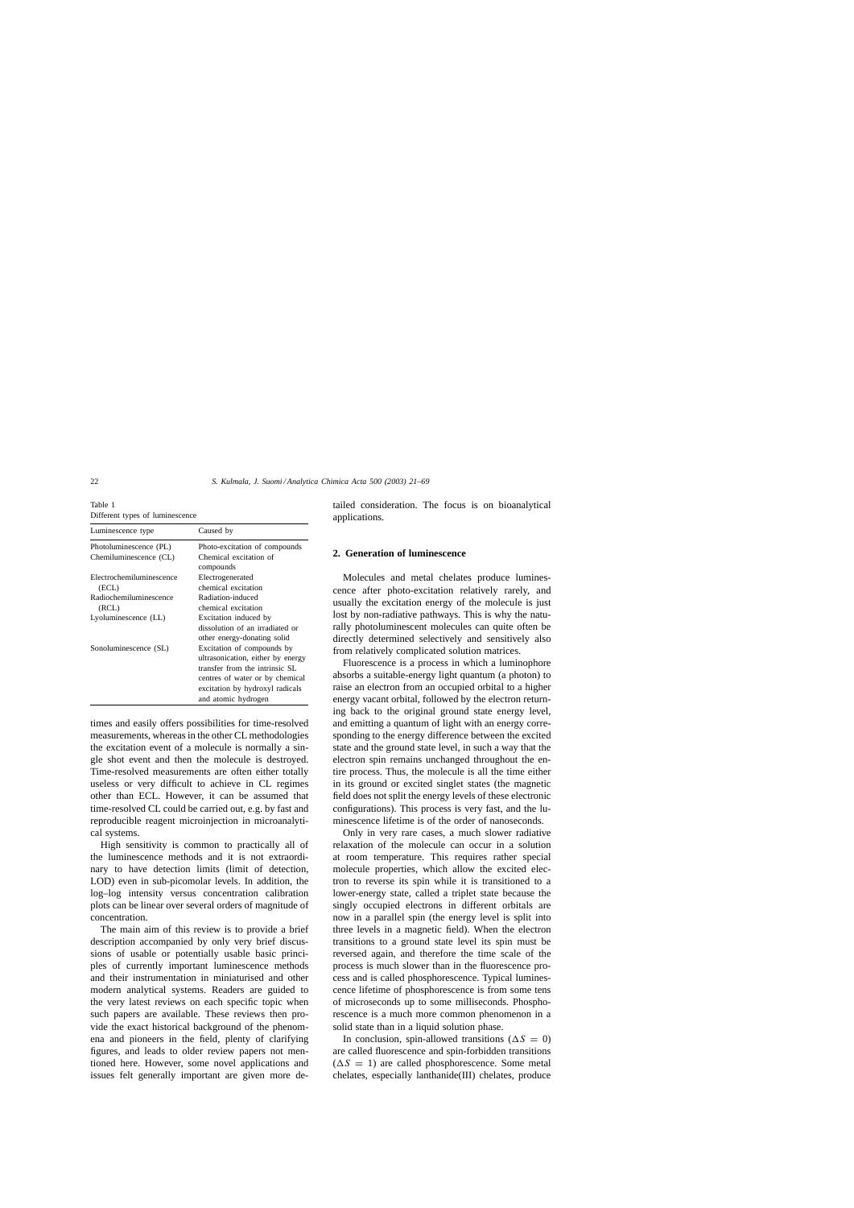<span id="page-1-0"></span>Table 1 Different types of luminescence

| Luminescence type        | Caused by                           |
|--------------------------|-------------------------------------|
| Photoluminescence (PL)   | Photo-excitation of compounds       |
| Chemiluminescence (CL)   | Chemical excitation of<br>compounds |
| Electrochemiluminescence | Electrogenerated                    |
| (ECL)                    | chemical excitation                 |
| Radiochemiluminescence   | Radiation-induced                   |
| (RCL)                    | chemical excitation                 |
| Lyoluminescence (LL)     | Excitation induced by               |
|                          | dissolution of an irradiated or     |
|                          | other energy-donating solid         |
| Sonoluminescence (SL)    | Excitation of compounds by          |
|                          | ultrasonication, either by energy   |
|                          | transfer from the intrinsic SL      |
|                          | centres of water or by chemical     |
|                          | excitation by hydroxyl radicals     |
|                          | and atomic hydrogen                 |

times and easily offers possibilities for time-resolved measurements, whereas in the other CL methodologies the excitation event of a molecule is normally a single shot event and then the molecule is destroyed. Time-resolved measurements are often either totally useless or very difficult to achieve in CL regimes other than ECL. However, it can be assumed that time-resolved CL could be carried out, e.g. by fast and reproducible reagent microinjection in microanalytical systems.

High sensitivity is common to practically all of the luminescence methods and it is not extraordinary to have detection limits (limit of detection, LOD) even in sub-picomolar levels. In addition, the log–log intensity versus concentration calibration plots can be linear over several orders of magnitude of concentration.

The main aim of this review is to provide a brief description accompanied by only very brief discussions of usable or potentially usable basic principles of currently important luminescence methods and their instrumentation in miniaturised and other modern analytical systems. Readers are guided to the very latest reviews on each specific topic when such papers are available. These reviews then provide the exact historical background of the phenomena and pioneers in the field, plenty of clarifying figures, and leads to older review papers not mentioned here. However, some novel applications and issues felt generally important are given more detailed consideration. The focus is on bioanalytical applications.

### **2. Generation of luminescence**

Molecules and metal chelates produce luminescence after photo-excitation relatively rarely, and usually the excitation energy of the molecule is just lost by non-radiative pathways. This is why the naturally photoluminescent molecules can quite often be directly determined selectively and sensitively also from relatively complicated solution matrices.

Fluorescence is a process in which a luminophore absorbs a suitable-energy light quantum (a photon) to raise an electron from an occupied orbital to a higher energy vacant orbital, followed by the electron returning back to the original ground state energy level, and emitting a quantum of light with an energy corresponding to the energy difference between the excited state and the ground state level, in such a way that the electron spin remains unchanged throughout the entire process. Thus, the molecule is all the time either in its ground or excited singlet states (the magnetic field does not split the energy levels of these electronic configurations). This process is very fast, and the luminescence lifetime is of the order of nanoseconds.

Only in very rare cases, a much slower radiative relaxation of the molecule can occur in a solution at room temperature. This requires rather special molecule properties, which allow the excited electron to reverse its spin while it is transitioned to a lower-energy state, called a triplet state because the singly occupied electrons in different orbitals are now in a parallel spin (the energy level is split into three levels in a magnetic field). When the electron transitions to a ground state level its spin must be reversed again, and therefore the time scale of the process is much slower than in the fluorescence process and is called phosphorescence. Typical luminescence lifetime of phosphorescence is from some tens of microseconds up to some milliseconds. Phosphorescence is a much more common phenomenon in a solid state than in a liquid solution phase.

In conclusion, spin-allowed transitions ( $\Delta S = 0$ ) are called fluorescence and spin-forbidden transitions  $(\Delta S = 1)$  are called phosphorescence. Some metal chelates, especially lanthanide(III) chelates, produce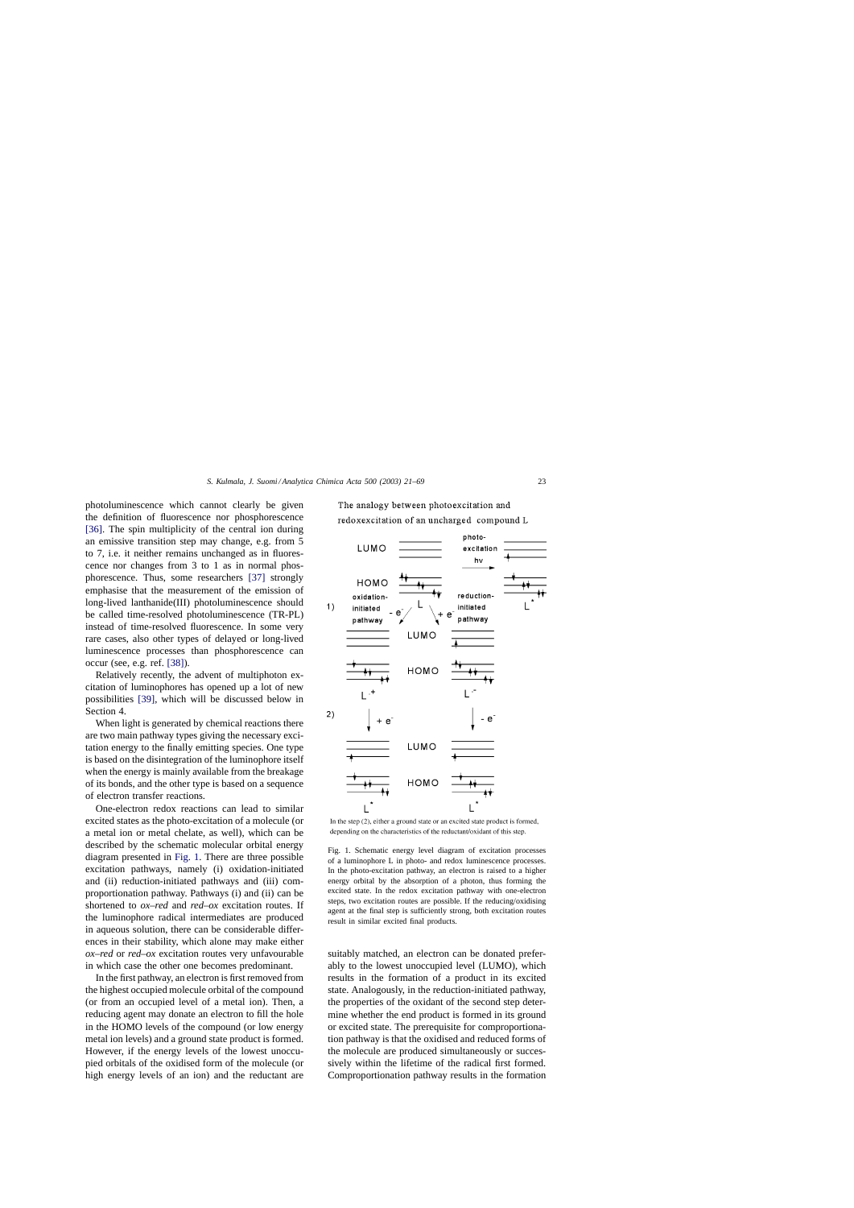<span id="page-2-0"></span>photoluminescence which cannot clearly be given the definition of fluorescence nor phosphorescence [\[36\].](#page-41-0) The spin multiplicity of the central ion during an emissive transition step may change, e.g. from 5 to 7, i.e. it neither remains unchanged as in fluorescence nor changes from 3 to 1 as in normal phosphorescence. Thus, some researchers [\[37\]](#page-41-0) strongly emphasise that the measurement of the emission of long-lived lanthanide(III) photoluminescence should be called time-resolved photoluminescence (TR-PL) instead of time-resolved fluorescence. In some very rare cases, also other types of delayed or long-lived luminescence processes than phosphorescence can occur (see, e.g. ref. [\[38\]\).](#page-41-0)

Relatively recently, the advent of multiphoton excitation of luminophores has opened up a lot of new possibilities [\[39\],](#page-41-0) which will be discussed below in Section 4.

When light is generated by chemical reactions there are two main pathway types giving the necessary excitation energy to the finally emitting species. One type is based on the disintegration of the luminophore itself when the energy is mainly available from the breakage of its bonds, and the other type is based on a sequence of electron transfer reactions.

One-electron redox reactions can lead to similar excited states as the photo-excitation of a molecule (or a metal ion or metal chelate, as well), which can be described by the schematic molecular orbital energy diagram presented in Fig. 1. There are three possible excitation pathways, namely (i) oxidation-initiated and (ii) reduction-initiated pathways and (iii) comproportionation pathway. Pathways (i) and (ii) can be shortened to *ox–red* and *red–ox* excitation routes. If the luminophore radical intermediates are produced in aqueous solution, there can be considerable differences in their stability, which alone may make either *ox–red* or *red–ox* excitation routes very unfavourable in which case the other one becomes predominant.

In the first pathway, an electron is first removed from the highest occupied molecule orbital of the compound (or from an occupied level of a metal ion). Then, a reducing agent may donate an electron to fill the hole in the HOMO levels of the compound (or low energy metal ion levels) and a ground state product is formed. However, if the energy levels of the lowest unoccupied orbitals of the oxidised form of the molecule (or high energy levels of an ion) and the reductant are

The analogy between photoexcitation and redoxexcitation of an uncharged compound L



In the step (2), either a ground state or an excited state product is formed, depending on the characteristics of the reductant/oxidant of this step.

Fig. 1. Schematic energy level diagram of excitation processes of a luminophore L in photo- and redox luminescence processes. In the photo-excitation pathway, an electron is raised to a higher energy orbital by the absorption of a photon, thus forming the excited state. In the redox excitation pathway with one-electron steps, two excitation routes are possible. If the reducing/oxidising agent at the final step is sufficiently strong, both excitation routes result in similar excited final products.

suitably matched, an electron can be donated preferably to the lowest unoccupied level (LUMO), which results in the formation of a product in its excited state. Analogously, in the reduction-initiated pathway, the properties of the oxidant of the second step determine whether the end product is formed in its ground or excited state. The prerequisite for comproportionation pathway is that the oxidised and reduced forms of the molecule are produced simultaneously or successively within the lifetime of the radical first formed. Comproportionation pathway results in the formation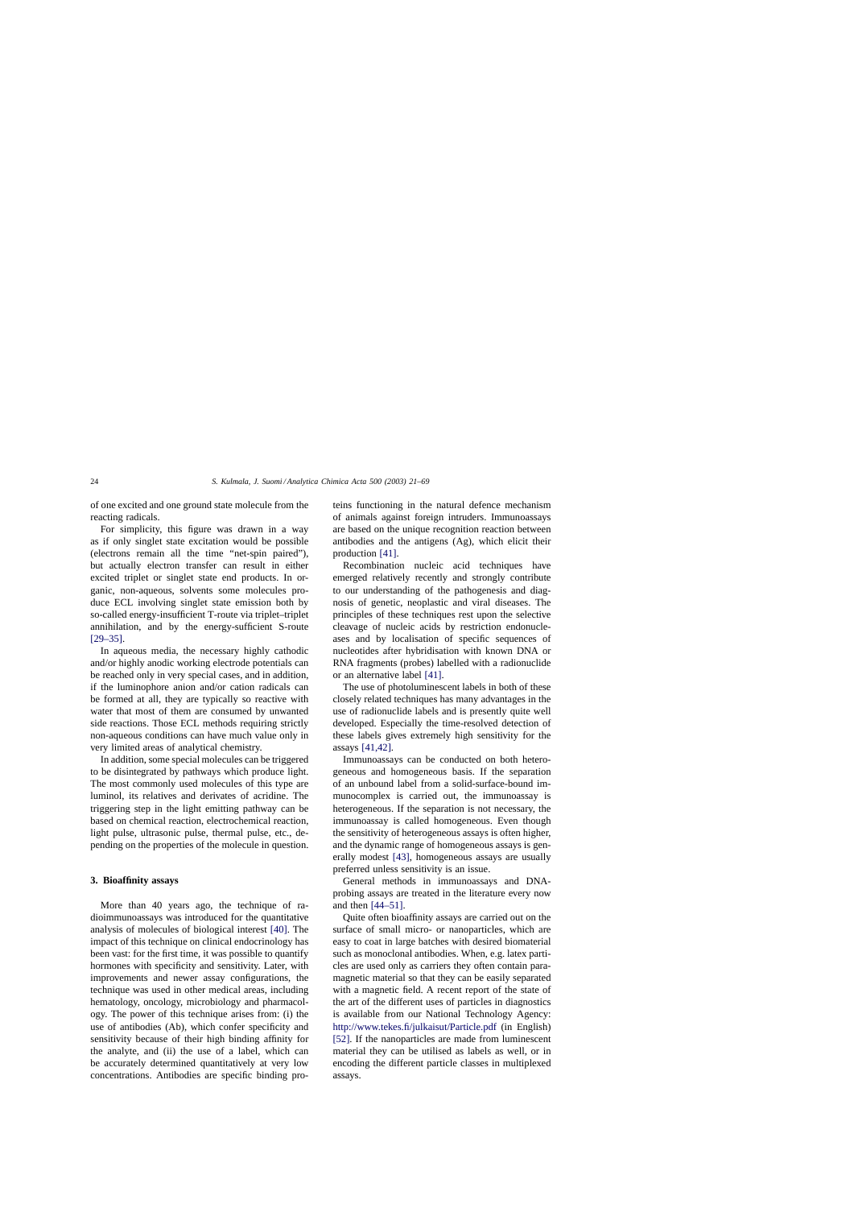of one excited and one ground state molecule from the reacting radicals.

For simplicity, this figure was drawn in a way as if only singlet state excitation would be possible (electrons remain all the time "net-spin paired"), but actually electron transfer can result in either excited triplet or singlet state end products. In organic, non-aqueous, solvents some molecules produce ECL involving singlet state emission both by so-called energy-insufficient T-route via triplet–triplet annihilation, and by the energy-sufficient S-route [\[29–35\].](#page-41-0)

In aqueous media, the necessary highly cathodic and/or highly anodic working electrode potentials can be reached only in very special cases, and in addition, if the luminophore anion and/or cation radicals can be formed at all, they are typically so reactive with water that most of them are consumed by unwanted side reactions. Those ECL methods requiring strictly non-aqueous conditions can have much value only in very limited areas of analytical chemistry.

In addition, some special molecules can be triggered to be disintegrated by pathways which produce light. The most commonly used molecules of this type are luminol, its relatives and derivates of acridine. The triggering step in the light emitting pathway can be based on chemical reaction, electrochemical reaction, light pulse, ultrasonic pulse, thermal pulse, etc., depending on the properties of the molecule in question.

# **3. Bioaffinity assays**

More than 40 years ago, the technique of radioimmunoassays was introduced for the quantitative analysis of molecules of biological interest [\[40\].](#page-41-0) The impact of this technique on clinical endocrinology has been vast: for the first time, it was possible to quantify hormones with specificity and sensitivity. Later, with improvements and newer assay configurations, the technique was used in other medical areas, including hematology, oncology, microbiology and pharmacology. The power of this technique arises from: (i) the use of antibodies (Ab), which confer specificity and sensitivity because of their high binding affinity for the analyte, and (ii) the use of a label, which can be accurately determined quantitatively at very low concentrations. Antibodies are specific binding proteins functioning in the natural defence mechanism of animals against foreign intruders. Immunoassays are based on the unique recognition reaction between antibodies and the antigens (Ag), which elicit their production [\[41\].](#page-41-0)

Recombination nucleic acid techniques have emerged relatively recently and strongly contribute to our understanding of the pathogenesis and diagnosis of genetic, neoplastic and viral diseases. The principles of these techniques rest upon the selective cleavage of nucleic acids by restriction endonucleases and by localisation of specific sequences of nucleotides after hybridisation with known DNA or RNA fragments (probes) labelled with a radionuclide or an alternative label [\[41\].](#page-41-0)

The use of photoluminescent labels in both of these closely related techniques has many advantages in the use of radionuclide labels and is presently quite well developed. Especially the time-resolved detection of these labels gives extremely high sensitivity for the assays [\[41,42\].](#page-41-0)

Immunoassays can be conducted on both heterogeneous and homogeneous basis. If the separation of an unbound label from a solid-surface-bound immunocomplex is carried out, the immunoassay is heterogeneous. If the separation is not necessary, the immunoassay is called homogeneous. Even though the sensitivity of heterogeneous assays is often higher, and the dynamic range of homogeneous assays is generally modest [\[43\],](#page-41-0) homogeneous assays are usually preferred unless sensitivity is an issue.

General methods in immunoassays and DNAprobing assays are treated in the literature every now and then [\[44–51\].](#page-41-0)

Quite often bioaffinity assays are carried out on the surface of small micro- or nanoparticles, which are easy to coat in large batches with desired biomaterial such as monoclonal antibodies. When, e.g. latex particles are used only as carriers they often contain paramagnetic material so that they can be easily separated with a magnetic field. A recent report of the state of the art of the different uses of particles in diagnostics is available from our National Technology Agency: <http://www.tekes.fi/julkaisut/Particle.pdf> (in English) [\[52\].](#page-41-0) If the nanoparticles are made from luminescent material they can be utilised as labels as well, or in encoding the different particle classes in multiplexed assays.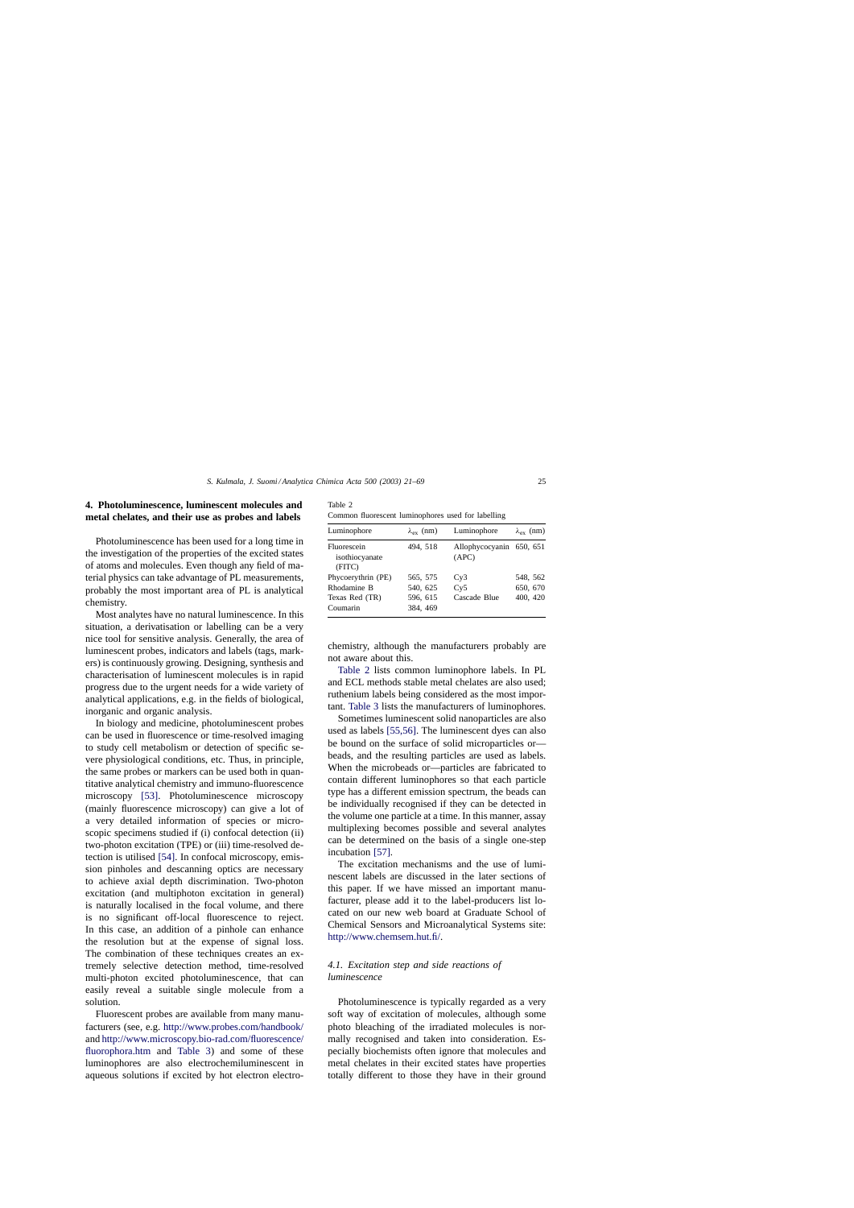# **4. Photoluminescence, luminescent molecules and metal chelates, and their use as probes and labels**

Photoluminescence has been used for a long time in the investigation of the properties of the excited states of atoms and molecules. Even though any field of material physics can take advantage of PL measurements, probably the most important area of PL is analytical chemistry.

Most analytes have no natural luminescence. In this situation, a derivatisation or labelling can be a very nice tool for sensitive analysis. Generally, the area of luminescent probes, indicators and labels (tags, markers) is continuously growing. Designing, synthesis and characterisation of luminescent molecules is in rapid progress due to the urgent needs for a wide variety of analytical applications, e.g. in the fields of biological, inorganic and organic analysis.

In biology and medicine, photoluminescent probes can be used in fluorescence or time-resolved imaging to study cell metabolism or detection of specific severe physiological conditions, etc. Thus, in principle, the same probes or markers can be used both in quantitative analytical chemistry and immuno-fluorescence microscopy [\[53\].](#page-41-0) Photoluminescence microscopy (mainly fluorescence microscopy) can give a lot of a very detailed information of species or microscopic specimens studied if (i) confocal detection (ii) two-photon excitation (TPE) or (iii) time-resolved detection is utilised [\[54\]. I](#page-41-0)n confocal microscopy, emission pinholes and descanning optics are necessary to achieve axial depth discrimination. Two-photon excitation (and multiphoton excitation in general) is naturally localised in the focal volume, and there is no significant off-local fluorescence to reject. In this case, an addition of a pinhole can enhance the resolution but at the expense of signal loss. The combination of these techniques creates an extremely selective detection method, time-resolved multi-photon excited photoluminescence, that can easily reveal a suitable single molecule from a solution.

Fluorescent probes are available from many manufacturers (see, e.g. <http://www.probes.com/handbook/> and [http://www.microscopy.bio-rad.com/fluorescence/](http://www.microscopy.bio-rad.com/fluorescence/fluorophora.htm) [fluorophora.htm](http://www.microscopy.bio-rad.com/fluorescence/fluorophora.htm) and [Table 3\)](#page-5-0) and some of these luminophores are also electrochemiluminescent in aqueous solutions if excited by hot electron electro-

Table 2 Common fluorescent luminophores used for labelling

| Luminophore                             | $\lambda_{\text{ev}}$ (nm) | Luminophore                       | $\lambda_{\rm ev}$ (nm) |
|-----------------------------------------|----------------------------|-----------------------------------|-------------------------|
| Fluorescein<br>isothiocyanate<br>(FITC) | 494, 518                   | Allophycocyanin 650, 651<br>(APC) |                         |
| Phycoerythrin (PE)                      | 565, 575                   | Cv3                               | 548, 562                |
| Rhodamine B                             | 540, 625                   | Cv5                               | 650, 670                |
| Texas Red (TR)<br>Coumarin              | 596, 615<br>384, 469       | Cascade Blue                      | 400, 420                |

chemistry, although the manufacturers probably are not aware about this.

Table 2 lists common luminophore labels. In PL and ECL methods stable metal chelates are also used; ruthenium labels being considered as the most important. [Table 3](#page-5-0) lists the manufacturers of luminophores.

Sometimes luminescent solid nanoparticles are also used as labels [\[55,56\]. T](#page-41-0)he luminescent dyes can also be bound on the surface of solid microparticles or beads, and the resulting particles are used as labels. When the microbeads or—particles are fabricated to contain different luminophores so that each particle type has a different emission spectrum, the beads can be individually recognised if they can be detected in the volume one particle at a time. In this manner, assay multiplexing becomes possible and several analytes can be determined on the basis of a single one-step incubation [\[57\].](#page-41-0)

The excitation mechanisms and the use of luminescent labels are discussed in the later sections of this paper. If we have missed an important manufacturer, please add it to the label-producers list located on our new web board at Graduate School of Chemical Sensors and Microanalytical Systems site: <http://www.chemsem.hut.fi/>.

# *4.1. Excitation step and side reactions of luminescence*

Photoluminescence is typically regarded as a very soft way of excitation of molecules, although some photo bleaching of the irradiated molecules is normally recognised and taken into consideration. Especially biochemists often ignore that molecules and metal chelates in their excited states have properties totally different to those they have in their ground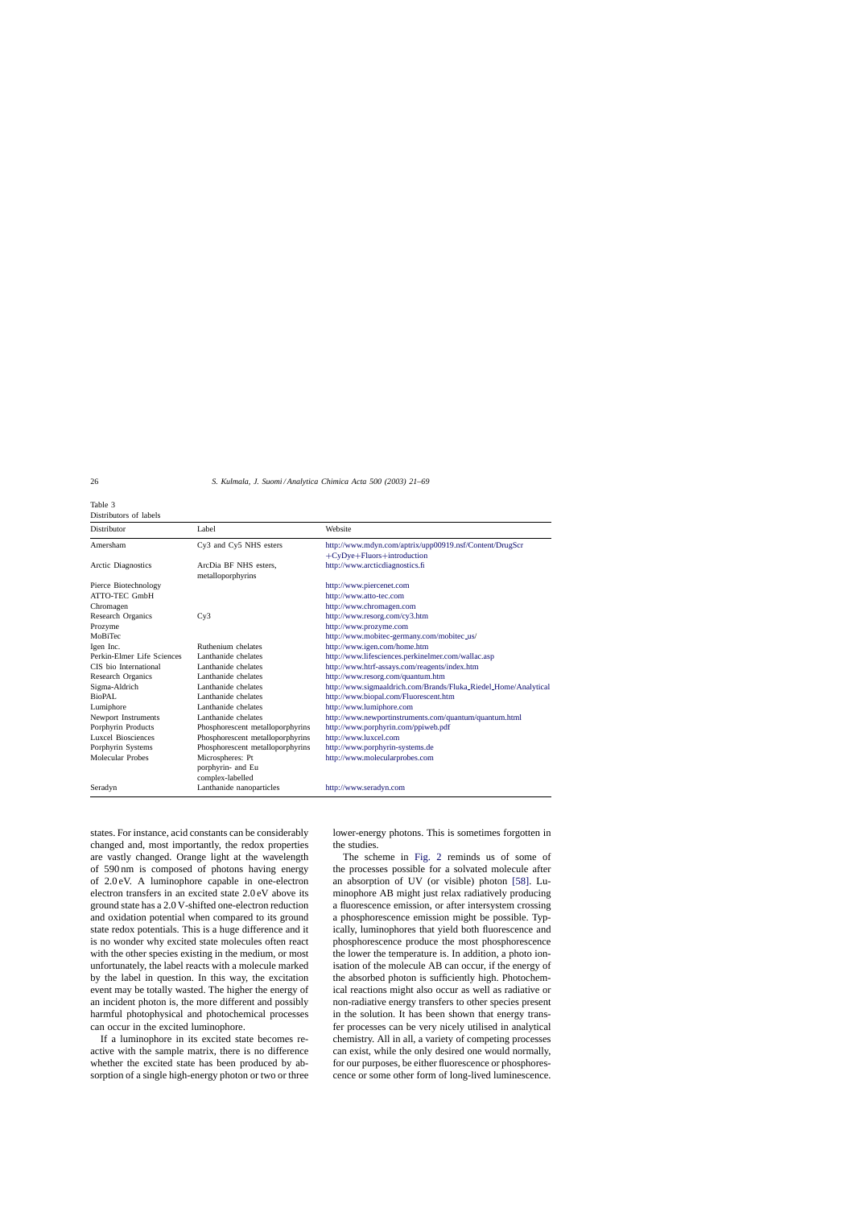<span id="page-5-0"></span>

| Table 3 |  |  |
|---------|--|--|

Distributors of labels

| Distributor                | Label                                      | Website                                                         |
|----------------------------|--------------------------------------------|-----------------------------------------------------------------|
| Amersham                   | Cy3 and Cy5 NHS esters                     | http://www.mdyn.com/aptrix/upp00919.nsf/Content/DrugScr         |
|                            |                                            | +CyDye+Fluors+introduction                                      |
| <b>Arctic Diagnostics</b>  | ArcDia BF NHS esters,<br>metalloporphyrins | http://www.arcticdiagnostics.fi                                 |
| Pierce Biotechnology       |                                            | http://www.piercenet.com                                        |
| ATTO-TEC GmbH              |                                            | http://www.atto-tec.com                                         |
| Chromagen                  |                                            | http://www.chromagen.com                                        |
| Research Organics          | Cy3                                        | http://www.resorg.com/cy3.htm                                   |
| Prozyme                    |                                            | http://www.prozyme.com                                          |
| MoBiTec                    |                                            | http://www.mobitec-germany.com/mobitec_us/                      |
| Igen Inc.                  | Ruthenium chelates                         | http://www.igen.com/home.htm                                    |
| Perkin-Elmer Life Sciences | Lanthanide chelates                        | http://www.lifesciences.perkinelmer.com/wallac.asp              |
| CIS bio International      | Lanthanide chelates                        | http://www.htrf-assays.com/reagents/index.htm                   |
| Research Organics          | Lanthanide chelates                        | http://www.resorg.com/quantum.htm                               |
| Sigma-Aldrich              | Lanthanide chelates                        | http://www.sigmaaldrich.com/Brands/Fluka_Riedel_Home/Analytical |
| <b>BioPAL</b>              | Lanthanide chelates                        | http://www.biopal.com/Fluorescent.htm                           |
| Lumiphore                  | Lanthanide chelates                        | http://www.lumiphore.com                                        |
| Newport Instruments        | Lanthanide chelates                        | http://www.newportinstruments.com/quantum/quantum.html          |
| Porphyrin Products         | Phosphorescent metalloporphyrins           | http://www.porphyrin.com/ppiweb.pdf                             |
| Luxcel Biosciences         | Phosphorescent metalloporphyrins           | http://www.luxcel.com                                           |
| Porphyrin Systems          | Phosphorescent metalloporphyrins           | http://www.porphyrin-systems.de                                 |
| Molecular Probes           | Microspheres: Pt<br>porphyrin- and Eu      | http://www.molecularprobes.com                                  |
|                            | complex-labelled                           |                                                                 |
| Seradyn                    | Lanthanide nanoparticles                   | http://www.seradyn.com                                          |

states. For instance, acid constants can be considerably changed and, most importantly, the redox properties are vastly changed. Orange light at the wavelength of 590 nm is composed of photons having energy of 2.0 eV. A luminophore capable in one-electron electron transfers in an excited state 2.0 eV above its ground state has a 2.0 V-shifted one-electron reduction and oxidation potential when compared to its ground state redox potentials. This is a huge difference and it is no wonder why excited state molecules often react with the other species existing in the medium, or most unfortunately, the label reacts with a molecule marked by the label in question. In this way, the excitation event may be totally wasted. The higher the energy of an incident photon is, the more different and possibly harmful photophysical and photochemical processes can occur in the excited luminophore.

If a luminophore in its excited state becomes reactive with the sample matrix, there is no difference whether the excited state has been produced by absorption of a single high-energy photon or two or three lower-energy photons. This is sometimes forgotten in the studies.

The scheme in [Fig. 2](#page-6-0) reminds us of some of the processes possible for a solvated molecule after an absorption of UV (or visible) photon [\[58\].](#page-41-0) Luminophore AB might just relax radiatively producing a fluorescence emission, or after intersystem crossing a phosphorescence emission might be possible. Typically, luminophores that yield both fluorescence and phosphorescence produce the most phosphorescence the lower the temperature is. In addition, a photo ionisation of the molecule AB can occur, if the energy of the absorbed photon is sufficiently high. Photochemical reactions might also occur as well as radiative or non-radiative energy transfers to other species present in the solution. It has been shown that energy transfer processes can be very nicely utilised in analytical chemistry. All in all, a variety of competing processes can exist, while the only desired one would normally, for our purposes, be either fluorescence or phosphorescence or some other form of long-lived luminescence.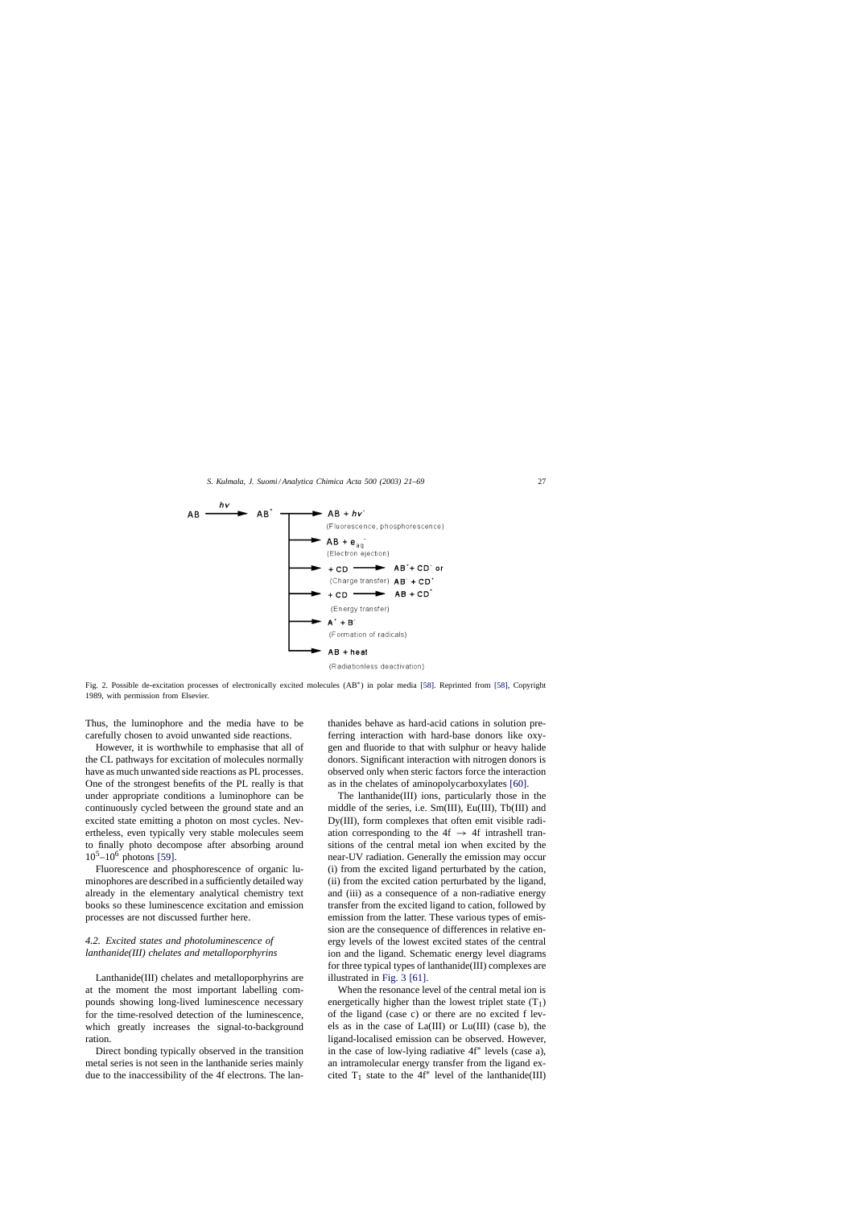<span id="page-6-0"></span>

Fig. 2. Possible de-excitation processes of electronically excited molecules (AB∗) in polar media [\[58\].](#page-41-0) Reprinted from [\[58\],](#page-41-0) Copyright 1989, with permission from Elsevier.

Thus, the luminophore and the media have to be carefully chosen to avoid unwanted side reactions.

However, it is worthwhile to emphasise that all of the CL pathways for excitation of molecules normally have as much unwanted side reactions as PL processes. One of the strongest benefits of the PL really is that under appropriate conditions a luminophore can be continuously cycled between the ground state and an excited state emitting a photon on most cycles. Nevertheless, even typically very stable molecules seem to finally photo decompose after absorbing around  $10^5 - 10^6$  photons [\[59\].](#page-41-0)

Fluorescence and phosphorescence of organic luminophores are described in a sufficiently detailed way already in the elementary analytical chemistry text books so these luminescence excitation and emission processes are not discussed further here.

# *4.2. Excited states and photoluminescence of lanthanide(III) chelates and metalloporphyrins*

Lanthanide(III) chelates and metalloporphyrins are at the moment the most important labelling compounds showing long-lived luminescence necessary for the time-resolved detection of the luminescence, which greatly increases the signal-to-background ration.

Direct bonding typically observed in the transition metal series is not seen in the lanthanide series mainly due to the inaccessibility of the 4f electrons. The lanthanides behave as hard-acid cations in solution preferring interaction with hard-base donors like oxygen and fluoride to that with sulphur or heavy halide donors. Significant interaction with nitrogen donors is observed only when steric factors force the interaction as in the chelates of aminopolycarboxylates [\[60\].](#page-41-0)

The lanthanide(III) ions, particularly those in the middle of the series, i.e. Sm(III), Eu(III), Tb(III) and Dy(III), form complexes that often emit visible radiation corresponding to the  $4f \rightarrow 4f$  intrashell transitions of the central metal ion when excited by the near-UV radiation. Generally the emission may occur (i) from the excited ligand perturbated by the cation, (ii) from the excited cation perturbated by the ligand, and (iii) as a consequence of a non-radiative energy transfer from the excited ligand to cation, followed by emission from the latter. These various types of emission are the consequence of differences in relative energy levels of the lowest excited states of the central ion and the ligand. Schematic energy level diagrams for three typical types of lanthanide(III) complexes are illustrated in [Fig. 3](#page-7-0) [\[61\].](#page-41-0)

When the resonance level of the central metal ion is energetically higher than the lowest triplet state  $(T_1)$ of the ligand (case c) or there are no excited f levels as in the case of La(III) or Lu(III) (case b), the ligand-localised emission can be observed. However, in the case of low-lying radiative 4f∗ levels (case a), an intramolecular energy transfer from the ligand excited  $T_1$  state to the 4f<sup>\*</sup> level of the lanthanide(III)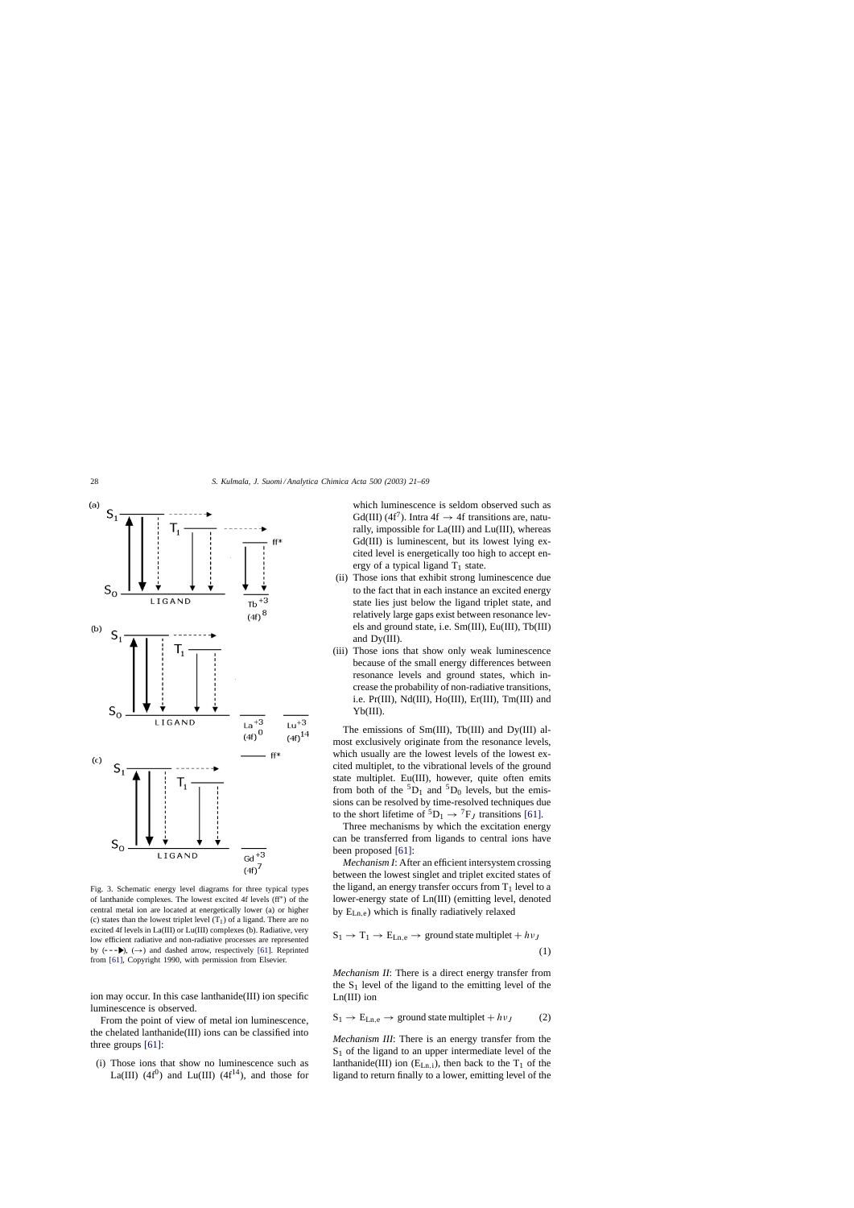<span id="page-7-0"></span>

Fig. 3. Schematic energy level diagrams for three typical types of lanthanide complexes. The lowest excited 4f levels (ff∗) of the central metal ion are located at energetically lower (a) or higher (c) states than the lowest triplet level  $(T_1)$  of a ligand. There are no excited 4f levels in La(III) or Lu(III) complexes (b). Radiative, very low efficient radiative and non-radiative processes are represented by  $(- - \rightarrow)$ ,  $(\rightarrow)$  and dashed arrow, respectively [\[61\].](#page-41-0) Reprinted from [\[61\], C](#page-41-0)opyright 1990, with permission from Elsevier.

ion may occur. In this case lanthanide(III) ion specific luminescence is observed.

From the point of view of metal ion luminescence, the chelated lanthanide(III) ions can be classified into three groups [\[61\]:](#page-41-0)

(i) Those ions that show no luminescence such as La(III)  $(4f^0)$  and Lu(III)  $(4f^{14})$ , and those for

which luminescence is seldom observed such as Gd(III) (4f<sup>7</sup>). Intra 4f  $\rightarrow$  4f transitions are, naturally, impossible for La(III) and Lu(III), whereas Gd(III) is luminescent, but its lowest lying excited level is energetically too high to accept energy of a typical ligand  $T_1$  state.

- (ii) Those ions that exhibit strong luminescence due to the fact that in each instance an excited energy state lies just below the ligand triplet state, and relatively large gaps exist between resonance levels and ground state, i.e. Sm(III), Eu(III), Tb(III) and Dy(III).
- (iii) Those ions that show only weak luminescence because of the small energy differences between resonance levels and ground states, which increase the probability of non-radiative transitions, i.e. Pr(III), Nd(III), Ho(III), Er(III), Tm(III) and Yb(III).

The emissions of Sm(III), Tb(III) and Dy(III) almost exclusively originate from the resonance levels, which usually are the lowest levels of the lowest excited multiplet, to the vibrational levels of the ground state multiplet. Eu(III), however, quite often emits from both of the  ${}^{5}D_1$  and  ${}^{5}D_0$  levels, but the emissions can be resolved by time-resolved techniques due to the short lifetime of  ${}^{5}D_1 \rightarrow {}^{7}F_J$  transitions [\[61\].](#page-41-0)

Three mechanisms by which the excitation energy can be transferred from ligands to central ions have been proposed [\[61\]:](#page-41-0)

*Mechanism I*: After an efficient intersystem crossing between the lowest singlet and triplet excited states of the ligand, an energy transfer occurs from  $T_1$  level to a lower-energy state of Ln(III) (emitting level, denoted by  $E_{\text{Ln,e}}$ ) which is finally radiatively relaxed

$$
S_1 \rightarrow T_1 \rightarrow E_{Ln,e} \rightarrow \text{ground state multiplet} + h\nu_J
$$
 (1)

*Mechanism II*: There is a direct energy transfer from the  $S_1$  level of the ligand to the emitting level of the  $Ln(III)$  ion

$$
S_1 \to E_{Ln,e} \to \text{ground state multiplet} + h\nu_J \tag{2}
$$

*Mechanism III*: There is an energy transfer from the  $S_1$  of the ligand to an upper intermediate level of the lanthanide(III) ion  $(E_{Ln,i})$ , then back to the T<sub>1</sub> of the ligand to return finally to a lower, emitting level of the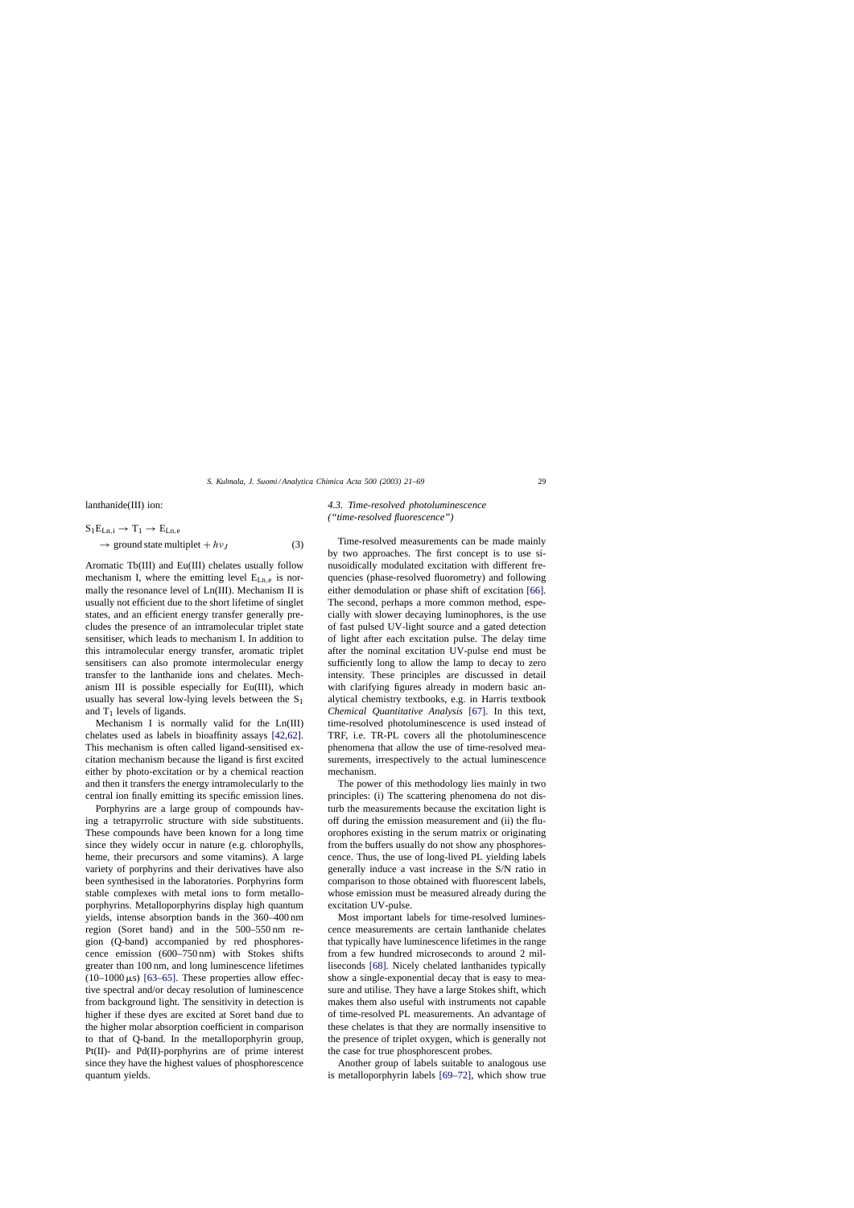lanthanide(III) ion:

$$
S_1E_{Ln,i} \to T_1 \to E_{Ln,e}
$$
  
\n
$$
\to \text{ground state multiplet} + h\nu_J
$$
 (3)

Aromatic Tb(III) and Eu(III) chelates usually follow mechanism I, where the emitting level  $E_{Ln,e}$  is normally the resonance level of Ln(III). Mechanism II is usually not efficient due to the short lifetime of singlet states, and an efficient energy transfer generally precludes the presence of an intramolecular triplet state sensitiser, which leads to mechanism I. In addition to this intramolecular energy transfer, aromatic triplet sensitisers can also promote intermolecular energy transfer to the lanthanide ions and chelates. Mechanism III is possible especially for Eu(III), which usually has several low-lying levels between the  $S_1$ and  $T_1$  levels of ligands.

Mechanism I is normally valid for the Ln(III) chelates used as labels in bioaffinity assays [\[42,62\].](#page-41-0) This mechanism is often called ligand-sensitised excitation mechanism because the ligand is first excited either by photo-excitation or by a chemical reaction and then it transfers the energy intramolecularly to the central ion finally emitting its specific emission lines.

Porphyrins are a large group of compounds having a tetrapyrrolic structure with side substituents. These compounds have been known for a long time since they widely occur in nature (e.g. chlorophylls, heme, their precursors and some vitamins). A large variety of porphyrins and their derivatives have also been synthesised in the laboratories. Porphyrins form stable complexes with metal ions to form metalloporphyrins. Metalloporphyrins display high quantum yields, intense absorption bands in the 360–400 nm region (Soret band) and in the 500–550 nm region (Q-band) accompanied by red phosphorescence emission (600–750 nm) with Stokes shifts greater than 100 nm, and long luminescence lifetimes  $(10-1000 \,\mu s)$  [\[63–65\].](#page-41-0) These properties allow effective spectral and/or decay resolution of luminescence from background light. The sensitivity in detection is higher if these dyes are excited at Soret band due to the higher molar absorption coefficient in comparison to that of Q-band. In the metalloporphyrin group, Pt(II)- and Pd(II)-porphyrins are of prime interest since they have the highest values of phosphorescence quantum yields.

# *4.3. Time-resolved photoluminescence ("time-resolved fluorescence")*

Time-resolved measurements can be made mainly by two approaches. The first concept is to use sinusoidically modulated excitation with different frequencies (phase-resolved fluorometry) and following either demodulation or phase shift of excitation [\[66\].](#page-41-0) The second, perhaps a more common method, especially with slower decaying luminophores, is the use of fast pulsed UV-light source and a gated detection of light after each excitation pulse. The delay time after the nominal excitation UV-pulse end must be sufficiently long to allow the lamp to decay to zero intensity. These principles are discussed in detail with clarifying figures already in modern basic analytical chemistry textbooks, e.g. in Harris textbook *Chemical Quantitative Analysis* [\[67\].](#page-41-0) In this text, time-resolved photoluminescence is used instead of TRF, i.e. TR-PL covers all the photoluminescence phenomena that allow the use of time-resolved measurements, irrespectively to the actual luminescence mechanism.

The power of this methodology lies mainly in two principles: (i) The scattering phenomena do not disturb the measurements because the excitation light is off during the emission measurement and (ii) the fluorophores existing in the serum matrix or originating from the buffers usually do not show any phosphorescence. Thus, the use of long-lived PL yielding labels generally induce a vast increase in the S/N ratio in comparison to those obtained with fluorescent labels, whose emission must be measured already during the excitation UV-pulse.

Most important labels for time-resolved luminescence measurements are certain lanthanide chelates that typically have luminescence lifetimes in the range from a few hundred microseconds to around 2 milliseconds [\[68\].](#page-42-0) Nicely chelated lanthanides typically show a single-exponential decay that is easy to measure and utilise. They have a large Stokes shift, which makes them also useful with instruments not capable of time-resolved PL measurements. An advantage of these chelates is that they are normally insensitive to the presence of triplet oxygen, which is generally not the case for true phosphorescent probes.

Another group of labels suitable to analogous use is metalloporphyrin labels [\[69–72\],](#page-42-0) which show true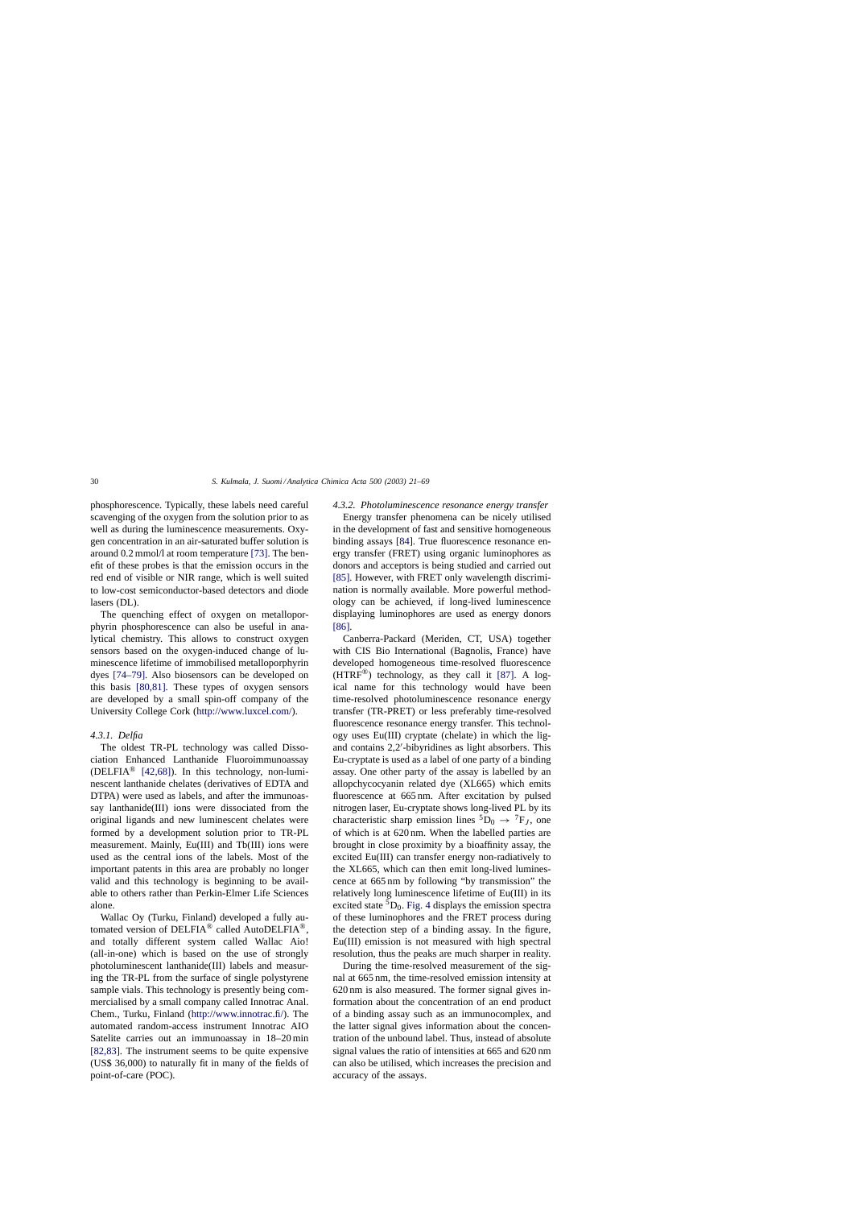phosphorescence. Typically, these labels need careful scavenging of the oxygen from the solution prior to as well as during the luminescence measurements. Oxygen concentration in an air-saturated buffer solution is around 0.2 mmol/l at room temperature [\[73\]. T](#page-42-0)he benefit of these probes is that the emission occurs in the red end of visible or NIR range, which is well suited to low-cost semiconductor-based detectors and diode lasers (DL).

The quenching effect of oxygen on metalloporphyrin phosphorescence can also be useful in analytical chemistry. This allows to construct oxygen sensors based on the oxygen-induced change of luminescence lifetime of immobilised metalloporphyrin dyes [\[74–79\].](#page-42-0) Also biosensors can be developed on this basis [\[80,81\].](#page-42-0) These types of oxygen sensors are developed by a small spin-off company of the University College Cork ([http://www.luxcel.com/\)](http://www.luxcel.com/).

#### *4.3.1. Delfia*

The oldest TR-PL technology was called Dissociation Enhanced Lanthanide Fluoroimmunoassay (DELFIA<sup>®</sup> [\[42,68\]\).](#page-41-0) In this technology, non-luminescent lanthanide chelates (derivatives of EDTA and DTPA) were used as labels, and after the immunoassay lanthanide(III) ions were dissociated from the original ligands and new luminescent chelates were formed by a development solution prior to TR-PL measurement. Mainly, Eu(III) and Tb(III) ions were used as the central ions of the labels. Most of the important patents in this area are probably no longer valid and this technology is beginning to be available to others rather than Perkin-Elmer Life Sciences alone.

Wallac Oy (Turku, Finland) developed a fully automated version of DELFIA® called AutoDELFIA®, and totally different system called Wallac Aio! (all-in-one) which is based on the use of strongly photoluminescent lanthanide(III) labels and measuring the TR-PL from the surface of single polystyrene sample vials. This technology is presently being commercialised by a small company called Innotrac Anal. Chem., Turku, Finland ([http://www.innotrac.fi/\)](http://www.innotrac.fi/). The automated random-access instrument Innotrac AIO Satelite carries out an immunoassay in 18–20 min [\[82,83\].](#page-42-0) The instrument seems to be quite expensive (US\$ 36,000) to naturally fit in many of the fields of point-of-care (POC).

#### *4.3.2. Photoluminescence resonance energy transfer*

Energy transfer phenomena can be nicely utilised in the development of fast and sensitive homogeneous binding assays [\[84\].](#page-42-0) True fluorescence resonance energy transfer (FRET) using organic luminophores as donors and acceptors is being studied and carried out [\[85\].](#page-42-0) However, with FRET only wavelength discrimination is normally available. More powerful methodology can be achieved, if long-lived luminescence displaying luminophores are used as energy donors [\[86\].](#page-42-0)

Canberra-Packard (Meriden, CT, USA) together with CIS Bio International (Bagnolis, France) have developed homogeneous time-resolved fluorescence  $(HTRF^@)$  technology, as they call it [\[87\].](#page-42-0) A logical name for this technology would have been time-resolved photoluminescence resonance energy transfer (TR-PRET) or less preferably time-resolved fluorescence resonance energy transfer. This technology uses Eu(III) cryptate (chelate) in which the ligand contains 2,2 -bibyridines as light absorbers. This Eu-cryptate is used as a label of one party of a binding assay. One other party of the assay is labelled by an allopchycocyanin related dye (XL665) which emits fluorescence at 665 nm. After excitation by pulsed nitrogen laser, Eu-cryptate shows long-lived PL by its characteristic sharp emission lines  ${}^5D_0 \rightarrow {}^7F_J$ , one of which is at 620 nm. When the labelled parties are brought in close proximity by a bioaffinity assay, the excited Eu(III) can transfer energy non-radiatively to the XL665, which can then emit long-lived luminescence at 665 nm by following "by transmission" the relatively long luminescence lifetime of Eu(III) in its excited state  ${}^{5}D_0$ . [Fig. 4](#page-10-0) displays the emission spectra of these luminophores and the FRET process during the detection step of a binding assay. In the figure, Eu(III) emission is not measured with high spectral resolution, thus the peaks are much sharper in reality.

During the time-resolved measurement of the signal at 665 nm, the time-resolved emission intensity at 620 nm is also measured. The former signal gives information about the concentration of an end product of a binding assay such as an immunocomplex, and the latter signal gives information about the concentration of the unbound label. Thus, instead of absolute signal values the ratio of intensities at 665 and 620 nm can also be utilised, which increases the precision and accuracy of the assays.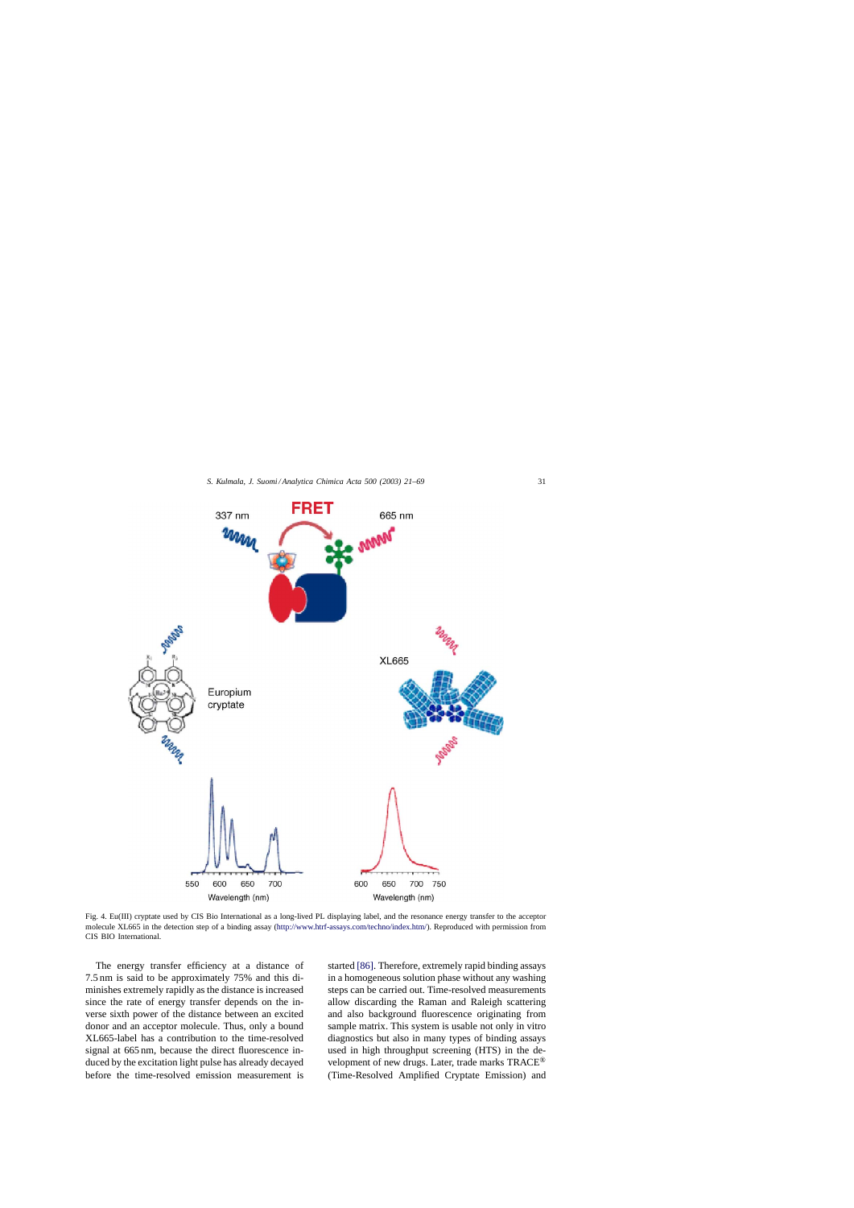<span id="page-10-0"></span>

Fig. 4. Eu(III) cryptate used by CIS Bio International as a long-lived PL displaying label, and the resonance energy transfer to the acceptor molecule XL665 in the detection step of a binding assay [\(http://www.htrf-assays.com/techno/index.htm/](http://www.htrf-assays.com/techno/index.htm/)). Reproduced with permission from CIS BIO International.

The energy transfer efficiency at a distance of 7.5 nm is said to be approximately 75% and this diminishes extremely rapidly as the distance is increased since the rate of energy transfer depends on the inverse sixth power of the distance between an excited donor and an acceptor molecule. Thus, only a bound XL665-label has a contribution to the time-resolved signal at 665 nm, because the direct fluorescence induced by the excitation light pulse has already decayed before the time-resolved emission measurement is

started [\[86\]. T](#page-42-0)herefore, extremely rapid binding assays in a homogeneous solution phase without any washing steps can be carried out. Time-resolved measurements allow discarding the Raman and Raleigh scattering and also background fluorescence originating from sample matrix. This system is usable not only in vitro diagnostics but also in many types of binding assays used in high throughput screening (HTS) in the development of new drugs. Later, trade marks TRACE® (Time-Resolved Amplified Cryptate Emission) and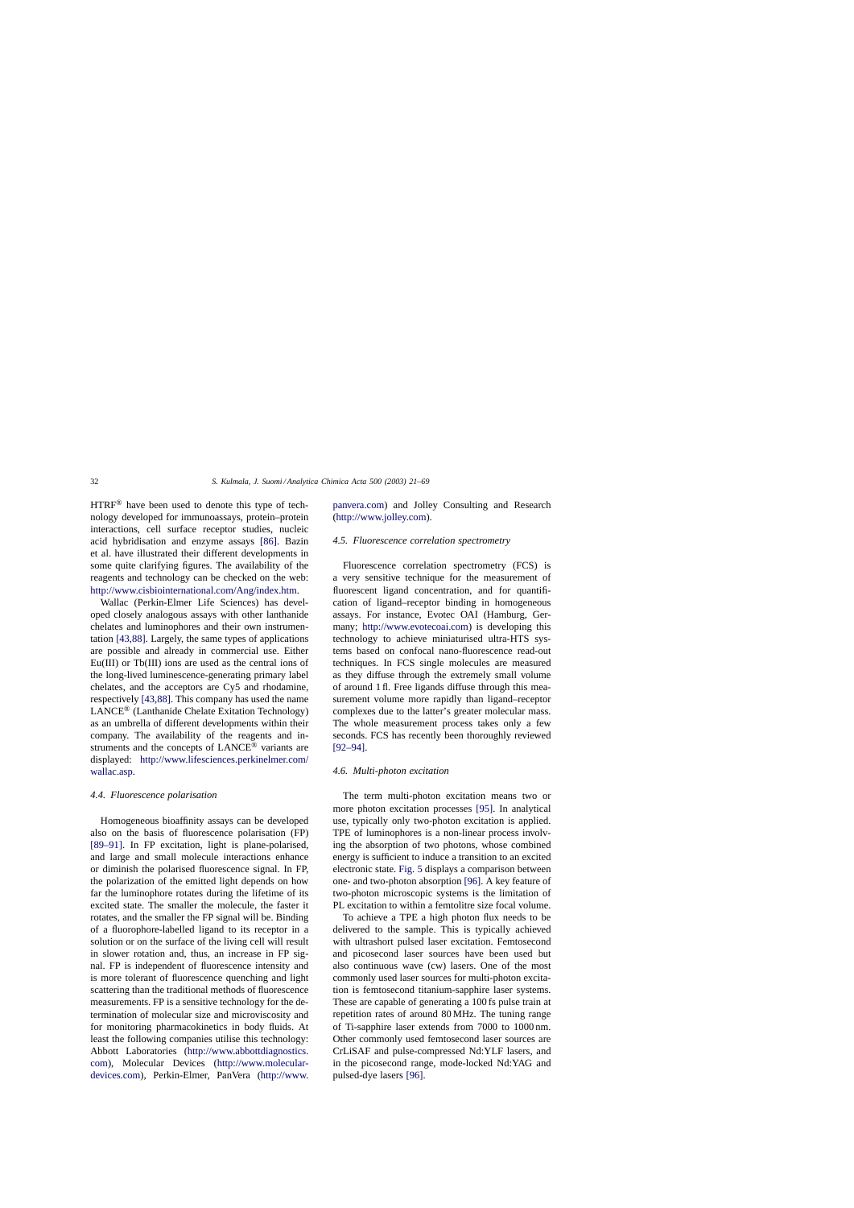HTRF® have been used to denote this type of technology developed for immunoassays, protein–protein interactions, cell surface receptor studies, nucleic acid hybridisation and enzyme assays [\[86\].](#page-42-0) Bazin et al. have illustrated their different developments in some quite clarifying figures. The availability of the reagents and technology can be checked on the web: [http://www.cisbiointernational.com/Ang/index.htm.](http://www.cisbiointernational.com/Ang/index.htm)

Wallac (Perkin-Elmer Life Sciences) has developed closely analogous assays with other lanthanide chelates and luminophores and their own instrumentation [\[43,88\]. L](#page-41-0)argely, the same types of applications are possible and already in commercial use. Either Eu(III) or Tb(III) ions are used as the central ions of the long-lived luminescence-generating primary label chelates, and the acceptors are Cy5 and rhodamine, respectively [\[43,88\].](#page-41-0) This company has used the name LANCE® (Lanthanide Chelate Exitation Technology) as an umbrella of different developments within their company. The availability of the reagents and instruments and the concepts of LANCE® variants are displayed: [http://www.lifesciences.perkinelmer.com/](http://www.lifesciences.perkinelmer.com/wallac.asp) [wallac.asp.](http://www.lifesciences.perkinelmer.com/wallac.asp)

## *4.4. Fluorescence polarisation*

Homogeneous bioaffinity assays can be developed also on the basis of fluorescence polarisation (FP) [\[89–91\].](#page-42-0) In FP excitation, light is plane-polarised, and large and small molecule interactions enhance or diminish the polarised fluorescence signal. In FP, the polarization of the emitted light depends on how far the luminophore rotates during the lifetime of its excited state. The smaller the molecule, the faster it rotates, and the smaller the FP signal will be. Binding of a fluorophore-labelled ligand to its receptor in a solution or on the surface of the living cell will result in slower rotation and, thus, an increase in FP signal. FP is independent of fluorescence intensity and is more tolerant of fluorescence quenching and light scattering than the traditional methods of fluorescence measurements. FP is a sensitive technology for the determination of molecular size and microviscosity and for monitoring pharmacokinetics in body fluids. At least the following companies utilise this technology: Abbott Laboratories ([http://www.abbottdiagnostics.](http://www.abbottdiagnostics.com) [com](http://www.abbottdiagnostics.com)), Molecular Devices [\(http://www.molecular](http://www.moleculardevices.com)[devices.com\)](http://www.moleculardevices.com), Perkin-Elmer, PanVera [\(http://www.](http://www.panvera.com) [panvera.com\)](http://www.panvera.com) and Jolley Consulting and Research (<http://www.jolley.com>).

### *4.5. Fluorescence correlation spectrometry*

Fluorescence correlation spectrometry (FCS) is a very sensitive technique for the measurement of fluorescent ligand concentration, and for quantification of ligand–receptor binding in homogeneous assays. For instance, Evotec OAI (Hamburg, Germany; <http://www.evotecoai.com>) is developing this technology to achieve miniaturised ultra-HTS systems based on confocal nano-fluorescence read-out techniques. In FCS single molecules are measured as they diffuse through the extremely small volume of around 1 fl. Free ligands diffuse through this measurement volume more rapidly than ligand–receptor complexes due to the latter's greater molecular mass. The whole measurement process takes only a few seconds. FCS has recently been thoroughly reviewed [\[92–94\].](#page-42-0)

## *4.6. Multi-photon excitation*

The term multi-photon excitation means two or more photon excitation processes [\[95\].](#page-42-0) In analytical use, typically only two-photon excitation is applied. TPE of luminophores is a non-linear process involving the absorption of two photons, whose combined energy is sufficient to induce a transition to an excited electronic state. [Fig. 5](#page-12-0) displays a comparison between one- and two-photon absorption [\[96\].](#page-42-0) A key feature of two-photon microscopic systems is the limitation of PL excitation to within a femtolitre size focal volume.

To achieve a TPE a high photon flux needs to be delivered to the sample. This is typically achieved with ultrashort pulsed laser excitation. Femtosecond and picosecond laser sources have been used but also continuous wave (cw) lasers. One of the most commonly used laser sources for multi-photon excitation is femtosecond titanium-sapphire laser systems. These are capable of generating a 100 fs pulse train at repetition rates of around 80 MHz. The tuning range of Ti-sapphire laser extends from 7000 to 1000 nm. Other commonly used femtosecond laser sources are CrLiSAF and pulse-compressed Nd:YLF lasers, and in the picosecond range, mode-locked Nd:YAG and pulsed-dye lasers [\[96\].](#page-42-0)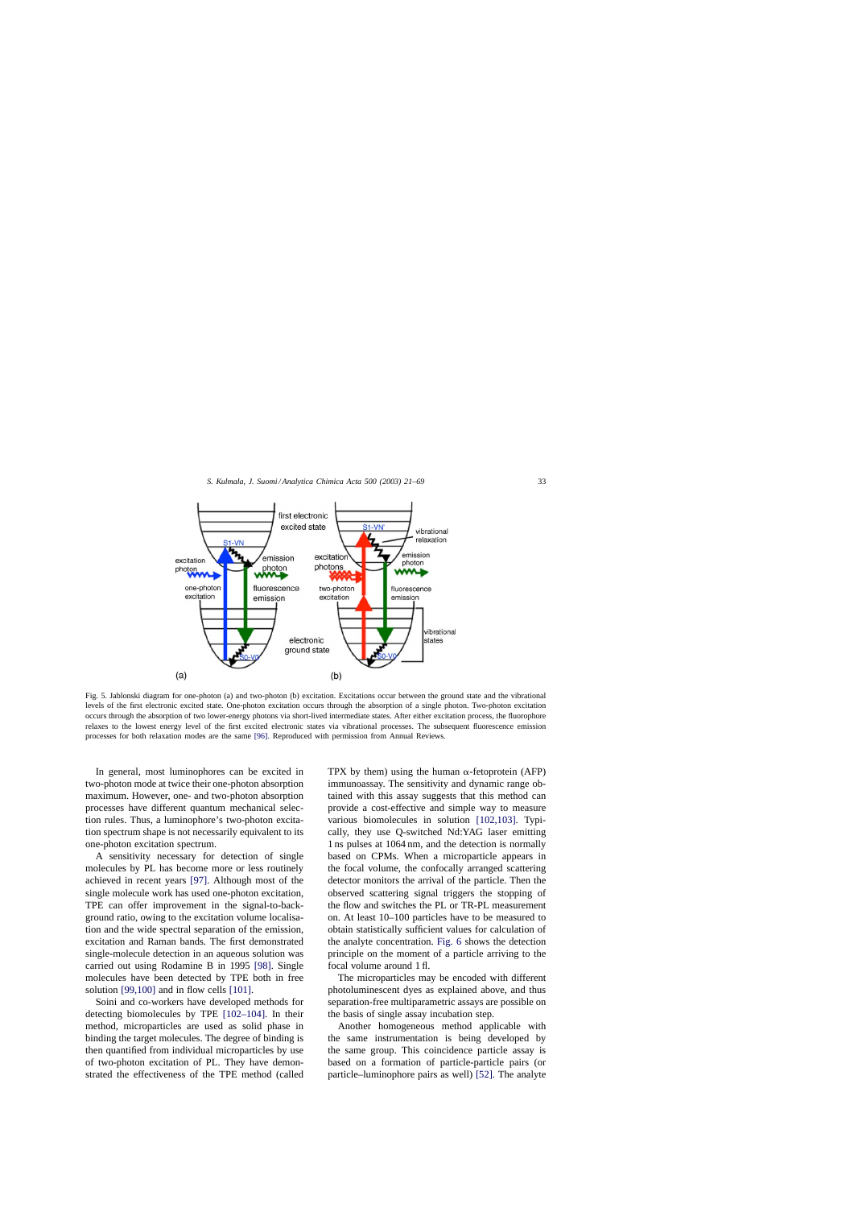<span id="page-12-0"></span>

Fig. 5. Jablonski diagram for one-photon (a) and two-photon (b) excitation. Excitations occur between the ground state and the vibrational levels of the first electronic excited state. One-photon excitation occurs through the absorption of a single photon. Two-photon excitation occurs through the absorption of two lower-energy photons via short-lived intermediate states. After either excitation process, the fluorophore relaxes to the lowest energy level of the first excited electronic states via vibrational processes. The subsequent fluorescence emission processes for both relaxation modes are the same [\[96\].](#page-42-0) Reproduced with permission from Annual Reviews.

In general, most luminophores can be excited in two-photon mode at twice their one-photon absorption maximum. However, one- and two-photon absorption processes have different quantum mechanical selection rules. Thus, a luminophore's two-photon excitation spectrum shape is not necessarily equivalent to its one-photon excitation spectrum.

A sensitivity necessary for detection of single molecules by PL has become more or less routinely achieved in recent years [\[97\].](#page-42-0) Although most of the single molecule work has used one-photon excitation, TPE can offer improvement in the signal-to-background ratio, owing to the excitation volume localisation and the wide spectral separation of the emission, excitation and Raman bands. The first demonstrated single-molecule detection in an aqueous solution was carried out using Rodamine B in 1995 [\[98\].](#page-42-0) Single molecules have been detected by TPE both in free solution [\[99,100\]](#page-42-0) and in flow cells [\[101\].](#page-42-0)

Soini and co-workers have developed methods for detecting biomolecules by TPE [\[102–104\].](#page-42-0) In their method, microparticles are used as solid phase in binding the target molecules. The degree of binding is then quantified from individual microparticles by use of two-photon excitation of PL. They have demonstrated the effectiveness of the TPE method (called

TPX by them) using the human  $\alpha$ -fetoprotein (AFP) immunoassay. The sensitivity and dynamic range obtained with this assay suggests that this method can provide a cost-effective and simple way to measure various biomolecules in solution [\[102,103\].](#page-42-0) Typically, they use Q-switched Nd:YAG laser emitting 1 ns pulses at 1064 nm, and the detection is normally based on CPMs. When a microparticle appears in the focal volume, the confocally arranged scattering detector monitors the arrival of the particle. Then the observed scattering signal triggers the stopping of the flow and switches the PL or TR-PL measurement on. At least 10–100 particles have to be measured to obtain statistically sufficient values for calculation of the analyte concentration. [Fig. 6](#page-13-0) shows the detection principle on the moment of a particle arriving to the focal volume around 1 fl.

The microparticles may be encoded with different photoluminescent dyes as explained above, and thus separation-free multiparametric assays are possible on the basis of single assay incubation step.

Another homogeneous method applicable with the same instrumentation is being developed by the same group. This coincidence particle assay is based on a formation of particle-particle pairs (or particle–luminophore pairs as well) [\[52\].](#page-41-0) The analyte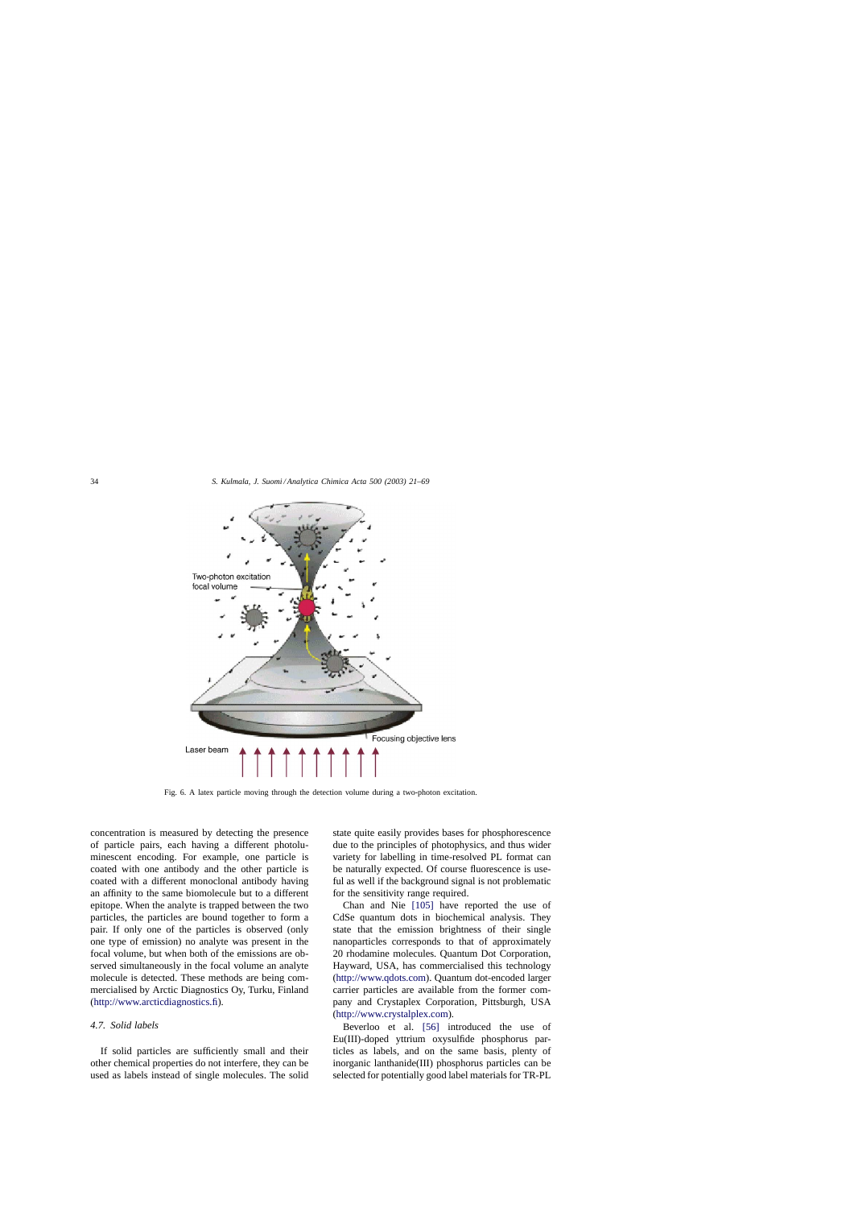<span id="page-13-0"></span>

Fig. 6. A latex particle moving through the detection volume during a two-photon excitation.

concentration is measured by detecting the presence of particle pairs, each having a different photoluminescent encoding. For example, one particle is coated with one antibody and the other particle is coated with a different monoclonal antibody having an affinity to the same biomolecule but to a different epitope. When the analyte is trapped between the two particles, the particles are bound together to form a pair. If only one of the particles is observed (only one type of emission) no analyte was present in the focal volume, but when both of the emissions are observed simultaneously in the focal volume an analyte molecule is detected. These methods are being commercialised by Arctic Diagnostics Oy, Turku, Finland ([http://www.arcticdiagnostics.fi\)](http://www.arcticdiagnostics.fi).

# *4.7. Solid labels*

If solid particles are sufficiently small and their other chemical properties do not interfere, they can be used as labels instead of single molecules. The solid state quite easily provides bases for phosphorescence due to the principles of photophysics, and thus wider variety for labelling in time-resolved PL format can be naturally expected. Of course fluorescence is useful as well if the background signal is not problematic for the sensitivity range required.

Chan and Nie [\[105\]](#page-42-0) have reported the use of CdSe quantum dots in biochemical analysis. They state that the emission brightness of their single nanoparticles corresponds to that of approximately 20 rhodamine molecules. Quantum Dot Corporation, Hayward, USA, has commercialised this technology (<http://www.qdots.com>). Quantum dot-encoded larger carrier particles are available from the former company and Crystaplex Corporation, Pittsburgh, USA (<http://www.crystalplex.com>).

Beverloo et al. [\[56\]](#page-41-0) introduced the use of Eu(III)-doped yttrium oxysulfide phosphorus particles as labels, and on the same basis, plenty of inorganic lanthanide(III) phosphorus particles can be selected for potentially good label materials for TR-PL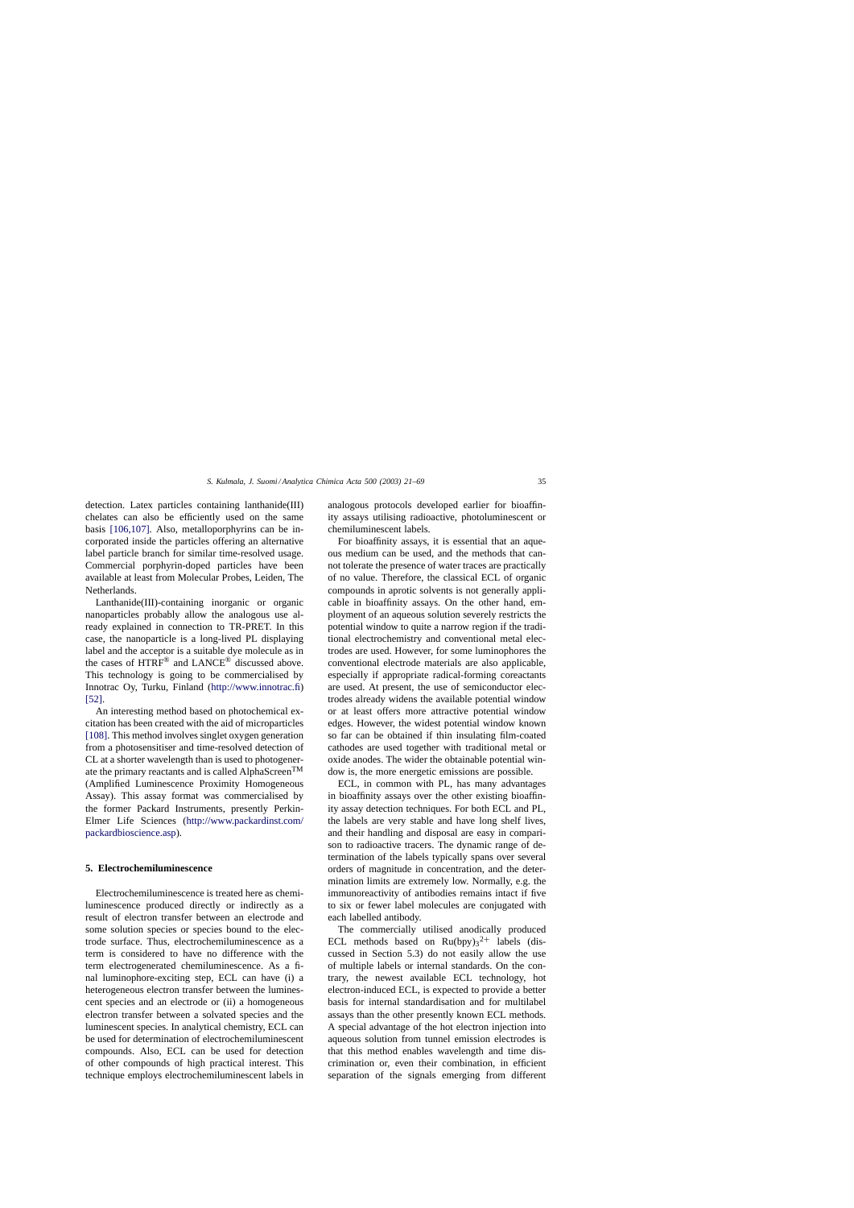detection. Latex particles containing lanthanide(III) chelates can also be efficiently used on the same basis [\[106,107\].](#page-42-0) Also, metalloporphyrins can be incorporated inside the particles offering an alternative label particle branch for similar time-resolved usage. Commercial porphyrin-doped particles have been available at least from Molecular Probes, Leiden, The Netherlands.

Lanthanide(III)-containing inorganic or organic nanoparticles probably allow the analogous use already explained in connection to TR-PRET. In this case, the nanoparticle is a long-lived PL displaying label and the acceptor is a suitable dye molecule as in the cases of HTRF® and LANCE® discussed above. This technology is going to be commercialised by Innotrac Oy, Turku, Finland [\(http://www.innotrac.fi](http://www.innotrac.fi)) [\[52\].](#page-41-0)

An interesting method based on photochemical excitation has been created with the aid of microparticles [\[108\]. T](#page-42-0)his method involves singlet oxygen generation from a photosensitiser and time-resolved detection of CL at a shorter wavelength than is used to photogenerate the primary reactants and is called AlphaScreen<sup>TM</sup> (Amplified Luminescence Proximity Homogeneous Assay). This assay format was commercialised by the former Packard Instruments, presently Perkin-Elmer Life Sciences ([http://www.packardinst.com/](http://www.packardinst.com/packardbioscience.asp) [packardbioscience.asp\)](http://www.packardinst.com/packardbioscience.asp).

# **5. Electrochemiluminescence**

Electrochemiluminescence is treated here as chemiluminescence produced directly or indirectly as a result of electron transfer between an electrode and some solution species or species bound to the electrode surface. Thus, electrochemiluminescence as a term is considered to have no difference with the term electrogenerated chemiluminescence. As a final luminophore-exciting step, ECL can have (i) a heterogeneous electron transfer between the luminescent species and an electrode or (ii) a homogeneous electron transfer between a solvated species and the luminescent species. In analytical chemistry, ECL can be used for determination of electrochemiluminescent compounds. Also, ECL can be used for detection of other compounds of high practical interest. This technique employs electrochemiluminescent labels in

analogous protocols developed earlier for bioaffinity assays utilising radioactive, photoluminescent or chemiluminescent labels.

For bioaffinity assays, it is essential that an aqueous medium can be used, and the methods that cannot tolerate the presence of water traces are practically of no value. Therefore, the classical ECL of organic compounds in aprotic solvents is not generally applicable in bioaffinity assays. On the other hand, employment of an aqueous solution severely restricts the potential window to quite a narrow region if the traditional electrochemistry and conventional metal electrodes are used. However, for some luminophores the conventional electrode materials are also applicable, especially if appropriate radical-forming coreactants are used. At present, the use of semiconductor electrodes already widens the available potential window or at least offers more attractive potential window edges. However, the widest potential window known so far can be obtained if thin insulating film-coated cathodes are used together with traditional metal or oxide anodes. The wider the obtainable potential window is, the more energetic emissions are possible.

ECL, in common with PL, has many advantages in bioaffinity assays over the other existing bioaffinity assay detection techniques. For both ECL and PL, the labels are very stable and have long shelf lives, and their handling and disposal are easy in comparison to radioactive tracers. The dynamic range of determination of the labels typically spans over several orders of magnitude in concentration, and the determination limits are extremely low. Normally, e.g. the immunoreactivity of antibodies remains intact if five to six or fewer label molecules are conjugated with each labelled antibody.

The commercially utilised anodically produced ECL methods based on  $Ru(bpy)_{3}^{2+}$  labels (discussed in Section 5.3) do not easily allow the use of multiple labels or internal standards. On the contrary, the newest available ECL technology, hot electron-induced ECL, is expected to provide a better basis for internal standardisation and for multilabel assays than the other presently known ECL methods. A special advantage of the hot electron injection into aqueous solution from tunnel emission electrodes is that this method enables wavelength and time discrimination or, even their combination, in efficient separation of the signals emerging from different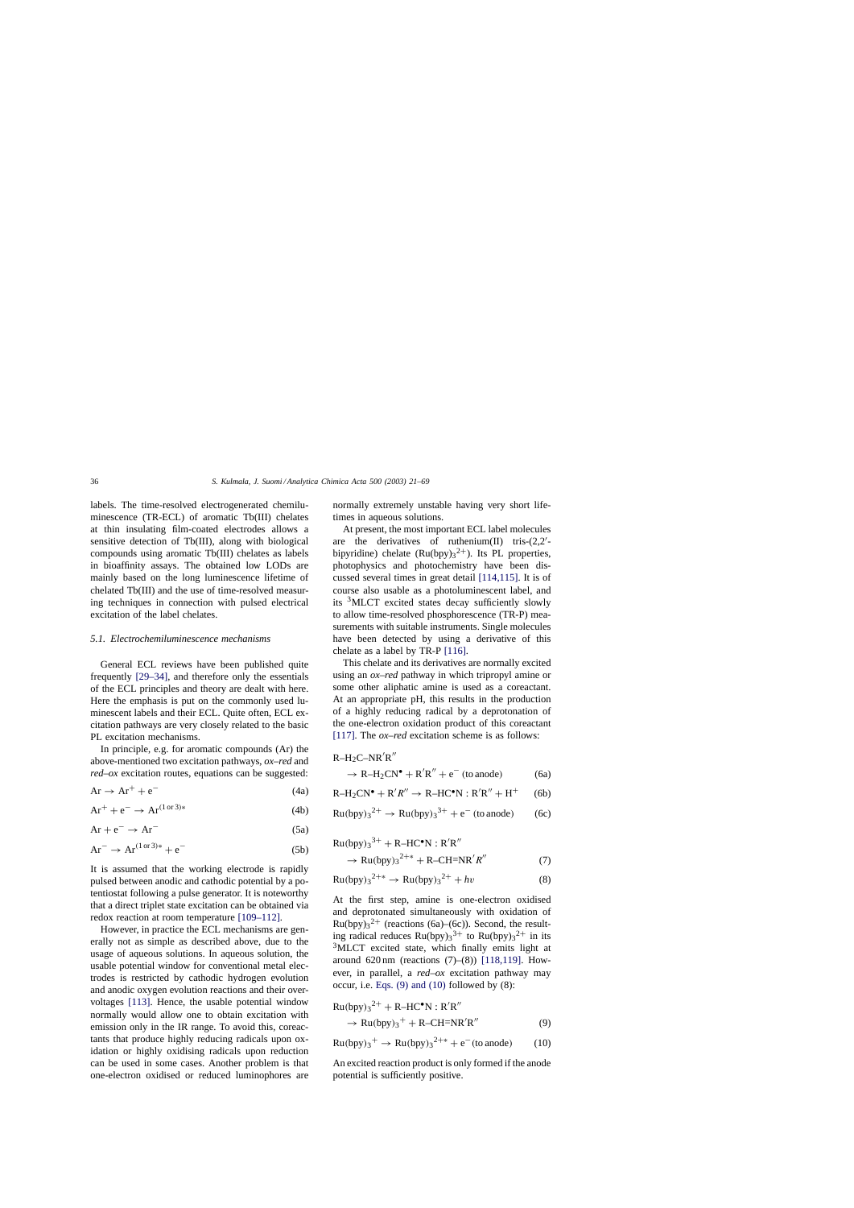labels. The time-resolved electrogenerated chemiluminescence (TR-ECL) of aromatic Tb(III) chelates at thin insulating film-coated electrodes allows a sensitive detection of Tb(III), along with biological compounds using aromatic Tb(III) chelates as labels in bioaffinity assays. The obtained low LODs are mainly based on the long luminescence lifetime of chelated Tb(III) and the use of time-resolved measuring techniques in connection with pulsed electrical excitation of the label chelates.

#### *5.1. Electrochemiluminescence mechanisms*

General ECL reviews have been published quite frequently [\[29–34\],](#page-41-0) and therefore only the essentials of the ECL principles and theory are dealt with here. Here the emphasis is put on the commonly used luminescent labels and their ECL. Quite often, ECL excitation pathways are very closely related to the basic PL excitation mechanisms.

In principle, e.g. for aromatic compounds (Ar) the above-mentioned two excitation pathways, *ox–red* and *red–ox* excitation routes, equations can be suggested:

$$
Ar \to Ar^+ + e^-
$$
 (4a)

$$
Ar^{+} + e^{-} \rightarrow Ar^{(1 or 3)*} \tag{4b}
$$

$$
Ar + e^- \to Ar^-
$$
 (5a)

$$
Ar^{-} \rightarrow Ar^{(1 or 3)*} + e^{-}
$$
 (5b)

It is assumed that the working electrode is rapidly pulsed between anodic and cathodic potential by a potentiostat following a pulse generator. It is noteworthy that a direct triplet state excitation can be obtained via redox reaction at room temperature [\[109–112\].](#page-42-0)

However, in practice the ECL mechanisms are generally not as simple as described above, due to the usage of aqueous solutions. In aqueous solution, the usable potential window for conventional metal electrodes is restricted by cathodic hydrogen evolution and anodic oxygen evolution reactions and their overvoltages [\[113\].](#page-42-0) Hence, the usable potential window normally would allow one to obtain excitation with emission only in the IR range. To avoid this, coreactants that produce highly reducing radicals upon oxidation or highly oxidising radicals upon reduction can be used in some cases. Another problem is that one-electron oxidised or reduced luminophores are normally extremely unstable having very short lifetimes in aqueous solutions.

At present, the most important ECL label molecules are the derivatives of ruthenium  $(II)$  tris- $(2,2)$ . bipyridine) chelate  $(Ru(bpy)_{3}^{2+})$ . Its PL properties, photophysics and photochemistry have been discussed several times in great detail [\[114,115\].](#page-42-0) It is of course also usable as a photoluminescent label, and its 3MLCT excited states decay sufficiently slowly to allow time-resolved phosphorescence (TR-P) measurements with suitable instruments. Single molecules have been detected by using a derivative of this chelate as a label by TR-P [\[116\].](#page-42-0)

This chelate and its derivatives are normally excited using an *ox–red* pathway in which tripropyl amine or some other aliphatic amine is used as a coreactant. At an appropriate pH, this results in the production of a highly reducing radical by a deprotonation of the one-electron oxidation product of this coreactant [\[117\].](#page-42-0) The *ox–red* excitation scheme is as follows:

$$
R-H_2C-NR'R''
$$
  
\n
$$
\rightarrow R-H_2CN^{\bullet} + R'R'' + e^{-} \text{ (to anode)}
$$
 (6a)

 $R-H_2CN^{\bullet} + R'R'' \rightarrow R-HC^{\bullet}N: R'R'' + H^+$  (6b)

$$
Ru(bpy)32+ \rightarrow Ru(bpy)33+ + e- (to anode)
$$
 (6c)

$$
\text{Ru(bpy)}_{3}^{3+} + \text{R-HC}^{\bullet}\text{N} : \text{R}'\text{R}''
$$
\n
$$
\rightarrow \text{Ru(bpy)}_{3}^{2+\ast} + \text{R-CH=NR}'\text{R}'' \tag{7}
$$

$$
Ru(bpy)_{3}^{2+\ast} \to Ru(bpy)_{3}^{2+} + hv
$$
 (8)

At the first step, amine is one-electron oxidised and deprotonated simultaneously with oxidation of  $Ru(bpy)_{3}^{2+}$  (reactions (6a)–(6c)). Second, the resulting radical reduces  $Ru(bpy)_{3}^{3+}$  to  $Ru(bpy)_{3}^{2+}$  in its <sup>3</sup>MLCT excited state, which finally emits light at around 620 nm (reactions (7)–(8)) [\[118,119\].](#page-42-0) However, in parallel, a *red–ox* excitation pathway may occur, i.e. Eqs. (9) and (10) followed by (8):

$$
\text{Ru(bpy)}_{3}^{2+} + \text{R-HC}^{\bullet}\text{N}: \text{R}'\text{R}''
$$
\n
$$
\rightarrow \text{Ru(bpy)}_{3}^{+} + \text{R-CH=NR}'\text{R}'' \tag{9}
$$

$$
Ru(bpy)3+ \rightarrow Ru(bpy)32+* + e-(to anode)
$$
 (10)

An excited reaction product is only formed if the anode potential is sufficiently positive.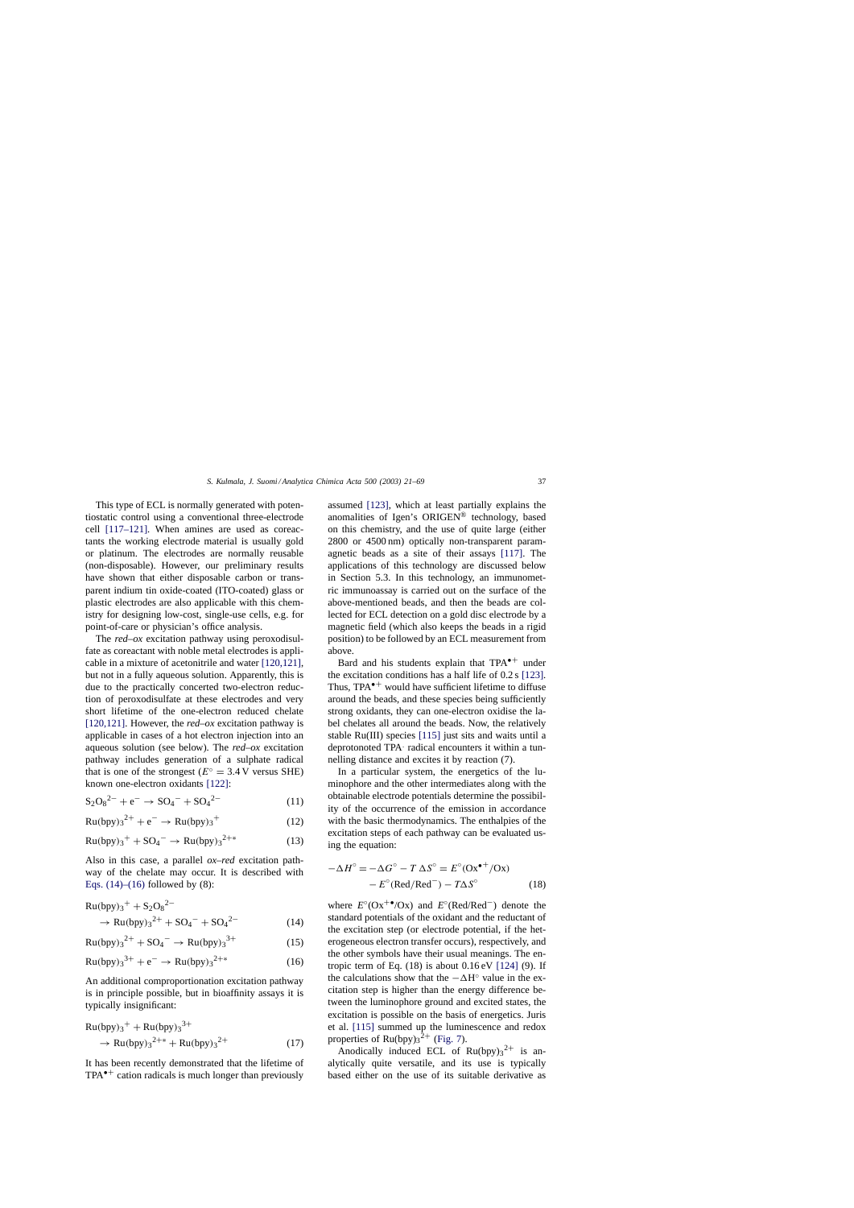This type of ECL is normally generated with potentiostatic control using a conventional three-electrode cell [\[117–121\].](#page-42-0) When amines are used as coreactants the working electrode material is usually gold or platinum. The electrodes are normally reusable (non-disposable). However, our preliminary results have shown that either disposable carbon or transparent indium tin oxide-coated (ITO-coated) glass or plastic electrodes are also applicable with this chemistry for designing low-cost, single-use cells, e.g. for point-of-care or physician's office analysis.

The *red–ox* excitation pathway using peroxodisulfate as coreactant with noble metal electrodes is applicable in a mixture of acetonitrile and water [\[120,121\],](#page-42-0) but not in a fully aqueous solution. Apparently, this is due to the practically concerted two-electron reduction of peroxodisulfate at these electrodes and very short lifetime of the one-electron reduced chelate [\[120,121\].](#page-42-0) However, the *red–ox* excitation pathway is applicable in cases of a hot electron injection into an aqueous solution (see below). The *red–ox* excitation pathway includes generation of a sulphate radical that is one of the strongest ( $E<sup>°</sup> = 3.4$  V versus SHE) known one-electron oxidants [\[122\]:](#page-42-0)

$$
S_2O_8^{2-} + e^- \to SO_4^{-} + SO_4^{2-}
$$
 (11)

 $Ru(bpy)_{3}^{2+}+e^{-} \rightarrow Ru(bpy)_{3}$  $(12)$ 

$$
Ru(bpy)_{3}^{+} + SO_{4}^{-} \to Ru(bpy)_{3}^{2+\ast}
$$
 (13)

Also in this case, a parallel *ox–red* excitation pathway of the chelate may occur. It is described with Eqs.  $(14)$ – $(16)$  followed by  $(8)$ :

Ru(bpy)<sup>3</sup> <sup>+</sup> + S2O8 2− → Ru(bpy)<sup>3</sup> <sup>2</sup><sup>+</sup> <sup>+</sup> SO4 <sup>−</sup> + SO4 <sup>2</sup><sup>−</sup> (14)

$$
Ru(bpy)_3^{2+} + SO_4^- \to Ru(bpy)_3^{3+}
$$
 (15)

$$
Ru(bpy)_3^{3+} + e^- \to Ru(bpy)_3^{2+*}
$$
 (16)

An additional comproportionation excitation pathway is in principle possible, but in bioaffinity assays it is typically insignificant:

Ru(bpy)<sup>3</sup> <sup>+</sup> + Ru(bpy)<sup>3</sup> 3+ → Ru(bpy)<sup>3</sup> <sup>2</sup>+∗ <sup>+</sup> Ru(bpy)<sup>3</sup> <sup>2</sup><sup>+</sup> (17)

It has been recently demonstrated that the lifetime of  $TPA^{\bullet+}$  cation radicals is much longer than previously

assumed [\[123\],](#page-42-0) which at least partially explains the anomalities of Igen's ORIGEN® technology, based on this chemistry, and the use of quite large (either 2800 or 4500 nm) optically non-transparent paramagnetic beads as a site of their assays [\[117\].](#page-42-0) The applications of this technology are discussed below in Section 5.3. In this technology, an immunometric immunoassay is carried out on the surface of the above-mentioned beads, and then the beads are collected for ECL detection on a gold disc electrode by a magnetic field (which also keeps the beads in a rigid position) to be followed by an ECL measurement from above.

Bard and his students explain that  $TPA^{\bullet+}$  under the excitation conditions has a half life of 0.2 s [\[123\].](#page-42-0) Thus,  $TPA^{\bullet+}$  would have sufficient lifetime to diffuse around the beads, and these species being sufficiently strong oxidants, they can one-electron oxidise the label chelates all around the beads. Now, the relatively stable Ru(III) species [\[115\]](#page-42-0) just sits and waits until a deprotonoted TPA. radical encounters it within a tunnelling distance and excites it by reaction (7).

In a particular system, the energetics of the luminophore and the other intermediates along with the obtainable electrode potentials determine the possibility of the occurrence of the emission in accordance with the basic thermodynamics. The enthalpies of the excitation steps of each pathway can be evaluated using the equation:

$$
-\Delta H^{\circ} = -\Delta G^{\circ} - T \Delta S^{\circ} = E^{\circ} (Ox^{\bullet +}/Ox)
$$

$$
- E^{\circ} (\text{Red}/\text{Red}^{-}) - T\Delta S^{\circ}
$$
(18)

where  $E^{\circ}$ ( $Ox^{+\bullet}$ , $Ox$ ) and  $E^{\circ}$ (Red/Red<sup>-</sup>) denote the standard potentials of the oxidant and the reductant of the excitation step (or electrode potential, if the heterogeneous electron transfer occurs), respectively, and the other symbols have their usual meanings. The entropic term of Eq.  $(18)$  is about  $0.16 \text{ eV}$  [\[124\]](#page-42-0)  $(9)$ . If the calculations show that the  $-\Delta H<sup>∘</sup>$  value in the excitation step is higher than the energy difference between the luminophore ground and excited states, the excitation is possible on the basis of energetics. Juris et al. [\[115\]](#page-42-0) summed up the luminescence and redox properties of  $Ru(bpy)_{3}^{2+}$  [\(Fig. 7\).](#page-17-0)

Anodically induced ECL of  $Ru(bpy)_{3}^{2+}$  is analytically quite versatile, and its use is typically based either on the use of its suitable derivative as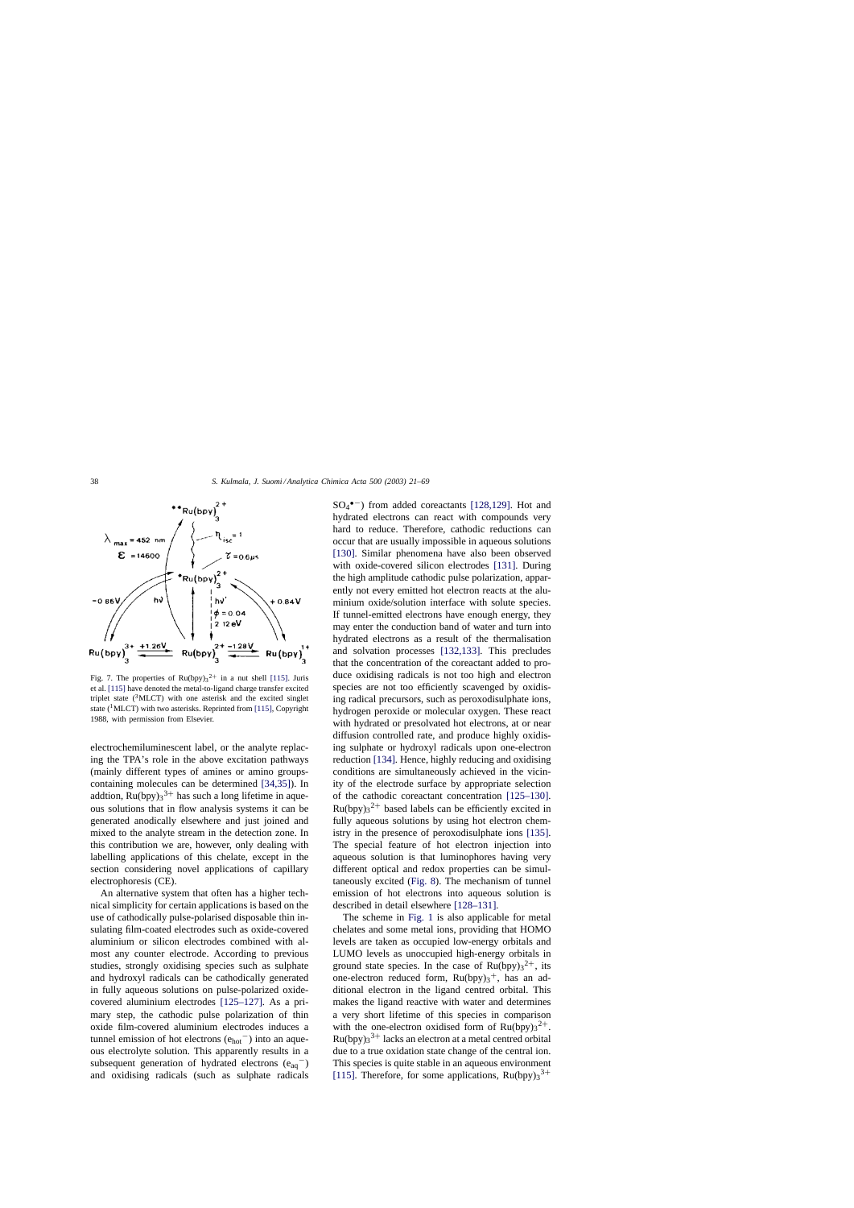<span id="page-17-0"></span>

Fig. 7. The properties of  $Ru(bpy)_3^{2+}$  in a nut shell [\[115\].](#page-42-0) Juris et al. [\[115\]](#page-42-0) have denoted the metal-to-ligand charge transfer excited triplet state  $({}^{3}$ MLCT) with one asterisk and the excited singlet state ( ${}^{1}$ MLCT) with two asterisks. Reprinted from [\[115\], C](#page-42-0)opyright 1988, with permission from Elsevier.

electrochemiluminescent label, or the analyte replacing the TPA's role in the above excitation pathways (mainly different types of amines or amino groupscontaining molecules can be determined [\[34,35\]\).](#page-41-0) In addtion,  $Ru(bpy)_{3}^{3+}$  has such a long lifetime in aqueous solutions that in flow analysis systems it can be generated anodically elsewhere and just joined and mixed to the analyte stream in the detection zone. In this contribution we are, however, only dealing with labelling applications of this chelate, except in the section considering novel applications of capillary electrophoresis (CE).

An alternative system that often has a higher technical simplicity for certain applications is based on the use of cathodically pulse-polarised disposable thin insulating film-coated electrodes such as oxide-covered aluminium or silicon electrodes combined with almost any counter electrode. According to previous studies, strongly oxidising species such as sulphate and hydroxyl radicals can be cathodically generated in fully aqueous solutions on pulse-polarized oxidecovered aluminium electrodes [\[125–127\].](#page-42-0) As a primary step, the cathodic pulse polarization of thin oxide film-covered aluminium electrodes induces a tunnel emission of hot electrons (ehot−) into an aqueous electrolyte solution. This apparently results in a subsequent generation of hydrated electrons  $(e_{aa}^-)$ and oxidising radicals (such as sulphate radicals

SO4 •−) from added coreactants [\[128,129\].](#page-42-0) Hot and hydrated electrons can react with compounds very hard to reduce. Therefore, cathodic reductions can occur that are usually impossible in aqueous solutions [\[130\].](#page-42-0) Similar phenomena have also been observed with oxide-covered silicon electrodes [\[131\].](#page-42-0) During the high amplitude cathodic pulse polarization, apparently not every emitted hot electron reacts at the aluminium oxide/solution interface with solute species. If tunnel-emitted electrons have enough energy, they may enter the conduction band of water and turn into hydrated electrons as a result of the thermalisation and solvation processes [\[132,133\].](#page-43-0) This precludes that the concentration of the coreactant added to produce oxidising radicals is not too high and electron species are not too efficiently scavenged by oxidising radical precursors, such as peroxodisulphate ions, hydrogen peroxide or molecular oxygen. These react with hydrated or presolvated hot electrons, at or near diffusion controlled rate, and produce highly oxidising sulphate or hydroxyl radicals upon one-electron reduction [\[134\]. H](#page-43-0)ence, highly reducing and oxidising conditions are simultaneously achieved in the vicinity of the electrode surface by appropriate selection of the cathodic coreactant concentration [\[125–130\].](#page-42-0)  $Ru(bpy)_{3}^{2+}$  based labels can be efficiently excited in fully aqueous solutions by using hot electron chemistry in the presence of peroxodisulphate ions [\[135\].](#page-43-0) The special feature of hot electron injection into aqueous solution is that luminophores having very different optical and redox properties can be simultaneously excited [\(Fig. 8\).](#page-18-0) The mechanism of tunnel emission of hot electrons into aqueous solution is described in detail elsewhere [\[128–131\].](#page-42-0)

The scheme in [Fig. 1](#page-2-0) is also applicable for metal chelates and some metal ions, providing that HOMO levels are taken as occupied low-energy orbitals and LUMO levels as unoccupied high-energy orbitals in ground state species. In the case of  $Ru(bpy)_{3}^{2+}$ , its one-electron reduced form,  $Ru(bpy)_{3}^{+}$ , has an additional electron in the ligand centred orbital. This makes the ligand reactive with water and determines a very short lifetime of this species in comparison with the one-electron oxidised form of  $Ru(bpy)_{3}^{2+}$ .  $Ru(bpy)_{3}^{3+}$  lacks an electron at a metal centred orbital due to a true oxidation state change of the central ion. This species is quite stable in an aqueous environment [\[115\].](#page-42-0) Therefore, for some applications,  $Ru(bpy)_{3}^{3+}$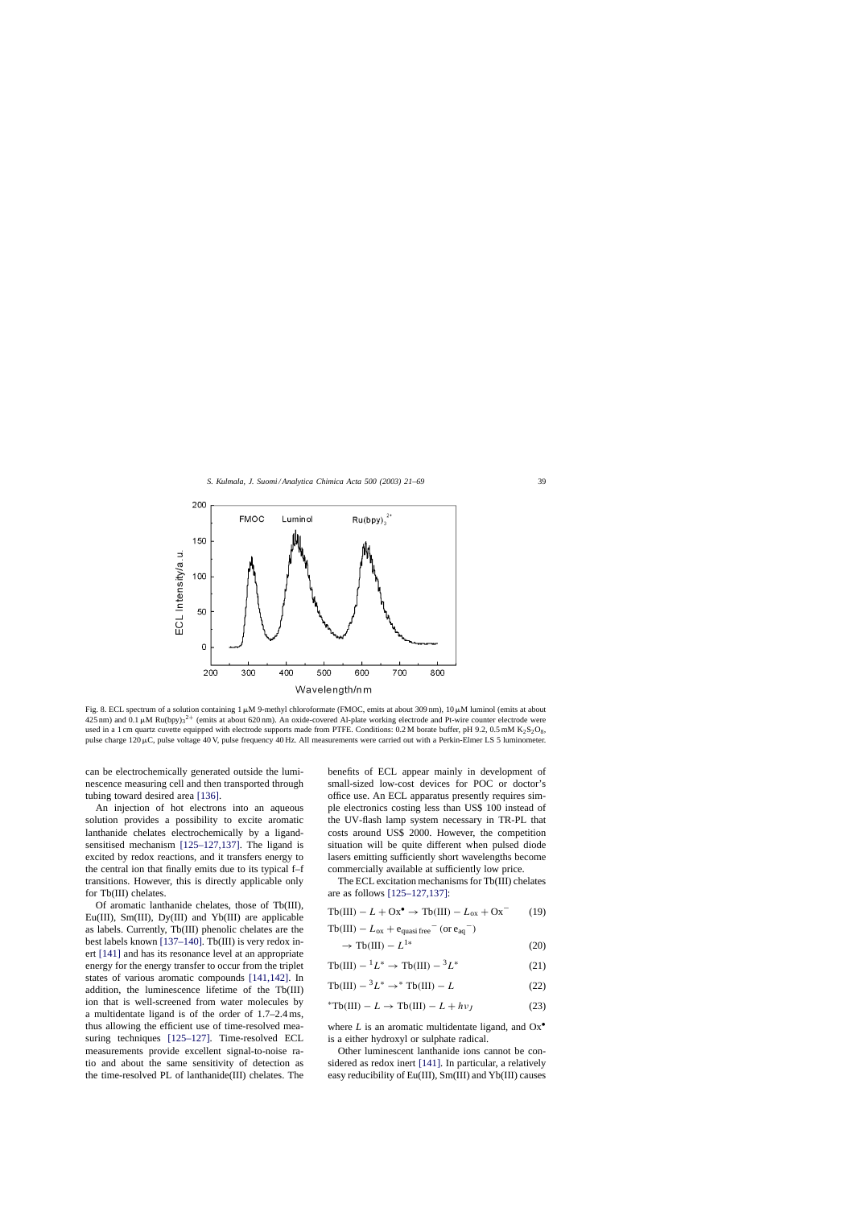<span id="page-18-0"></span>

Fig. 8. ECL spectrum of a solution containing  $1 \mu M$  9-methyl chloroformate (FMOC, emits at about 309 nm),  $10 \mu M$  luminol (emits at about 425 nm) and 0.1  $\mu$ M Ru(bpy)<sub>3</sub><sup>2+</sup> (emits at about 620 nm). An oxide-covered Al-plate working electrode and Pt-wire counter electrode were used in a 1 cm quartz cuvette equipped with electrode supports made from PTFE. Conditions:  $0.2 M$  borate buffer, pH 9.2,  $0.5$  mM  $K_2S_2O_8$ , pulse charge 120 µC, pulse voltage 40 V, pulse frequency 40 Hz. All measurements were carried out with a Perkin-Elmer LS 5 luminometer.

can be electrochemically generated outside the luminescence measuring cell and then transported through tubing toward desired area [\[136\].](#page-43-0)

An injection of hot electrons into an aqueous solution provides a possibility to excite aromatic lanthanide chelates electrochemically by a ligandsensitised mechanism [\[125–127,137\].](#page-42-0) The ligand is excited by redox reactions, and it transfers energy to the central ion that finally emits due to its typical f–f transitions. However, this is directly applicable only for Tb(III) chelates.

Of aromatic lanthanide chelates, those of Tb(III), Eu(III), Sm(III), Dy(III) and Yb(III) are applicable as labels. Currently, Tb(III) phenolic chelates are the best labels known [\[137–140\].](#page-43-0) Tb(III) is very redox inert [\[141\]](#page-43-0) and has its resonance level at an appropriate energy for the energy transfer to occur from the triplet states of various aromatic compounds [\[141,142\].](#page-43-0) In addition, the luminescence lifetime of the Tb(III) ion that is well-screened from water molecules by a multidentate ligand is of the order of 1.7–2.4 ms, thus allowing the efficient use of time-resolved measuring techniques [\[125–127\].](#page-42-0) Time-resolved ECL measurements provide excellent signal-to-noise ratio and about the same sensitivity of detection as the time-resolved PL of lanthanide(III) chelates. The

benefits of ECL appear mainly in development of small-sized low-cost devices for POC or doctor's office use. An ECL apparatus presently requires simple electronics costing less than US\$ 100 instead of the UV-flash lamp system necessary in TR-PL that costs around US\$ 2000. However, the competition situation will be quite different when pulsed diode lasers emitting sufficiently short wavelengths become commercially available at sufficiently low price.

The ECL excitation mechanisms for Tb(III) chelates are as follows [\[125–127,137\]:](#page-42-0)

$$
\text{Tb(III)} - L + \text{Ox}^{\bullet} \to \text{Tb(III)} - L_{\text{ox}} + \text{Ox}^{-}
$$
 (19)

$$
\text{Tb(III)} - L_{ox} + \text{e}_{\text{quasi free}} - (\text{or } \text{e}_{\text{aq}} - \text{)}
$$
  

$$
\rightarrow \text{Tb(III)} - L^{1*} \tag{20}
$$

$$
\rightarrow 10(\text{m}) - L \tag{20}
$$

$$
\text{Tb(III)} - {}^{1}L^{*} \rightarrow \text{Tb(III)} - {}^{3}L^{*} \tag{21}
$$

$$
\text{Tb(III)} - {}^3L^* \to {}^* \text{Tb(III)} - L \tag{22}
$$

<sup>\*</sup>Tb(III) – 
$$
L \rightarrow
$$
 Tb(III) –  $L + h\nu_J$  (23)

where  $L$  is an aromatic multidentate ligand, and  $Ox^{\bullet}$ is a either hydroxyl or sulphate radical.

Other luminescent lanthanide ions cannot be considered as redox inert [\[141\].](#page-43-0) In particular, a relatively easy reducibility of Eu(III), Sm(III) and Yb(III) causes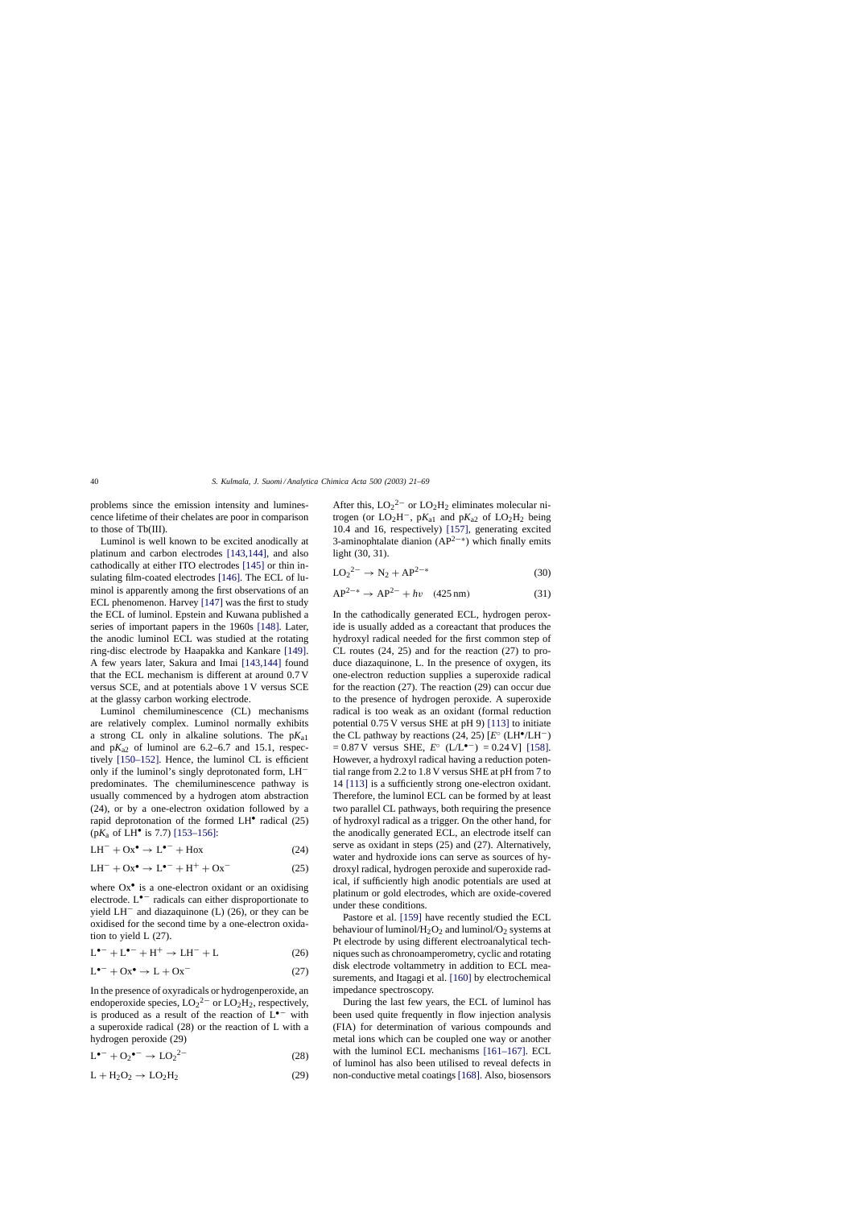problems since the emission intensity and luminescence lifetime of their chelates are poor in comparison to those of Tb(III).

Luminol is well known to be excited anodically at platinum and carbon electrodes [\[143,144\],](#page-43-0) and also cathodically at either ITO electrodes [\[145\]](#page-43-0) or thin insulating film-coated electrodes [\[146\].](#page-43-0) The ECL of luminol is apparently among the first observations of an ECL phenomenon. Harvey [\[147\]](#page-43-0) was the first to study the ECL of luminol. Epstein and Kuwana published a series of important papers in the 1960s [\[148\].](#page-43-0) Later, the anodic luminol ECL was studied at the rotating ring-disc electrode by Haapakka and Kankare [\[149\].](#page-43-0) A few years later, Sakura and Imai [\[143,144\]](#page-43-0) found that the ECL mechanism is different at around 0.7 V versus SCE, and at potentials above 1 V versus SCE at the glassy carbon working electrode.

Luminol chemiluminescence (CL) mechanisms are relatively complex. Luminol normally exhibits a strong CL only in alkaline solutions. The p*K*a1 and  $pK_{a2}$  of luminol are 6.2–6.7 and 15.1, respectively [\[150–152\].](#page-43-0) Hence, the luminol CL is efficient only if the luminol's singly deprotonated form, LH− predominates. The chemiluminescence pathway is usually commenced by a hydrogen atom abstraction (24), or by a one-electron oxidation followed by a rapid deprotonation of the formed  $LH<sup>•</sup>$  radical (25) (p*K*<sup>a</sup> of LH• is 7.7) [\[153–156\]:](#page-43-0)

$$
LH^{-} + Ox^{\bullet} \to L^{\bullet -} + \text{Hox}
$$
 (24)

$$
LH^- + Ox^{\bullet} \to L^{\bullet-} + H^+ + Ox^- \tag{25}
$$

where  $Ox^{\bullet}$  is a one-electron oxidant or an oxidising electrode. L•− radicals can either disproportionate to yield  $LH<sup>−</sup>$  and diazaquinone (L) (26), or they can be oxidised for the second time by a one-electron oxidation to yield L (27).

$$
L^{\bullet-} + L^{\bullet-} + H^+ \to LH^- + L \tag{26}
$$

$$
L^{\bullet-} + Ox^{\bullet} \to L + Ox^- \tag{27}
$$

In the presence of oxyradicals or hydrogenperoxide, an endoperoxide species,  $LO_2^2$ <sup>-</sup> or  $LO_2H_2$ , respectively, is produced as a result of the reaction of L•− with a superoxide radical (28) or the reaction of L with a hydrogen peroxide (29)

$$
L^{\bullet-} + O_2^{\bullet-} \rightarrow LO_2^{2-} \tag{28}
$$

$$
L + H_2O_2 \rightarrow LO_2H_2 \tag{29}
$$

After this,  $LO_2^2$ <sup>-</sup> or  $LO_2H_2$  eliminates molecular nitrogen (or  $LO<sub>2</sub>H<sup>-</sup>$ , p $K<sub>a1</sub>$  and p $K<sub>a2</sub>$  of  $LO<sub>2</sub>H<sub>2</sub>$  being 10.4 and 16, respectively) [\[157\],](#page-43-0) generating excited 3-aminophtalate dianion  $AP^{2-*}$ ) which finally emits light (30, 31).

$$
LO_2^{2-} \to N_2 + AP^{2-*}
$$
 (30)

$$
AP^{2-*} \to AP^{2-} + hv \quad (425 \,\text{nm}) \tag{31}
$$

In the cathodically generated ECL, hydrogen peroxide is usually added as a coreactant that produces the hydroxyl radical needed for the first common step of CL routes (24, 25) and for the reaction (27) to produce diazaquinone, L. In the presence of oxygen, its one-electron reduction supplies a superoxide radical for the reaction (27). The reaction (29) can occur due to the presence of hydrogen peroxide. A superoxide radical is too weak as an oxidant (formal reduction potential 0.75 V versus SHE at pH 9) [\[113\]](#page-42-0) to initiate the CL pathway by reactions  $(24, 25)$  [ $E$ ° (LH<sup>•</sup>/LH<sup>-</sup>) = 0.87 V versus SHE, *E*◦ (L/L•−) = 0.24 V] [\[158\].](#page-43-0) However, a hydroxyl radical having a reduction potential range from 2.2 to 1.8 V versus SHE at pH from 7 to 14 [\[113\]](#page-42-0) is a sufficiently strong one-electron oxidant. Therefore, the luminol ECL can be formed by at least two parallel CL pathways, both requiring the presence of hydroxyl radical as a trigger. On the other hand, for the anodically generated ECL, an electrode itself can serve as oxidant in steps (25) and (27). Alternatively, water and hydroxide ions can serve as sources of hydroxyl radical, hydrogen peroxide and superoxide radical, if sufficiently high anodic potentials are used at platinum or gold electrodes, which are oxide-covered under these conditions.

Pastore et al. [\[159\]](#page-43-0) have recently studied the ECL behaviour of luminol/ $H_2O_2$  and luminol/ $O_2$  systems at Pt electrode by using different electroanalytical techniques such as chronoamperometry, cyclic and rotating disk electrode voltammetry in addition to ECL measurements, and Itagagi et al. [\[160\]](#page-43-0) by electrochemical impedance spectroscopy.

During the last few years, the ECL of luminol has been used quite frequently in flow injection analysis (FIA) for determination of various compounds and metal ions which can be coupled one way or another with the luminol ECL mechanisms [\[161–167\].](#page-43-0) ECL of luminol has also been utilised to reveal defects in non-conductive metal coatings [\[168\].](#page-43-0) Also, biosensors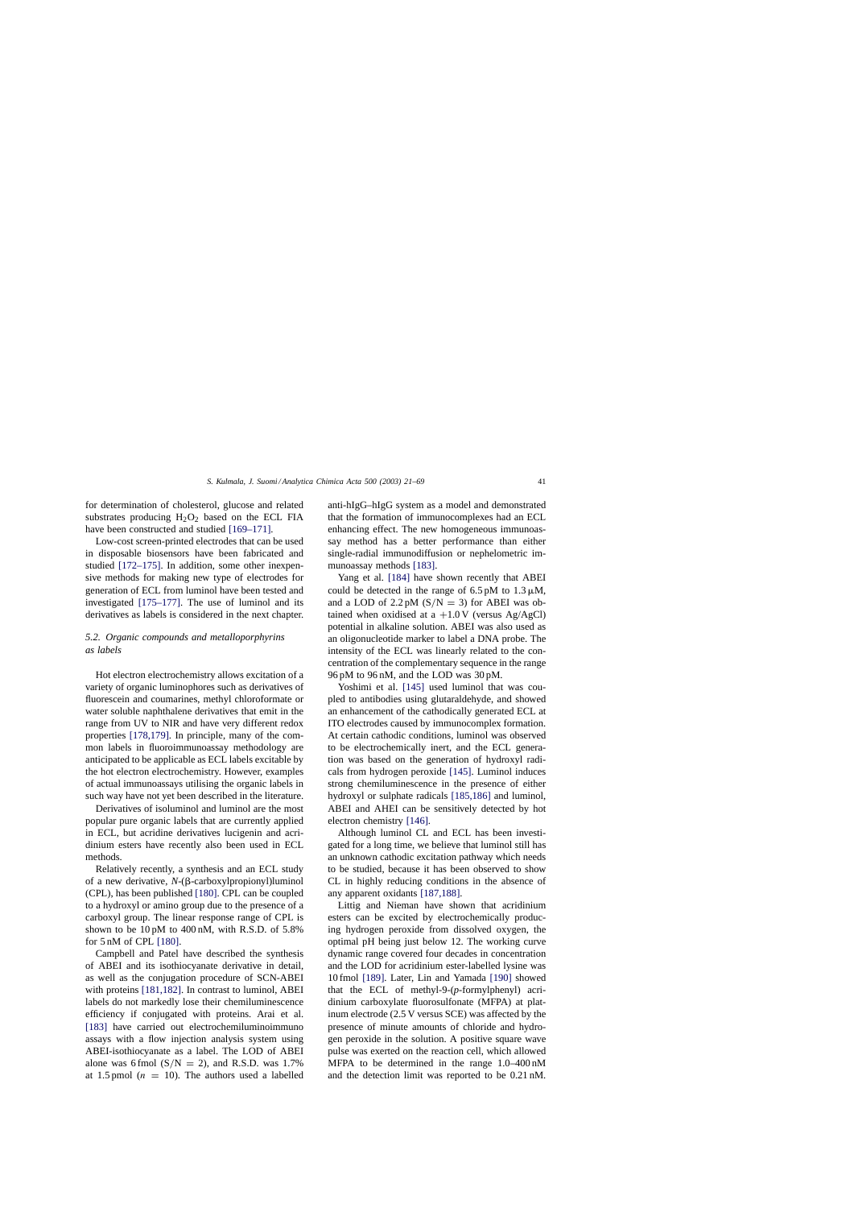for determination of cholesterol, glucose and related substrates producing  $H_2O_2$  based on the ECL FIA have been constructed and studied [\[169–171\].](#page-43-0)

Low-cost screen-printed electrodes that can be used in disposable biosensors have been fabricated and studied [\[172–175\].](#page-43-0) In addition, some other inexpensive methods for making new type of electrodes for generation of ECL from luminol have been tested and investigated [\[175–177\].](#page-43-0) The use of luminol and its derivatives as labels is considered in the next chapter.

# *5.2. Organic compounds and metalloporphyrins as labels*

Hot electron electrochemistry allows excitation of a variety of organic luminophores such as derivatives of fluorescein and coumarines, methyl chloroformate or water soluble naphthalene derivatives that emit in the range from UV to NIR and have very different redox properties [\[178,179\].](#page-43-0) In principle, many of the common labels in fluoroimmunoassay methodology are anticipated to be applicable as ECL labels excitable by the hot electron electrochemistry. However, examples of actual immunoassays utilising the organic labels in such way have not yet been described in the literature.

Derivatives of isoluminol and luminol are the most popular pure organic labels that are currently applied in ECL, but acridine derivatives lucigenin and acridinium esters have recently also been used in ECL methods.

Relatively recently, a synthesis and an ECL study of a new derivative, *N*-( $\beta$ -carboxylpropionyl)luminol (CPL), has been published [\[180\].](#page-43-0) CPL can be coupled to a hydroxyl or amino group due to the presence of a carboxyl group. The linear response range of CPL is shown to be 10 pM to 400 nM, with R.S.D. of 5.8% for 5 nM of CPL [\[180\].](#page-43-0)

Campbell and Patel have described the synthesis of ABEI and its isothiocyanate derivative in detail, as well as the conjugation procedure of SCN-ABEI with proteins [\[181,182\].](#page-43-0) In contrast to luminol, ABEI labels do not markedly lose their chemiluminescence efficiency if conjugated with proteins. Arai et al. [\[183\]](#page-43-0) have carried out electrochemiluminoimmuno assays with a flow injection analysis system using ABEI-isothiocyanate as a label. The LOD of ABEI alone was 6 fmol  $(S/N = 2)$ , and R.S.D. was 1.7% at 1.5 pmol ( $n = 10$ ). The authors used a labelled anti-hIgG–hIgG system as a model and demonstrated that the formation of immunocomplexes had an ECL enhancing effect. The new homogeneous immunoassay method has a better performance than either single-radial immunodiffusion or nephelometric immunoassay methods [\[183\].](#page-43-0)

Yang et al. [\[184\]](#page-43-0) have shown recently that ABEI could be detected in the range of  $6.5 \text{ pM}$  to  $1.3 \text{ µM}$ , and a LOD of  $2.2 \text{ pM}$  (S/N = 3) for ABEI was obtained when oxidised at a  $+1.0 \text{V}$  (versus Ag/AgCl) potential in alkaline solution. ABEI was also used as an oligonucleotide marker to label a DNA probe. The intensity of the ECL was linearly related to the concentration of the complementary sequence in the range 96 pM to 96 nM, and the LOD was 30 pM.

Yoshimi et al. [\[145\]](#page-43-0) used luminol that was coupled to antibodies using glutaraldehyde, and showed an enhancement of the cathodically generated ECL at ITO electrodes caused by immunocomplex formation. At certain cathodic conditions, luminol was observed to be electrochemically inert, and the ECL generation was based on the generation of hydroxyl radicals from hydrogen peroxide [\[145\].](#page-43-0) Luminol induces strong chemiluminescence in the presence of either hydroxyl or sulphate radicals [\[185,186\]](#page-43-0) and luminol, ABEI and AHEI can be sensitively detected by hot electron chemistry [\[146\].](#page-43-0)

Although luminol CL and ECL has been investigated for a long time, we believe that luminol still has an unknown cathodic excitation pathway which needs to be studied, because it has been observed to show CL in highly reducing conditions in the absence of any apparent oxidants [\[187,188\].](#page-43-0)

Littig and Nieman have shown that acridinium esters can be excited by electrochemically producing hydrogen peroxide from dissolved oxygen, the optimal pH being just below 12. The working curve dynamic range covered four decades in concentration and the LOD for acridinium ester-labelled lysine was 10 fmol [\[189\].](#page-43-0) Later, Lin and Yamada [\[190\]](#page-43-0) showed that the ECL of methyl-9-(*p*-formylphenyl) acridinium carboxylate fluorosulfonate (MFPA) at platinum electrode (2.5 V versus SCE) was affected by the presence of minute amounts of chloride and hydrogen peroxide in the solution. A positive square wave pulse was exerted on the reaction cell, which allowed MFPA to be determined in the range 1.0–400 nM and the detection limit was reported to be 0.21 nM.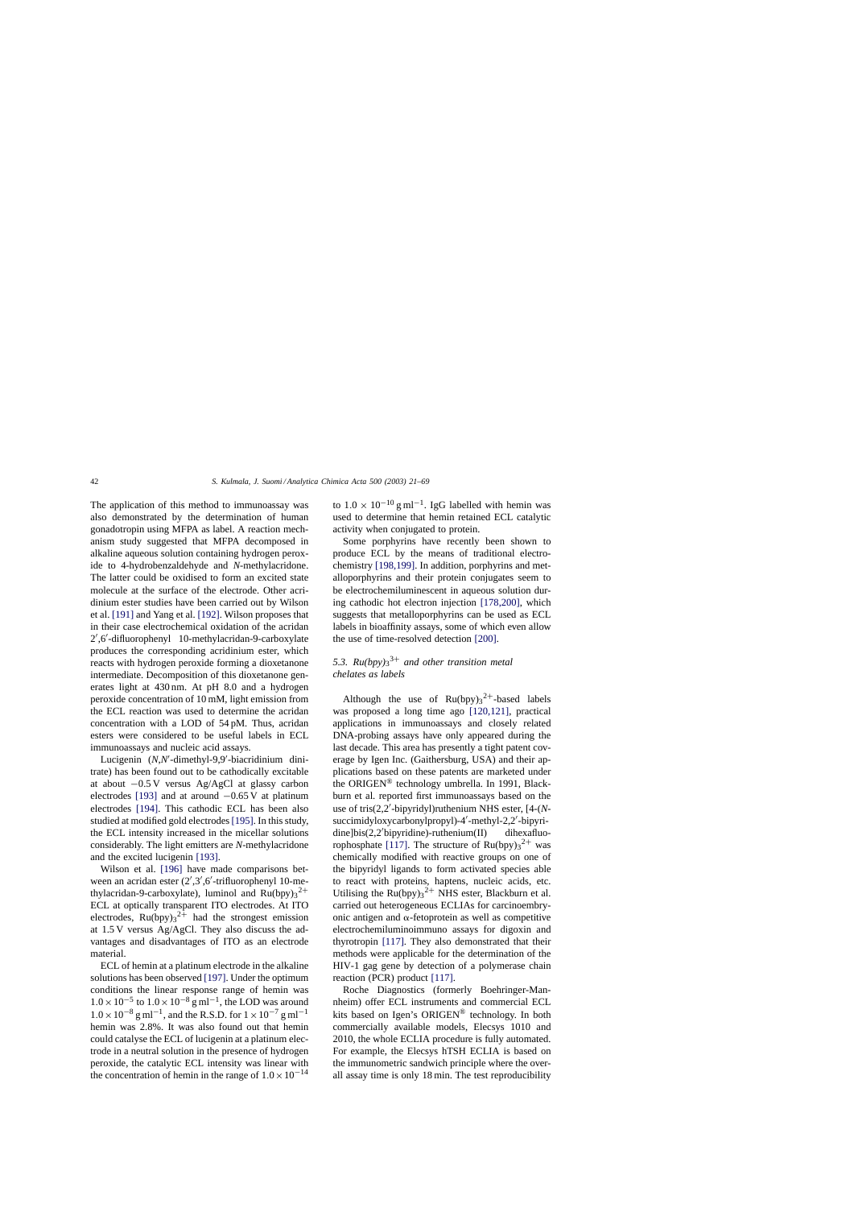The application of this method to immunoassay was also demonstrated by the determination of human gonadotropin using MFPA as label. A reaction mechanism study suggested that MFPA decomposed in alkaline aqueous solution containing hydrogen peroxide to 4-hydrobenzaldehyde and *N*-methylacridone. The latter could be oxidised to form an excited state molecule at the surface of the electrode. Other acridinium ester studies have been carried out by Wilson et al. [\[191\]](#page-43-0) and Yang et al. [\[192\]. W](#page-43-0)ilson proposes that in their case electrochemical oxidation of the acridan 2 ,6 -difluorophenyl 10-methylacridan-9-carboxylate produces the corresponding acridinium ester, which reacts with hydrogen peroxide forming a dioxetanone intermediate. Decomposition of this dioxetanone generates light at 430 nm. At pH 8.0 and a hydrogen peroxide concentration of 10 mM, light emission from the ECL reaction was used to determine the acridan concentration with a LOD of 54 pM. Thus, acridan esters were considered to be useful labels in ECL immunoassays and nucleic acid assays.

Lucigenin (*N*,*N* -dimethyl-9,9 -biacridinium dinitrate) has been found out to be cathodically excitable at about −0.5 V versus Ag/AgCl at glassy carbon electrodes [\[193\]](#page-43-0) and at around  $-0.65$  V at platinum electrodes [\[194\].](#page-43-0) This cathodic ECL has been also studied at modified gold electrodes[\[195\]. I](#page-43-0)n this study, the ECL intensity increased in the micellar solutions considerably. The light emitters are *N*-methylacridone and the excited lucigenin [\[193\].](#page-43-0)

Wilson et al. [\[196\]](#page-43-0) have made comparisons between an acridan ester  $(2', 3', 6'$ -trifluorophenyl 10-methylacridan-9-carboxylate), luminol and  $Ru(bpy)_{3}^{2+}$ ECL at optically transparent ITO electrodes. At ITO electrodes,  $Ru(bpy)_{3}^{2+}$  had the strongest emission at 1.5 V versus Ag/AgCl. They also discuss the advantages and disadvantages of ITO as an electrode material.

ECL of hemin at a platinum electrode in the alkaline solutions has been observed [\[197\]. U](#page-43-0)nder the optimum conditions the linear response range of hemin was  $1.0\times10^{-5}$  to  $1.0\times10^{-8}$  g ml<sup>-1</sup>, the LOD was around  $1.0 \times 10^{-8}$  g ml<sup>-1</sup>, and the R.S.D. for  $1 \times 10^{-7}$  g ml<sup>-1</sup> hemin was 2.8%. It was also found out that hemin could catalyse the ECL of lucigenin at a platinum electrode in a neutral solution in the presence of hydrogen peroxide, the catalytic ECL intensity was linear with the concentration of hemin in the range of  $1.0 \times 10^{-14}$  to  $1.0 \times 10^{-10}$  g ml<sup>-1</sup>. IgG labelled with hemin was used to determine that hemin retained ECL catalytic activity when conjugated to protein.

Some porphyrins have recently been shown to produce ECL by the means of traditional electrochemistry [\[198,199\].](#page-43-0) In addition, porphyrins and metalloporphyrins and their protein conjugates seem to be electrochemiluminescent in aqueous solution during cathodic hot electron injection [\[178,200\],](#page-43-0) which suggests that metalloporphyrins can be used as ECL labels in bioaffinity assays, some of which even allow the use of time-resolved detection [\[200\].](#page-44-0)

# *5.3. Ru(bpy)*<sup>3</sup> <sup>3</sup><sup>+</sup> *and other transition metal chelates as labels*

Although the use of  $Ru(bpy)_{3}^{2+}$ -based labels was proposed a long time ago [\[120,121\],](#page-42-0) practical applications in immunoassays and closely related DNA-probing assays have only appeared during the last decade. This area has presently a tight patent coverage by Igen Inc. (Gaithersburg, USA) and their applications based on these patents are marketed under the ORIGEN® technology umbrella. In 1991, Blackburn et al. reported first immunoassays based on the use of tris(2,2 -bipyridyl)ruthenium NHS ester, [4-(*N*succimidyloxycarbonylpropyl)-4 -methyl-2,2 -bipyridine]bis(2,2 bipyridine)-ruthenium(II) dihexafluo-rophosphate [\[117\].](#page-42-0) The structure of  $Ru(bpy)_{3}^{2+}$  was chemically modified with reactive groups on one of the bipyridyl ligands to form activated species able to react with proteins, haptens, nucleic acids, etc. Utilising the  $Ru(bpy)_{3}^{2+}$  NHS ester, Blackburn et al. carried out heterogeneous ECLIAs for carcinoembryonic antigen and  $\alpha$ -fetoprotein as well as competitive electrochemiluminoimmuno assays for digoxin and thyrotropin [\[117\].](#page-42-0) They also demonstrated that their methods were applicable for the determination of the HIV-1 gag gene by detection of a polymerase chain reaction (PCR) product [\[117\].](#page-42-0)

Roche Diagnostics (formerly Boehringer-Mannheim) offer ECL instruments and commercial ECL kits based on Igen's ORIGEN® technology. In both commercially available models, Elecsys 1010 and 2010, the whole ECLIA procedure is fully automated. For example, the Elecsys hTSH ECLIA is based on the immunometric sandwich principle where the overall assay time is only 18 min. The test reproducibility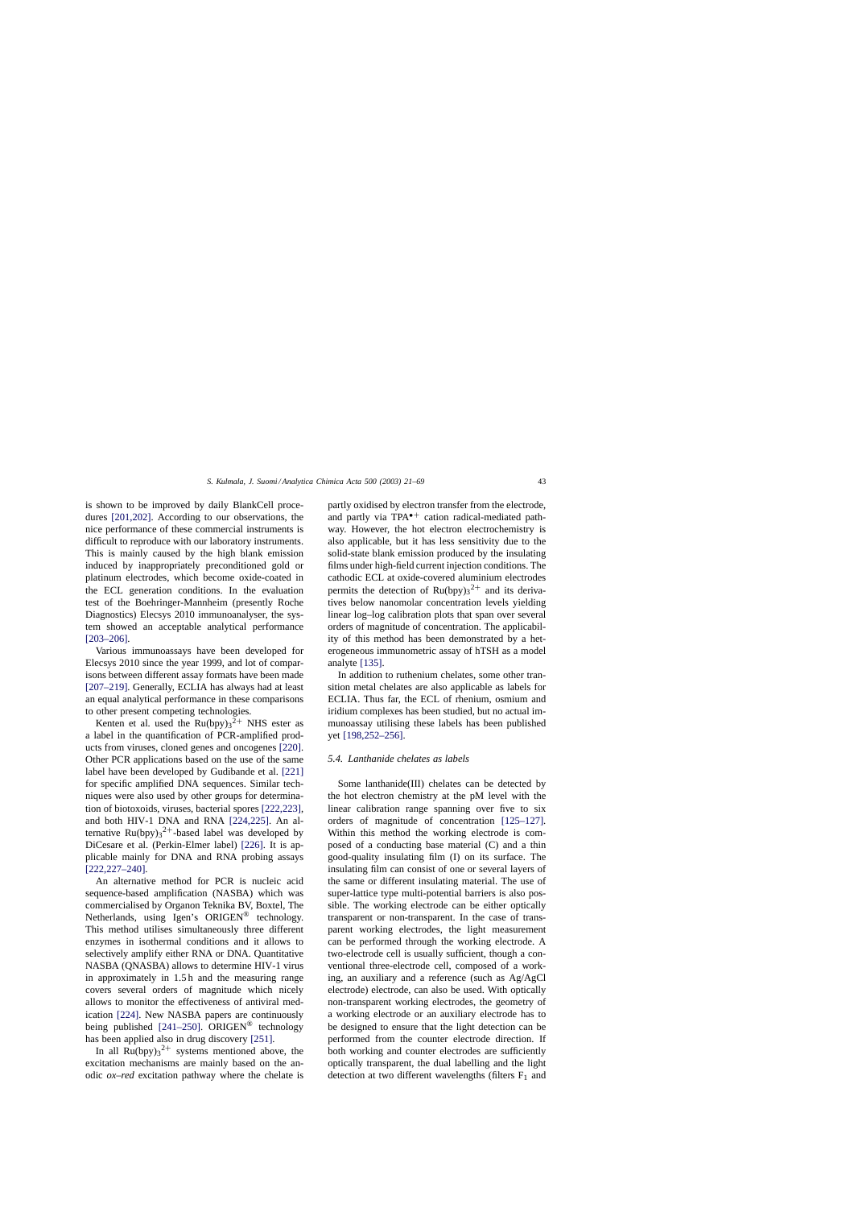is shown to be improved by daily BlankCell procedures [\[201,202\].](#page-44-0) According to our observations, the nice performance of these commercial instruments is difficult to reproduce with our laboratory instruments. This is mainly caused by the high blank emission induced by inappropriately preconditioned gold or platinum electrodes, which become oxide-coated in the ECL generation conditions. In the evaluation test of the Boehringer-Mannheim (presently Roche Diagnostics) Elecsys 2010 immunoanalyser, the system showed an acceptable analytical performance [\[203–206\].](#page-44-0)

Various immunoassays have been developed for Elecsys 2010 since the year 1999, and lot of comparisons between different assay formats have been made [\[207–219\].](#page-44-0) Generally, ECLIA has always had at least an equal analytical performance in these comparisons to other present competing technologies.

Kenten et al. used the  $Ru(bpy)_{3}^{2+}$  NHS ester as a label in the quantification of PCR-amplified products from viruses, cloned genes and oncogenes [\[220\].](#page-44-0) Other PCR applications based on the use of the same label have been developed by Gudibande et al. [\[221\]](#page-44-0) for specific amplified DNA sequences. Similar techniques were also used by other groups for determination of biotoxoids, viruses, bacterial spores [\[222,223\],](#page-44-0) and both HIV-1 DNA and RNA [\[224,225\].](#page-44-0) An alternative  $Ru(bpy)_{3}^{2+}$ -based label was developed by DiCesare et al. (Perkin-Elmer label) [\[226\].](#page-44-0) It is applicable mainly for DNA and RNA probing assays [\[222,227–240\].](#page-44-0)

An alternative method for PCR is nucleic acid sequence-based amplification (NASBA) which was commercialised by Organon Teknika BV, Boxtel, The Netherlands, using Igen's ORIGEN® technology. This method utilises simultaneously three different enzymes in isothermal conditions and it allows to selectively amplify either RNA or DNA. Quantitative NASBA (QNASBA) allows to determine HIV-1 virus in approximately in 1.5 h and the measuring range covers several orders of magnitude which nicely allows to monitor the effectiveness of antiviral medication [\[224\].](#page-44-0) New NASBA papers are continuously being published [241-250]. ORIGEN<sup>®</sup> technology has been applied also in drug discovery [\[251\].](#page-45-0)

In all  $Ru(bpy)_{3}^{2+}$  systems mentioned above, the excitation mechanisms are mainly based on the anodic *ox–red* excitation pathway where the chelate is partly oxidised by electron transfer from the electrode, and partly via  $TPA^*$  cation radical-mediated pathway. However, the hot electron electrochemistry is also applicable, but it has less sensitivity due to the solid-state blank emission produced by the insulating films under high-field current injection conditions. The cathodic ECL at oxide-covered aluminium electrodes permits the detection of  $Ru(bpy)_{3}^{2+}$  and its derivatives below nanomolar concentration levels yielding linear log–log calibration plots that span over several orders of magnitude of concentration. The applicability of this method has been demonstrated by a heterogeneous immunometric assay of hTSH as a model analyte [\[135\].](#page-43-0)

In addition to ruthenium chelates, some other transition metal chelates are also applicable as labels for ECLIA. Thus far, the ECL of rhenium, osmium and iridium complexes has been studied, but no actual immunoassay utilising these labels has been published yet [\[198,252–256\].](#page-43-0)

#### *5.4. Lanthanide chelates as labels*

Some lanthanide(III) chelates can be detected by the hot electron chemistry at the pM level with the linear calibration range spanning over five to six orders of magnitude of concentration [\[125–127\].](#page-42-0) Within this method the working electrode is composed of a conducting base material (C) and a thin good-quality insulating film (I) on its surface. The insulating film can consist of one or several layers of the same or different insulating material. The use of super-lattice type multi-potential barriers is also possible. The working electrode can be either optically transparent or non-transparent. In the case of transparent working electrodes, the light measurement can be performed through the working electrode. A two-electrode cell is usually sufficient, though a conventional three-electrode cell, composed of a working, an auxiliary and a reference (such as Ag/AgCl electrode) electrode, can also be used. With optically non-transparent working electrodes, the geometry of a working electrode or an auxiliary electrode has to be designed to ensure that the light detection can be performed from the counter electrode direction. If both working and counter electrodes are sufficiently optically transparent, the dual labelling and the light detection at two different wavelengths (filters  $F_1$  and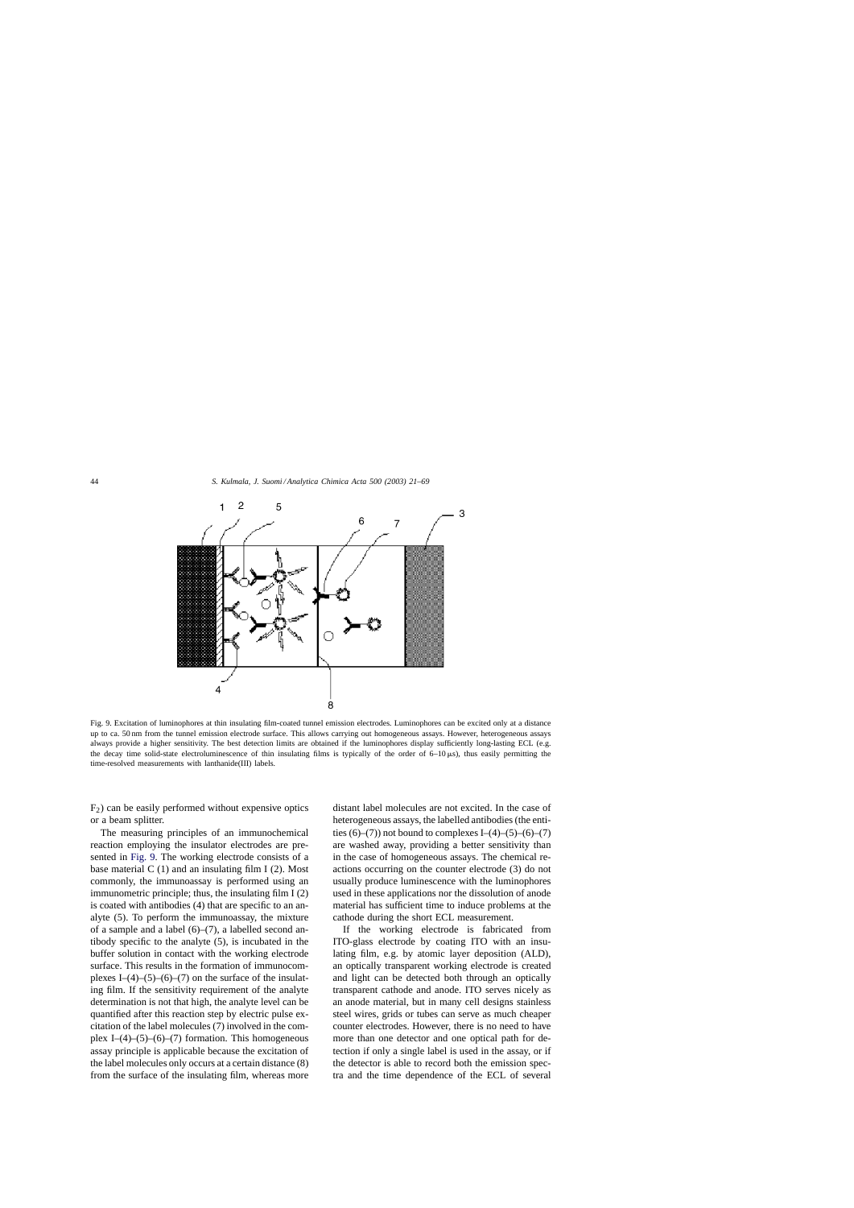

Fig. 9. Excitation of luminophores at thin insulating film-coated tunnel emission electrodes. Luminophores can be excited only at a distance up to ca. 50 nm from the tunnel emission electrode surface. This allows carrying out homogeneous assays. However, heterogeneous assays always provide a higher sensitivity. The best detection limits are obtained if the luminophores display sufficiently long-lasting ECL (e.g. the decay time solid-state electroluminescence of thin insulating films is typically of the order of  $6-10 \,\mu s$ ), thus easily permitting the time-resolved measurements with lanthanide(III) labels.

 $F<sub>2</sub>$ ) can be easily performed without expensive optics or a beam splitter.

The measuring principles of an immunochemical reaction employing the insulator electrodes are presented in Fig. 9. The working electrode consists of a base material  $C(1)$  and an insulating film I (2). Most commonly, the immunoassay is performed using an immunometric principle; thus, the insulating film I (2) is coated with antibodies (4) that are specific to an analyte (5). To perform the immunoassay, the mixture of a sample and a label (6)–(7), a labelled second antibody specific to the analyte (5), is incubated in the buffer solution in contact with the working electrode surface. This results in the formation of immunocomplexes I– $(4)$ – $(5)$ – $(6)$ – $(7)$  on the surface of the insulating film. If the sensitivity requirement of the analyte determination is not that high, the analyte level can be quantified after this reaction step by electric pulse excitation of the label molecules (7) involved in the complex I– $(4)$ – $(5)$ – $(6)$ – $(7)$  formation. This homogeneous assay principle is applicable because the excitation of the label molecules only occurs at a certain distance (8) from the surface of the insulating film, whereas more

distant label molecules are not excited. In the case of heterogeneous assays, the labelled antibodies (the entities  $(6)$ – $(7)$ ) not bound to complexes I– $(4)$ – $(5)$ – $(6)$ – $(7)$ are washed away, providing a better sensitivity than in the case of homogeneous assays. The chemical reactions occurring on the counter electrode (3) do not usually produce luminescence with the luminophores used in these applications nor the dissolution of anode material has sufficient time to induce problems at the cathode during the short ECL measurement.

If the working electrode is fabricated from ITO-glass electrode by coating ITO with an insulating film, e.g. by atomic layer deposition (ALD), an optically transparent working electrode is created and light can be detected both through an optically transparent cathode and anode. ITO serves nicely as an anode material, but in many cell designs stainless steel wires, grids or tubes can serve as much cheaper counter electrodes. However, there is no need to have more than one detector and one optical path for detection if only a single label is used in the assay, or if the detector is able to record both the emission spectra and the time dependence of the ECL of several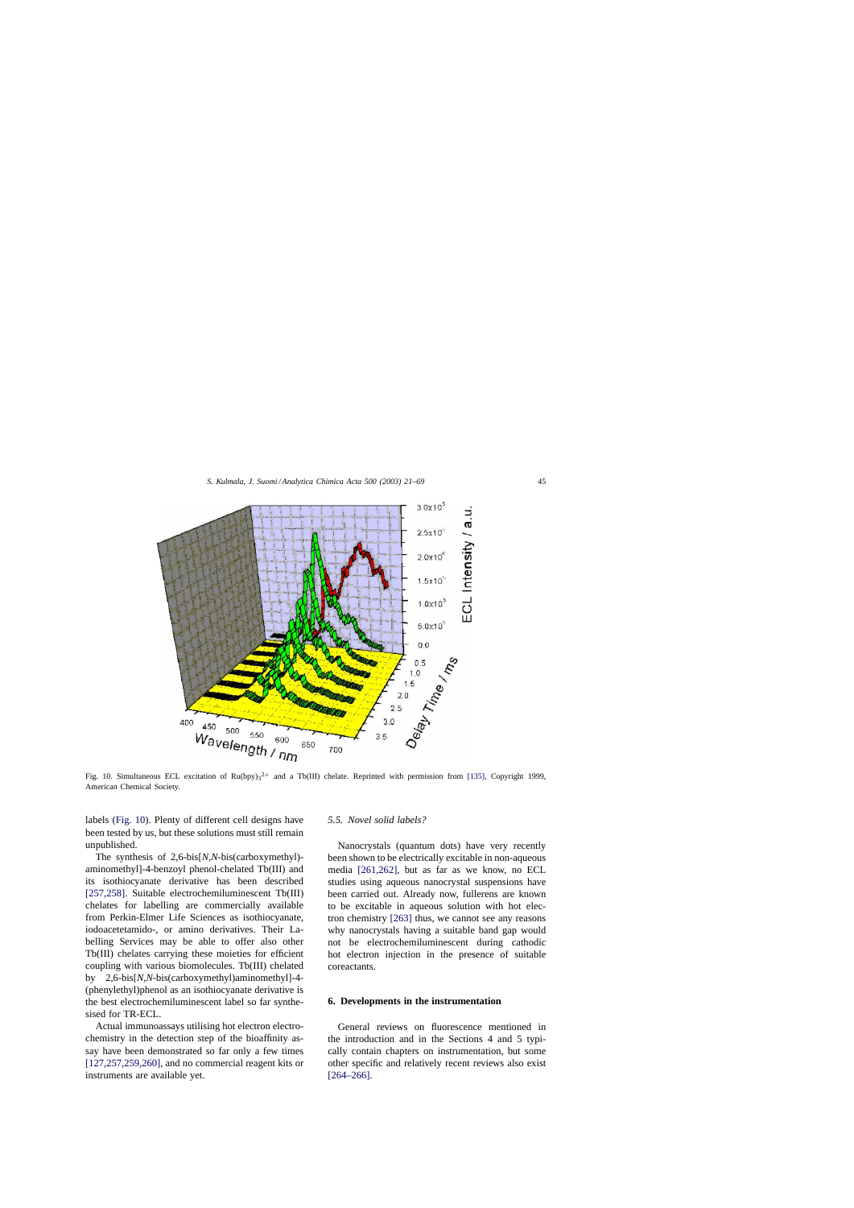

Fig. 10. Simultaneous ECL excitation of  $Ru(bpy)_{3}^{2+}$  and a Tb(III) chelate. Reprinted with permission from [\[135\],](#page-43-0) Copyright 1999, American Chemical Society.

labels (Fig. 10). Plenty of different cell designs have been tested by us, but these solutions must still remain unpublished.

The synthesis of 2,6-bis[*N*,*N*-bis(carboxymethyl) aminomethyl]-4-benzoyl phenol-chelated Tb(III) and its isothiocyanate derivative has been described [\[257,258\].](#page-45-0) Suitable electrochemiluminescent Tb(III) chelates for labelling are commercially available from Perkin-Elmer Life Sciences as isothiocyanate, iodoacetetamido-, or amino derivatives. Their Labelling Services may be able to offer also other Tb(III) chelates carrying these moieties for efficient coupling with various biomolecules. Tb(III) chelated by 2,6-bis[*N*,*N*-bis(carboxymethyl)aminomethyl]-4- (phenylethyl)phenol as an isothiocyanate derivative is the best electrochemiluminescent label so far synthesised for TR-ECL.

Actual immunoassays utilising hot electron electrochemistry in the detection step of the bioaffinity assay have been demonstrated so far only a few times [\[127,257,259,260\],](#page-42-0) and no commercial reagent kits or instruments are available yet.

#### *5.5. Novel solid labels?*

Nanocrystals (quantum dots) have very recently been shown to be electrically excitable in non-aqueous media [\[261,262\],](#page-45-0) but as far as we know, no ECL studies using aqueous nanocrystal suspensions have been carried out. Already now, fullerens are known to be excitable in aqueous solution with hot electron chemistry [\[263\]](#page-45-0) thus, we cannot see any reasons why nanocrystals having a suitable band gap would not be electrochemiluminescent during cathodic hot electron injection in the presence of suitable coreactants.

#### **6. Developments in the instrumentation**

General reviews on fluorescence mentioned in the introduction and in the Sections 4 and 5 typically contain chapters on instrumentation, but some other specific and relatively recent reviews also exist [\[264–266\].](#page-45-0)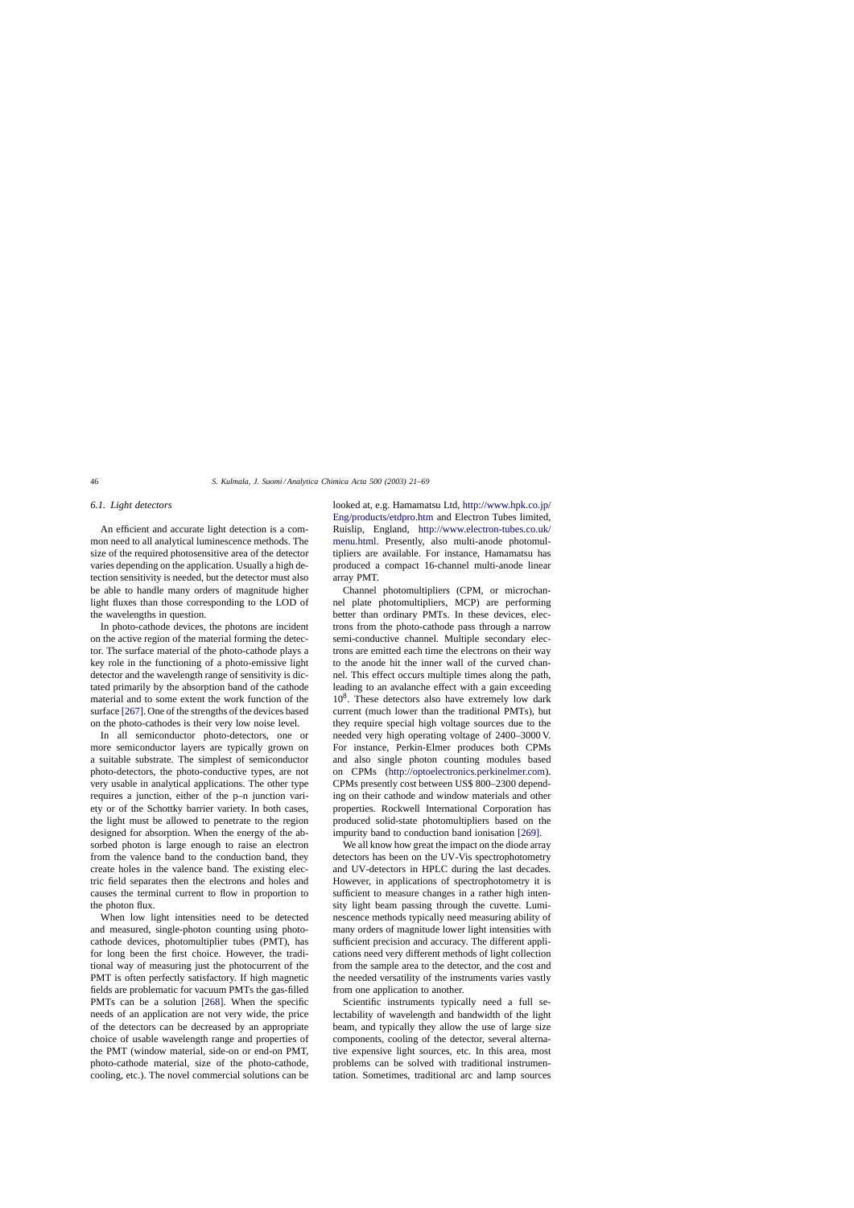## *6.1. Light detectors*

An efficient and accurate light detection is a common need to all analytical luminescence methods. The size of the required photosensitive area of the detector varies depending on the application. Usually a high detection sensitivity is needed, but the detector must also be able to handle many orders of magnitude higher light fluxes than those corresponding to the LOD of the wavelengths in question.

In photo-cathode devices, the photons are incident on the active region of the material forming the detector. The surface material of the photo-cathode plays a key role in the functioning of a photo-emissive light detector and the wavelength range of sensitivity is dictated primarily by the absorption band of the cathode material and to some extent the work function of the surface [\[267\]. O](#page-45-0)ne of the strengths of the devices based on the photo-cathodes is their very low noise level.

In all semiconductor photo-detectors, one or more semiconductor layers are typically grown on a suitable substrate. The simplest of semiconductor photo-detectors, the photo-conductive types, are not very usable in analytical applications. The other type requires a junction, either of the p–n junction variety or of the Schottky barrier variety. In both cases, the light must be allowed to penetrate to the region designed for absorption. When the energy of the absorbed photon is large enough to raise an electron from the valence band to the conduction band, they create holes in the valence band. The existing electric field separates then the electrons and holes and causes the terminal current to flow in proportion to the photon flux.

When low light intensities need to be detected and measured, single-photon counting using photocathode devices, photomultiplier tubes (PMT), has for long been the first choice. However, the traditional way of measuring just the photocurrent of the PMT is often perfectly satisfactory. If high magnetic fields are problematic for vacuum PMTs the gas-filled PMTs can be a solution [\[268\].](#page-45-0) When the specific needs of an application are not very wide, the price of the detectors can be decreased by an appropriate choice of usable wavelength range and properties of the PMT (window material, side-on or end-on PMT, photo-cathode material, size of the photo-cathode, cooling, etc.). The novel commercial solutions can be looked at, e.g. Hamamatsu Ltd, [http://www.hpk.co.jp/](http://www.hpk.co.jp/Eng/products/etdpro.htm) [Eng/products/etdpro.htm](http://www.hpk.co.jp/Eng/products/etdpro.htm) and Electron Tubes limited, Ruislip, England, [http://www.electron-tubes.co.uk/](http://www.electron-tubes.co.uk/menu.html) [menu.html](http://www.electron-tubes.co.uk/menu.html). Presently, also multi-anode photomultipliers are available. For instance, Hamamatsu has produced a compact 16-channel multi-anode linear array PMT.

Channel photomultipliers (CPM, or microchannel plate photomultipliers, MCP) are performing better than ordinary PMTs. In these devices, electrons from the photo-cathode pass through a narrow semi-conductive channel. Multiple secondary electrons are emitted each time the electrons on their way to the anode hit the inner wall of the curved channel. This effect occurs multiple times along the path, leading to an avalanche effect with a gain exceeding  $10<sup>8</sup>$ . These detectors also have extremely low dark current (much lower than the traditional PMTs), but they require special high voltage sources due to the needed very high operating voltage of 2400–3000 V. For instance, Perkin-Elmer produces both CPMs and also single photon counting modules based on CPMs [\(http://optoelectronics.perkinelmer.com\)](http://optoelectronics.perkinelmer.com). CPMs presently cost between US\$ 800–2300 depending on their cathode and window materials and other properties. Rockwell International Corporation has produced solid-state photomultipliers based on the impurity band to conduction band ionisation [\[269\].](#page-45-0)

We all know how great the impact on the diode array detectors has been on the UV-Vis spectrophotometry and UV-detectors in HPLC during the last decades. However, in applications of spectrophotometry it is sufficient to measure changes in a rather high intensity light beam passing through the cuvette. Luminescence methods typically need measuring ability of many orders of magnitude lower light intensities with sufficient precision and accuracy. The different applications need very different methods of light collection from the sample area to the detector, and the cost and the needed versatility of the instruments varies vastly from one application to another.

Scientific instruments typically need a full selectability of wavelength and bandwidth of the light beam, and typically they allow the use of large size components, cooling of the detector, several alternative expensive light sources, etc. In this area, most problems can be solved with traditional instrumentation. Sometimes, traditional arc and lamp sources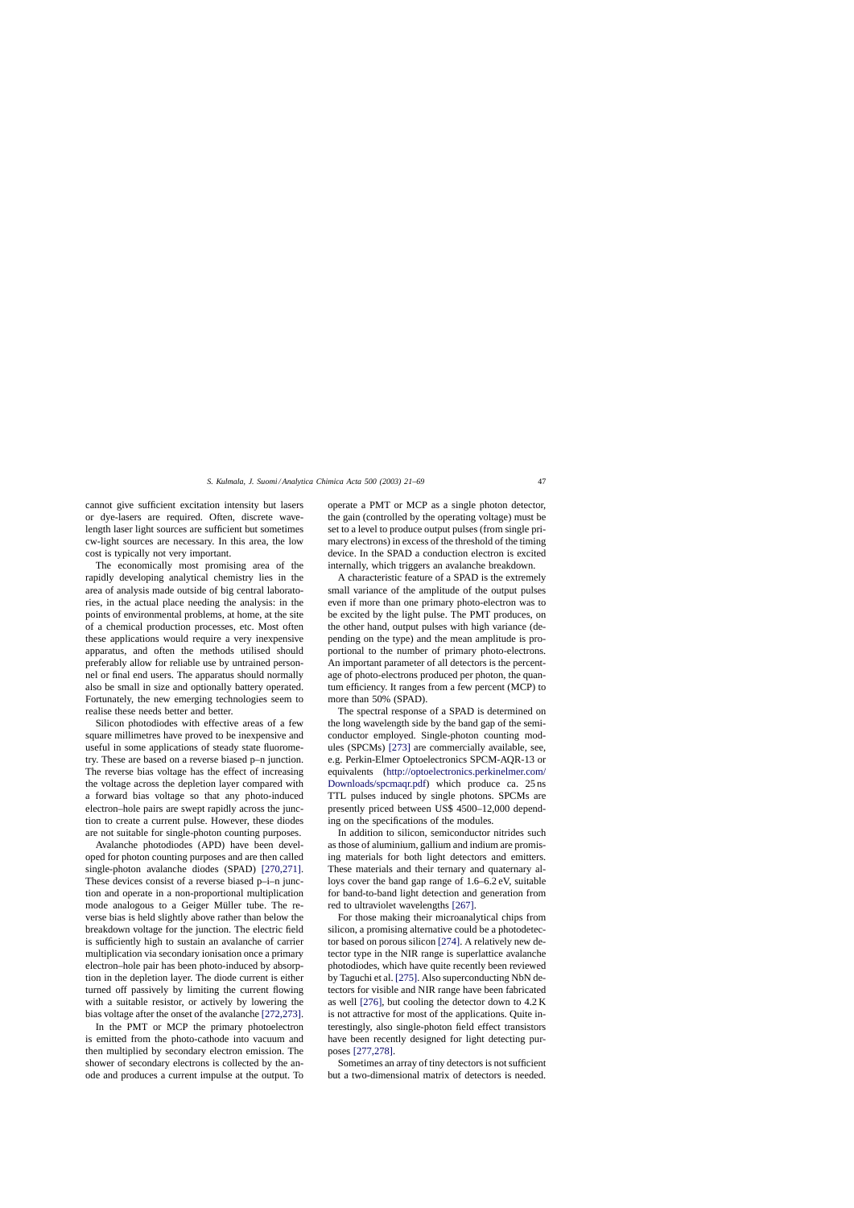cannot give sufficient excitation intensity but lasers or dye-lasers are required. Often, discrete wavelength laser light sources are sufficient but sometimes cw-light sources are necessary. In this area, the low cost is typically not very important.

The economically most promising area of the rapidly developing analytical chemistry lies in the area of analysis made outside of big central laboratories, in the actual place needing the analysis: in the points of environmental problems, at home, at the site of a chemical production processes, etc. Most often these applications would require a very inexpensive apparatus, and often the methods utilised should preferably allow for reliable use by untrained personnel or final end users. The apparatus should normally also be small in size and optionally battery operated. Fortunately, the new emerging technologies seem to realise these needs better and better.

Silicon photodiodes with effective areas of a few square millimetres have proved to be inexpensive and useful in some applications of steady state fluorometry. These are based on a reverse biased p–n junction. The reverse bias voltage has the effect of increasing the voltage across the depletion layer compared with a forward bias voltage so that any photo-induced electron–hole pairs are swept rapidly across the junction to create a current pulse. However, these diodes are not suitable for single-photon counting purposes.

Avalanche photodiodes (APD) have been developed for photon counting purposes and are then called single-photon avalanche diodes (SPAD) [\[270,271\].](#page-45-0) These devices consist of a reverse biased p–i–n junction and operate in a non-proportional multiplication mode analogous to a Geiger Müller tube. The reverse bias is held slightly above rather than below the breakdown voltage for the junction. The electric field is sufficiently high to sustain an avalanche of carrier multiplication via secondary ionisation once a primary electron–hole pair has been photo-induced by absorption in the depletion layer. The diode current is either turned off passively by limiting the current flowing with a suitable resistor, or actively by lowering the bias voltage after the onset of the avalanche [\[272,273\].](#page-45-0)

In the PMT or MCP the primary photoelectron is emitted from the photo-cathode into vacuum and then multiplied by secondary electron emission. The shower of secondary electrons is collected by the anode and produces a current impulse at the output. To

operate a PMT or MCP as a single photon detector, the gain (controlled by the operating voltage) must be set to a level to produce output pulses (from single primary electrons) in excess of the threshold of the timing device. In the SPAD a conduction electron is excited internally, which triggers an avalanche breakdown.

A characteristic feature of a SPAD is the extremely small variance of the amplitude of the output pulses even if more than one primary photo-electron was to be excited by the light pulse. The PMT produces, on the other hand, output pulses with high variance (depending on the type) and the mean amplitude is proportional to the number of primary photo-electrons. An important parameter of all detectors is the percentage of photo-electrons produced per photon, the quantum efficiency. It ranges from a few percent (MCP) to more than 50% (SPAD).

The spectral response of a SPAD is determined on the long wavelength side by the band gap of the semiconductor employed. Single-photon counting modules (SPCMs) [\[273\]](#page-45-0) are commercially available, see, e.g. Perkin-Elmer Optoelectronics SPCM-AQR-13 or equivalents [\(http://optoelectronics.perkinelmer.com/](http://optoelectronics.perkinelmer.com/Downloads/spcmaqr.pdf) [Downloads/spcmaqr.pdf](http://optoelectronics.perkinelmer.com/Downloads/spcmaqr.pdf)) which produce ca. 25 ns TTL pulses induced by single photons. SPCMs are presently priced between US\$ 4500–12,000 depending on the specifications of the modules.

In addition to silicon, semiconductor nitrides such as those of aluminium, gallium and indium are promising materials for both light detectors and emitters. These materials and their ternary and quaternary alloys cover the band gap range of 1.6–6.2 eV, suitable for band-to-band light detection and generation from red to ultraviolet wavelengths [\[267\].](#page-45-0)

For those making their microanalytical chips from silicon, a promising alternative could be a photodetector based on porous silicon [\[274\]. A](#page-45-0) relatively new detector type in the NIR range is superlattice avalanche photodiodes, which have quite recently been reviewed by Taguchi et al. [\[275\]. A](#page-45-0)lso superconducting NbN detectors for visible and NIR range have been fabricated as well [\[276\],](#page-45-0) but cooling the detector down to 4.2 K is not attractive for most of the applications. Quite interestingly, also single-photon field effect transistors have been recently designed for light detecting purposes [\[277,278\].](#page-45-0)

Sometimes an array of tiny detectors is not sufficient but a two-dimensional matrix of detectors is needed.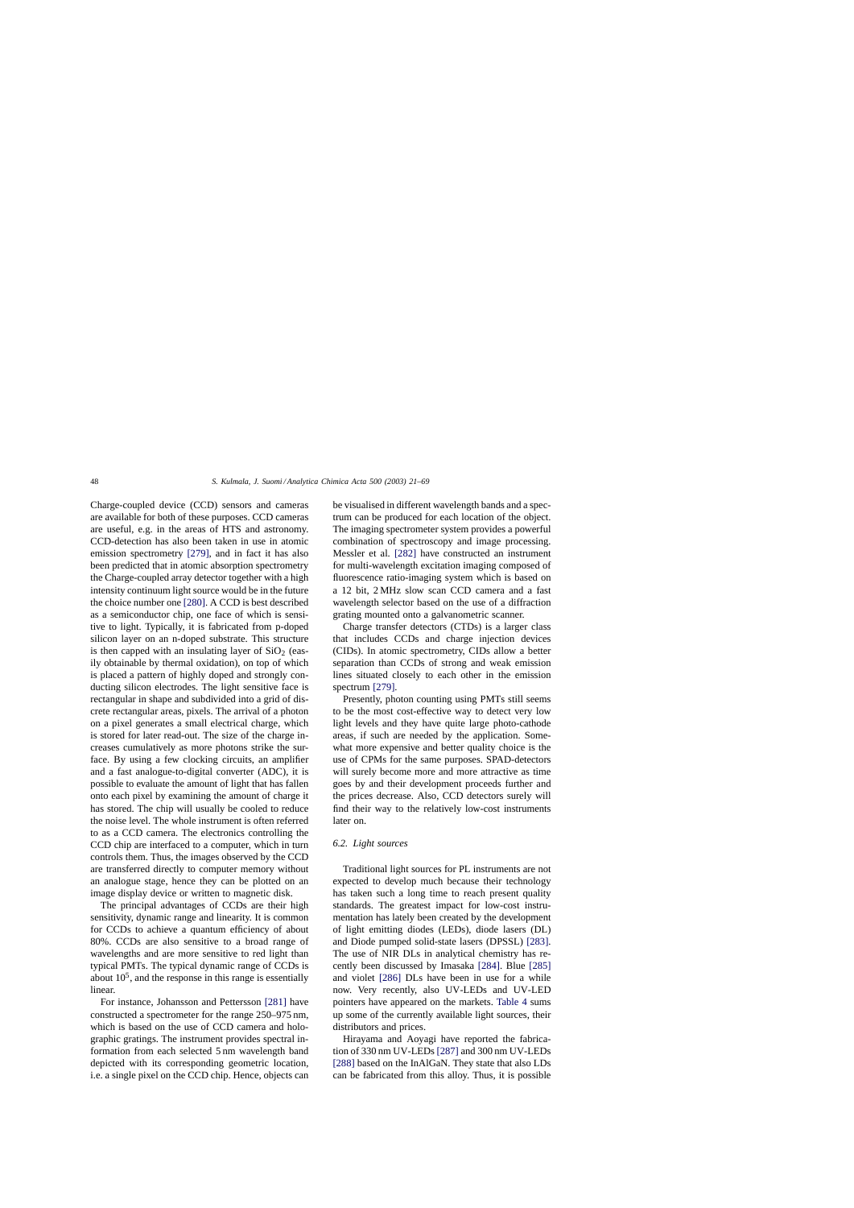Charge-coupled device (CCD) sensors and cameras are available for both of these purposes. CCD cameras are useful, e.g. in the areas of HTS and astronomy. CCD-detection has also been taken in use in atomic emission spectrometry [\[279\],](#page-45-0) and in fact it has also been predicted that in atomic absorption spectrometry the Charge-coupled array detector together with a high intensity continuum light source would be in the future the choice number one [\[280\]. A](#page-45-0) CCD is best described as a semiconductor chip, one face of which is sensitive to light. Typically, it is fabricated from p-doped silicon layer on an n-doped substrate. This structure is then capped with an insulating layer of  $SiO<sub>2</sub>$  (easily obtainable by thermal oxidation), on top of which is placed a pattern of highly doped and strongly conducting silicon electrodes. The light sensitive face is rectangular in shape and subdivided into a grid of discrete rectangular areas, pixels. The arrival of a photon on a pixel generates a small electrical charge, which is stored for later read-out. The size of the charge increases cumulatively as more photons strike the surface. By using a few clocking circuits, an amplifier and a fast analogue-to-digital converter (ADC), it is possible to evaluate the amount of light that has fallen onto each pixel by examining the amount of charge it has stored. The chip will usually be cooled to reduce the noise level. The whole instrument is often referred to as a CCD camera. The electronics controlling the CCD chip are interfaced to a computer, which in turn controls them. Thus, the images observed by the CCD are transferred directly to computer memory without an analogue stage, hence they can be plotted on an image display device or written to magnetic disk.

The principal advantages of CCDs are their high sensitivity, dynamic range and linearity. It is common for CCDs to achieve a quantum efficiency of about 80%. CCDs are also sensitive to a broad range of wavelengths and are more sensitive to red light than typical PMTs. The typical dynamic range of CCDs is about  $10<sup>5</sup>$ , and the response in this range is essentially linear.

For instance, Johansson and Pettersson [\[281\]](#page-45-0) have constructed a spectrometer for the range 250–975 nm, which is based on the use of CCD camera and holographic gratings. The instrument provides spectral information from each selected 5 nm wavelength band depicted with its corresponding geometric location, i.e. a single pixel on the CCD chip. Hence, objects can be visualised in different wavelength bands and a spectrum can be produced for each location of the object. The imaging spectrometer system provides a powerful combination of spectroscopy and image processing. Messler et al. [\[282\]](#page-45-0) have constructed an instrument for multi-wavelength excitation imaging composed of fluorescence ratio-imaging system which is based on a 12 bit, 2 MHz slow scan CCD camera and a fast wavelength selector based on the use of a diffraction grating mounted onto a galvanometric scanner.

Charge transfer detectors (CTDs) is a larger class that includes CCDs and charge injection devices (CIDs). In atomic spectrometry, CIDs allow a better separation than CCDs of strong and weak emission lines situated closely to each other in the emission spectrum [\[279\].](#page-45-0)

Presently, photon counting using PMTs still seems to be the most cost-effective way to detect very low light levels and they have quite large photo-cathode areas, if such are needed by the application. Somewhat more expensive and better quality choice is the use of CPMs for the same purposes. SPAD-detectors will surely become more and more attractive as time goes by and their development proceeds further and the prices decrease. Also, CCD detectors surely will find their way to the relatively low-cost instruments later on.

### *6.2. Light sources*

Traditional light sources for PL instruments are not expected to develop much because their technology has taken such a long time to reach present quality standards. The greatest impact for low-cost instrumentation has lately been created by the development of light emitting diodes (LEDs), diode lasers (DL) and Diode pumped solid-state lasers (DPSSL) [\[283\].](#page-45-0) The use of NIR DLs in analytical chemistry has recently been discussed by Imasaka [\[284\].](#page-45-0) Blue [\[285\]](#page-45-0) and violet [\[286\]](#page-45-0) DLs have been in use for a while now. Very recently, also UV-LEDs and UV-LED pointers have appeared on the markets. [Table 4](#page-28-0) sums up some of the currently available light sources, their distributors and prices.

Hirayama and Aoyagi have reported the fabrication of 330 nm UV-LEDs [\[287\]](#page-45-0) and 300 nm UV-LEDs [\[288\]](#page-45-0) based on the InAlGaN. They state that also LDs can be fabricated from this alloy. Thus, it is possible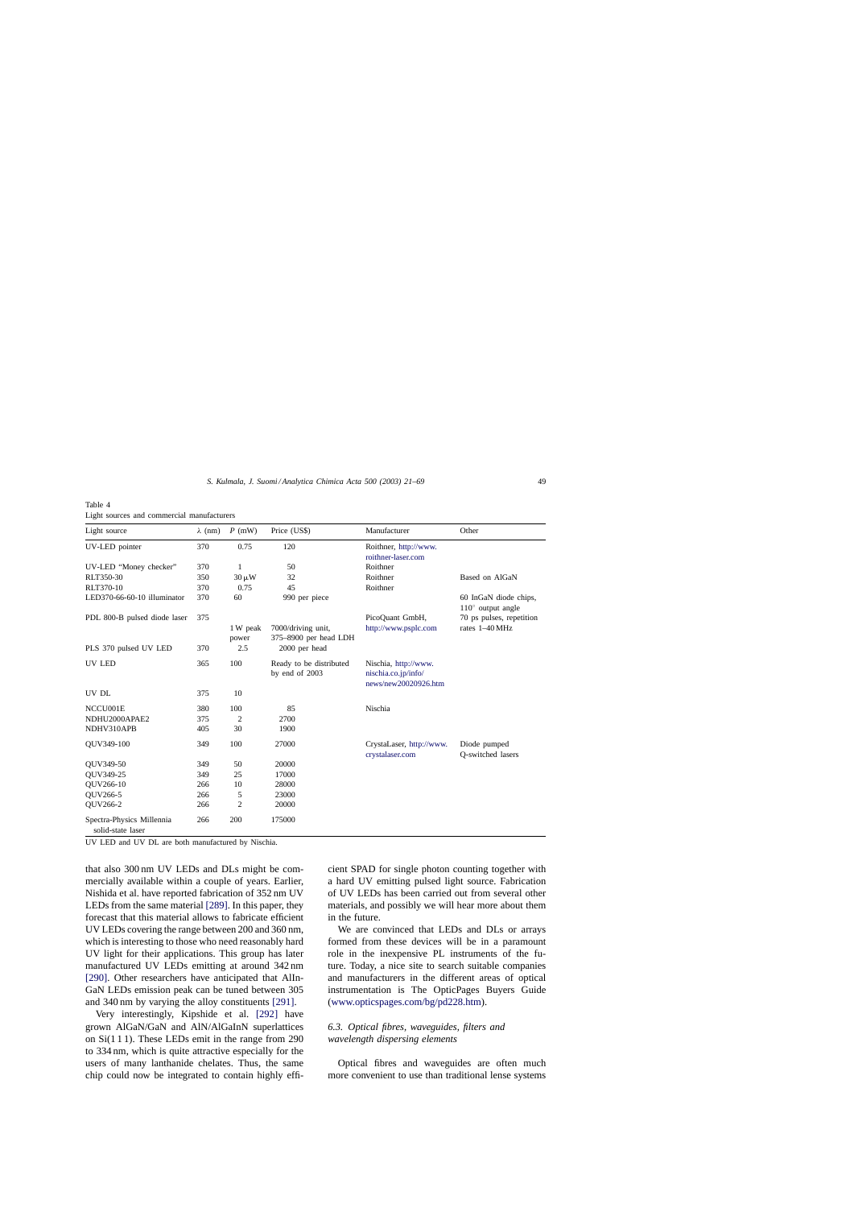<span id="page-28-0"></span>

| Table 4 |  |                                            |
|---------|--|--------------------------------------------|
|         |  | Light sources and commercial manufacturers |

| Light source                                   | $\lambda$ (nm) | P(mW)             | Price (US\$)                                | Manufacturer                                                        | Other                                             |
|------------------------------------------------|----------------|-------------------|---------------------------------------------|---------------------------------------------------------------------|---------------------------------------------------|
| UV-LED pointer                                 | 370            | 0.75              | 120                                         | Roithner, http://www.<br>roithner-laser.com                         |                                                   |
| UV-LED "Money checker"                         | 370            | 1                 | 50                                          | Roithner                                                            |                                                   |
| RLT350-30                                      | 350            | $30 \mu W$        | 32                                          | Roithner                                                            | Based on AlGaN                                    |
| RLT370-10                                      | 370            | 0.75              | 45                                          | Roithner                                                            |                                                   |
| LED370-66-60-10 illuminator                    | 370            | 60                | 990 per piece                               |                                                                     | 60 InGaN diode chips,<br>$110^\circ$ output angle |
| PDL 800-B pulsed diode laser                   | 375            | 1 W peak<br>power | 7000/driving unit,<br>375-8900 per head LDH | PicoQuant GmbH,<br>http://www.psplc.com                             | 70 ps pulses, repetition<br>rates 1-40 MHz        |
| PLS 370 pulsed UV LED                          | 370            | 2.5               | 2000 per head                               |                                                                     |                                                   |
| UV LED                                         | 365            | 100               | Ready to be distributed<br>by end of 2003   | Nischia, http://www.<br>nischia.co.jp/info/<br>news/new20020926.htm |                                                   |
| UV DL                                          | 375            | 10                |                                             |                                                                     |                                                   |
| NCCU001E                                       | 380            | 100               | 85                                          | Nischia                                                             |                                                   |
| NDHU2000APAE2                                  | 375            | $\overline{2}$    | 2700                                        |                                                                     |                                                   |
| NDHV310APB                                     | 405            | 30                | 1900                                        |                                                                     |                                                   |
| OUV349-100                                     | 349            | 100               | 27000                                       | CrystaLaser, http://www.<br>crystalaser.com                         | Diode pumped<br>O-switched lasers                 |
| QUV349-50                                      | 349            | 50                | 20000                                       |                                                                     |                                                   |
| OUV349-25                                      | 349            | 25                | 17000                                       |                                                                     |                                                   |
| <b>OUV266-10</b>                               | 266            | 10                | 28000                                       |                                                                     |                                                   |
| <b>OUV266-5</b>                                | 266            | 5                 | 23000                                       |                                                                     |                                                   |
| <b>OUV266-2</b>                                | 266            | $\mathfrak{2}$    | 20000                                       |                                                                     |                                                   |
| Spectra-Physics Millennia<br>solid-state laser | 266            | 200               | 175000                                      |                                                                     |                                                   |

UV LED and UV DL are both manufactured by Nischia.

that also 300 nm UV LEDs and DLs might be commercially available within a couple of years. Earlier, Nishida et al. have reported fabrication of 352 nm UV LEDs from the same material [\[289\]. I](#page-45-0)n this paper, they forecast that this material allows to fabricate efficient UV LEDs covering the range between 200 and 360 nm, which is interesting to those who need reasonably hard UV light for their applications. This group has later manufactured UV LEDs emitting at around 342 nm [\[290\].](#page-45-0) Other researchers have anticipated that AlIn-GaN LEDs emission peak can be tuned between 305 and 340 nm by varying the alloy constituents [\[291\].](#page-45-0)

Very interestingly, Kipshide et al. [\[292\]](#page-45-0) have grown AlGaN/GaN and AlN/AlGaInN superlattices on Si(1 1 1). These LEDs emit in the range from 290 to 334 nm, which is quite attractive especially for the users of many lanthanide chelates. Thus, the same chip could now be integrated to contain highly efficient SPAD for single photon counting together with a hard UV emitting pulsed light source. Fabrication of UV LEDs has been carried out from several other materials, and possibly we will hear more about them in the future.

We are convinced that LEDs and DLs or arrays formed from these devices will be in a paramount role in the inexpensive PL instruments of the future. Today, a nice site to search suitable companies and manufacturers in the different areas of optical instrumentation is The OpticPages Buyers Guide ([www.opticspages.com/bg/pd228.htm\)](http://www.opticspages.com/bg/pd228.htm).

# *6.3. Optical fibres, waveguides, filters and wavelength dispersing elements*

Optical fibres and waveguides are often much more convenient to use than traditional lense systems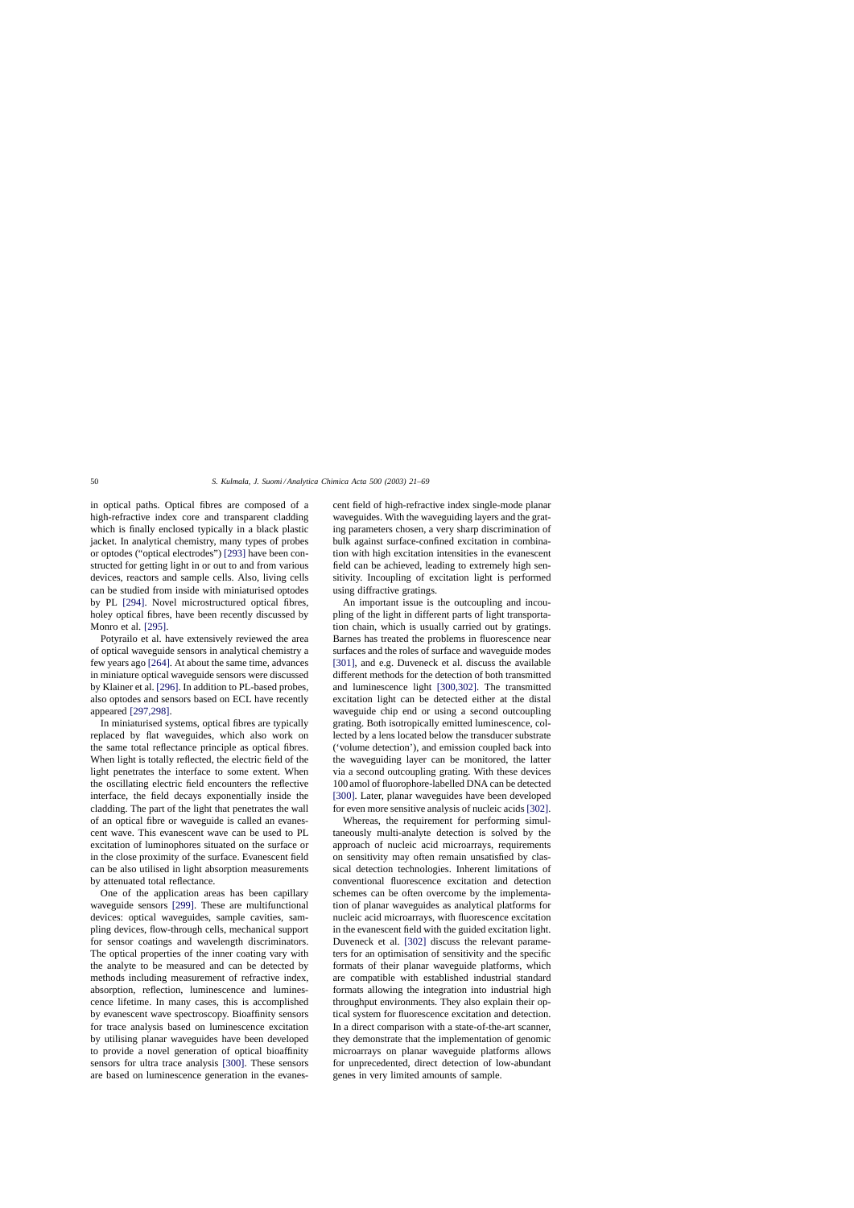in optical paths. Optical fibres are composed of a high-refractive index core and transparent cladding which is finally enclosed typically in a black plastic jacket. In analytical chemistry, many types of probes or optodes ("optical electrodes") [\[293\]](#page-45-0) have been constructed for getting light in or out to and from various devices, reactors and sample cells. Also, living cells can be studied from inside with miniaturised optodes by PL [\[294\].](#page-45-0) Novel microstructured optical fibres, holey optical fibres, have been recently discussed by Monro et al. [\[295\].](#page-45-0)

Potyrailo et al. have extensively reviewed the area of optical waveguide sensors in analytical chemistry a few years ago [\[264\]. A](#page-45-0)t about the same time, advances in miniature optical waveguide sensors were discussed by Klainer et al. [\[296\]. I](#page-45-0)n addition to PL-based probes, also optodes and sensors based on ECL have recently appeared [\[297,298\].](#page-45-0)

In miniaturised systems, optical fibres are typically replaced by flat waveguides, which also work on the same total reflectance principle as optical fibres. When light is totally reflected, the electric field of the light penetrates the interface to some extent. When the oscillating electric field encounters the reflective interface, the field decays exponentially inside the cladding. The part of the light that penetrates the wall of an optical fibre or waveguide is called an evanescent wave. This evanescent wave can be used to PL excitation of luminophores situated on the surface or in the close proximity of the surface. Evanescent field can be also utilised in light absorption measurements by attenuated total reflectance.

One of the application areas has been capillary waveguide sensors [\[299\].](#page-45-0) These are multifunctional devices: optical waveguides, sample cavities, sampling devices, flow-through cells, mechanical support for sensor coatings and wavelength discriminators. The optical properties of the inner coating vary with the analyte to be measured and can be detected by methods including measurement of refractive index, absorption, reflection, luminescence and luminescence lifetime. In many cases, this is accomplished by evanescent wave spectroscopy. Bioaffinity sensors for trace analysis based on luminescence excitation by utilising planar waveguides have been developed to provide a novel generation of optical bioaffinity sensors for ultra trace analysis [\[300\].](#page-45-0) These sensors are based on luminescence generation in the evanescent field of high-refractive index single-mode planar waveguides. With the waveguiding layers and the grating parameters chosen, a very sharp discrimination of bulk against surface-confined excitation in combination with high excitation intensities in the evanescent field can be achieved, leading to extremely high sensitivity. Incoupling of excitation light is performed using diffractive gratings.

An important issue is the outcoupling and incoupling of the light in different parts of light transportation chain, which is usually carried out by gratings. Barnes has treated the problems in fluorescence near surfaces and the roles of surface and waveguide modes [\[301\],](#page-45-0) and e.g. Duveneck et al. discuss the available different methods for the detection of both transmitted and luminescence light [\[300,302\].](#page-45-0) The transmitted excitation light can be detected either at the distal waveguide chip end or using a second outcoupling grating. Both isotropically emitted luminescence, collected by a lens located below the transducer substrate ('volume detection'), and emission coupled back into the waveguiding layer can be monitored, the latter via a second outcoupling grating. With these devices 100 amol of fluorophore-labelled DNA can be detected [\[300\].](#page-45-0) Later, planar waveguides have been developed for even more sensitive analysis of nucleic acids [\[302\].](#page-45-0)

Whereas, the requirement for performing simultaneously multi-analyte detection is solved by the approach of nucleic acid microarrays, requirements on sensitivity may often remain unsatisfied by classical detection technologies. Inherent limitations of conventional fluorescence excitation and detection schemes can be often overcome by the implementation of planar waveguides as analytical platforms for nucleic acid microarrays, with fluorescence excitation in the evanescent field with the guided excitation light. Duveneck et al. [\[302\]](#page-45-0) discuss the relevant parameters for an optimisation of sensitivity and the specific formats of their planar waveguide platforms, which are compatible with established industrial standard formats allowing the integration into industrial high throughput environments. They also explain their optical system for fluorescence excitation and detection. In a direct comparison with a state-of-the-art scanner, they demonstrate that the implementation of genomic microarrays on planar waveguide platforms allows for unprecedented, direct detection of low-abundant genes in very limited amounts of sample.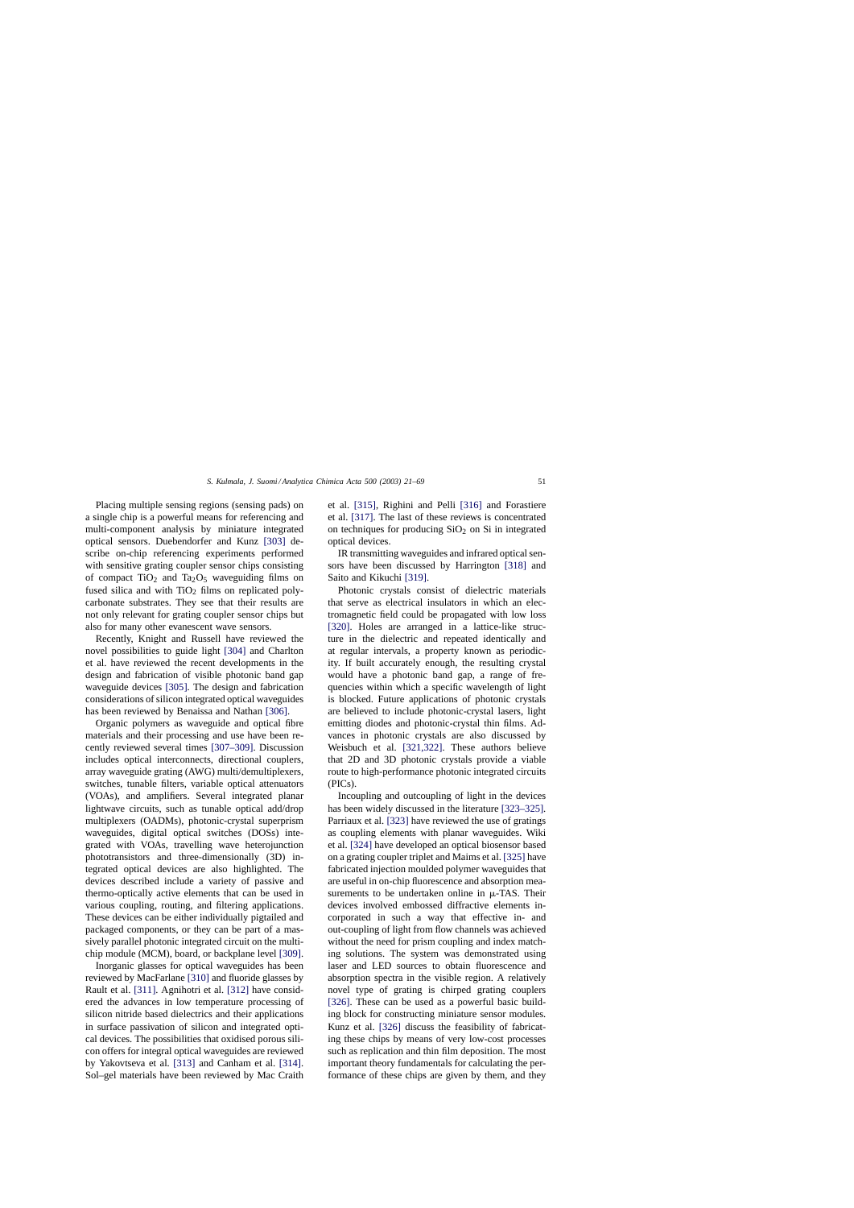Placing multiple sensing regions (sensing pads) on a single chip is a powerful means for referencing and multi-component analysis by miniature integrated optical sensors. Duebendorfer and Kunz [\[303\]](#page-45-0) describe on-chip referencing experiments performed with sensitive grating coupler sensor chips consisting of compact  $TiO<sub>2</sub>$  and  $Ta<sub>2</sub>O<sub>5</sub>$  waveguiding films on fused silica and with  $TiO<sub>2</sub>$  films on replicated polycarbonate substrates. They see that their results are not only relevant for grating coupler sensor chips but also for many other evanescent wave sensors.

Recently, Knight and Russell have reviewed the novel possibilities to guide light [\[304\]](#page-45-0) and Charlton et al. have reviewed the recent developments in the design and fabrication of visible photonic band gap waveguide devices [\[305\].](#page-45-0) The design and fabrication considerations of silicon integrated optical waveguides has been reviewed by Benaissa and Nathan [\[306\].](#page-45-0)

Organic polymers as waveguide and optical fibre materials and their processing and use have been recently reviewed several times [\[307–309\].](#page-45-0) Discussion includes optical interconnects, directional couplers, array waveguide grating (AWG) multi/demultiplexers, switches, tunable filters, variable optical attenuators (VOAs), and amplifiers. Several integrated planar lightwave circuits, such as tunable optical add/drop multiplexers (OADMs), photonic-crystal superprism waveguides, digital optical switches (DOSs) integrated with VOAs, travelling wave heterojunction phototransistors and three-dimensionally (3D) integrated optical devices are also highlighted. The devices described include a variety of passive and thermo-optically active elements that can be used in various coupling, routing, and filtering applications. These devices can be either individually pigtailed and packaged components, or they can be part of a massively parallel photonic integrated circuit on the multichip module (MCM), board, or backplane level [\[309\].](#page-46-0)

Inorganic glasses for optical waveguides has been reviewed by MacFarlane [\[310\]](#page-46-0) and fluoride glasses by Rault et al. [\[311\].](#page-46-0) Agnihotri et al. [\[312\]](#page-46-0) have considered the advances in low temperature processing of silicon nitride based dielectrics and their applications in surface passivation of silicon and integrated optical devices. The possibilities that oxidised porous silicon offers for integral optical waveguides are reviewed by Yakovtseva et al. [\[313\]](#page-46-0) and Canham et al. [\[314\].](#page-46-0) Sol–gel materials have been reviewed by Mac Craith et al. [\[315\],](#page-46-0) Righini and Pelli [\[316\]](#page-46-0) and Forastiere et al. [\[317\].](#page-46-0) The last of these reviews is concentrated on techniques for producing  $SiO<sub>2</sub>$  on Si in integrated optical devices.

IR transmitting waveguides and infrared optical sensors have been discussed by Harrington [\[318\]](#page-46-0) and Saito and Kikuchi [\[319\].](#page-46-0)

Photonic crystals consist of dielectric materials that serve as electrical insulators in which an electromagnetic field could be propagated with low loss [\[320\].](#page-46-0) Holes are arranged in a lattice-like structure in the dielectric and repeated identically and at regular intervals, a property known as periodicity. If built accurately enough, the resulting crystal would have a photonic band gap, a range of frequencies within which a specific wavelength of light is blocked. Future applications of photonic crystals are believed to include photonic-crystal lasers, light emitting diodes and photonic-crystal thin films. Advances in photonic crystals are also discussed by Weisbuch et al. [\[321,322\].](#page-46-0) These authors believe that 2D and 3D photonic crystals provide a viable route to high-performance photonic integrated circuits (PICs).

Incoupling and outcoupling of light in the devices has been widely discussed in the literature [\[323–325\].](#page-46-0) Parriaux et al. [\[323\]](#page-46-0) have reviewed the use of gratings as coupling elements with planar waveguides. Wiki et al. [\[324\]](#page-46-0) have developed an optical biosensor based on a grating coupler triplet and Maims et al. [\[325\]](#page-46-0) have fabricated injection moulded polymer waveguides that are useful in on-chip fluorescence and absorption measurements to be undertaken online in  $\mu$ -TAS. Their devices involved embossed diffractive elements incorporated in such a way that effective in- and out-coupling of light from flow channels was achieved without the need for prism coupling and index matching solutions. The system was demonstrated using laser and LED sources to obtain fluorescence and absorption spectra in the visible region. A relatively novel type of grating is chirped grating couplers [\[326\].](#page-46-0) These can be used as a powerful basic building block for constructing miniature sensor modules. Kunz et al. [\[326\]](#page-46-0) discuss the feasibility of fabricating these chips by means of very low-cost processes such as replication and thin film deposition. The most important theory fundamentals for calculating the performance of these chips are given by them, and they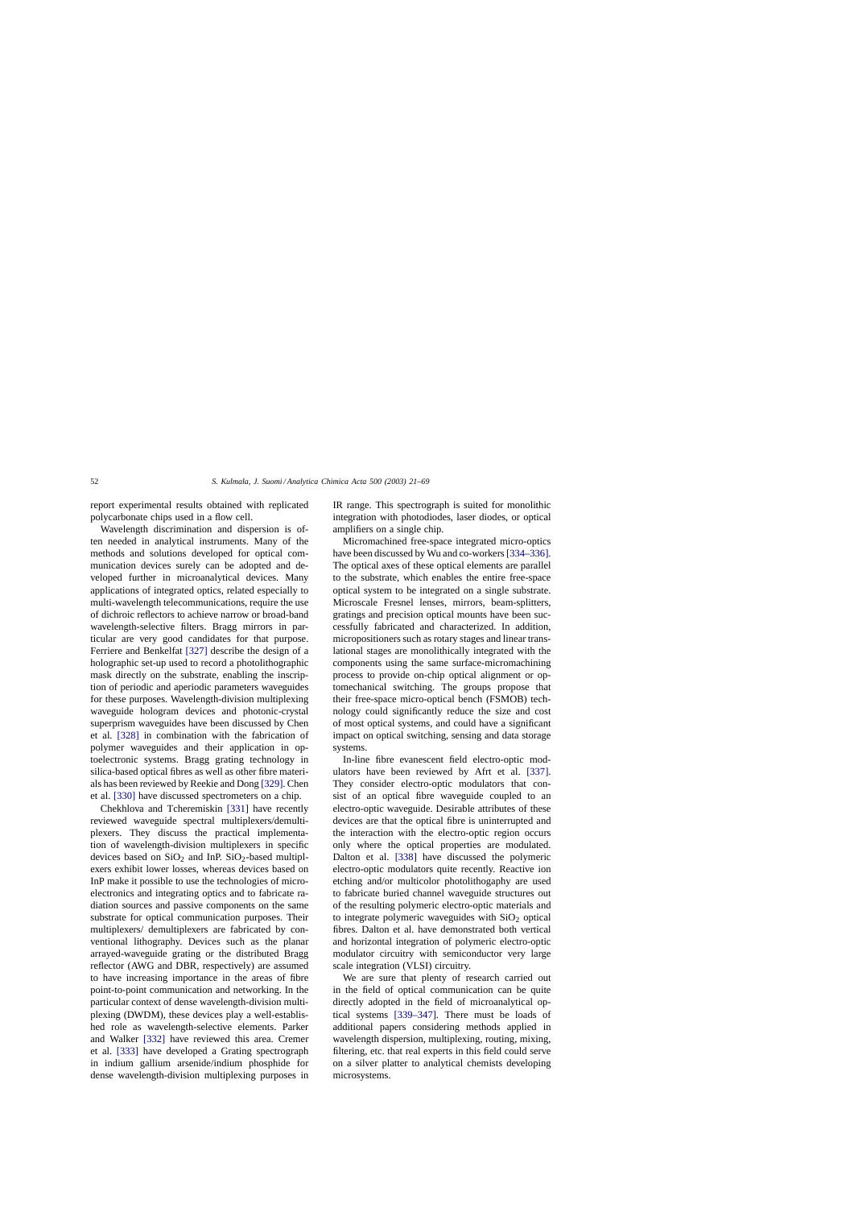report experimental results obtained with replicated polycarbonate chips used in a flow cell.

Wavelength discrimination and dispersion is often needed in analytical instruments. Many of the methods and solutions developed for optical communication devices surely can be adopted and developed further in microanalytical devices. Many applications of integrated optics, related especially to multi-wavelength telecommunications, require the use of dichroic reflectors to achieve narrow or broad-band wavelength-selective filters. Bragg mirrors in particular are very good candidates for that purpose. Ferriere and Benkelfat [\[327\]](#page-46-0) describe the design of a holographic set-up used to record a photolithographic mask directly on the substrate, enabling the inscription of periodic and aperiodic parameters waveguides for these purposes. Wavelength-division multiplexing waveguide hologram devices and photonic-crystal superprism waveguides have been discussed by Chen et al. [\[328\]](#page-46-0) in combination with the fabrication of polymer waveguides and their application in optoelectronic systems. Bragg grating technology in silica-based optical fibres as well as other fibre materials has been reviewed by Reekie and Dong [\[329\]. C](#page-46-0)hen et al. [\[330\]](#page-46-0) have discussed spectrometers on a chip.

Chekhlova and Tcheremiskin [\[331\]](#page-46-0) have recently reviewed waveguide spectral multiplexers/demultiplexers. They discuss the practical implementation of wavelength-division multiplexers in specific devices based on  $SiO<sub>2</sub>$  and InP.  $SiO<sub>2</sub>$ -based multiplexers exhibit lower losses, whereas devices based on InP make it possible to use the technologies of microelectronics and integrating optics and to fabricate radiation sources and passive components on the same substrate for optical communication purposes. Their multiplexers/ demultiplexers are fabricated by conventional lithography. Devices such as the planar arrayed-waveguide grating or the distributed Bragg reflector (AWG and DBR, respectively) are assumed to have increasing importance in the areas of fibre point-to-point communication and networking. In the particular context of dense wavelength-division multiplexing (DWDM), these devices play a well-established role as wavelength-selective elements. Parker and Walker [\[332\]](#page-46-0) have reviewed this area. Cremer et al. [\[333\]](#page-46-0) have developed a Grating spectrograph in indium gallium arsenide/indium phosphide for dense wavelength-division multiplexing purposes in IR range. This spectrograph is suited for monolithic integration with photodiodes, laser diodes, or optical amplifiers on a single chip.

Micromachined free-space integrated micro-optics have been discussed by Wu and co-workers [\[334–336\].](#page-46-0) The optical axes of these optical elements are parallel to the substrate, which enables the entire free-space optical system to be integrated on a single substrate. Microscale Fresnel lenses, mirrors, beam-splitters, gratings and precision optical mounts have been successfully fabricated and characterized. In addition, micropositioners such as rotary stages and linear translational stages are monolithically integrated with the components using the same surface-micromachining process to provide on-chip optical alignment or optomechanical switching. The groups propose that their free-space micro-optical bench (FSMOB) technology could significantly reduce the size and cost of most optical systems, and could have a significant impact on optical switching, sensing and data storage systems.

In-line fibre evanescent field electro-optic modulators have been reviewed by Afrt et al. [\[337\].](#page-46-0) They consider electro-optic modulators that consist of an optical fibre waveguide coupled to an electro-optic waveguide. Desirable attributes of these devices are that the optical fibre is uninterrupted and the interaction with the electro-optic region occurs only where the optical properties are modulated. Dalton et al. [\[338\]](#page-46-0) have discussed the polymeric electro-optic modulators quite recently. Reactive ion etching and/or multicolor photolithogaphy are used to fabricate buried channel waveguide structures out of the resulting polymeric electro-optic materials and to integrate polymeric waveguides with  $SiO<sub>2</sub>$  optical fibres. Dalton et al. have demonstrated both vertical and horizontal integration of polymeric electro-optic modulator circuitry with semiconductor very large scale integration (VLSI) circuitry.

We are sure that plenty of research carried out in the field of optical communication can be quite directly adopted in the field of microanalytical optical systems [\[339–347\].](#page-46-0) There must be loads of additional papers considering methods applied in wavelength dispersion, multiplexing, routing, mixing, filtering, etc. that real experts in this field could serve on a silver platter to analytical chemists developing microsystems.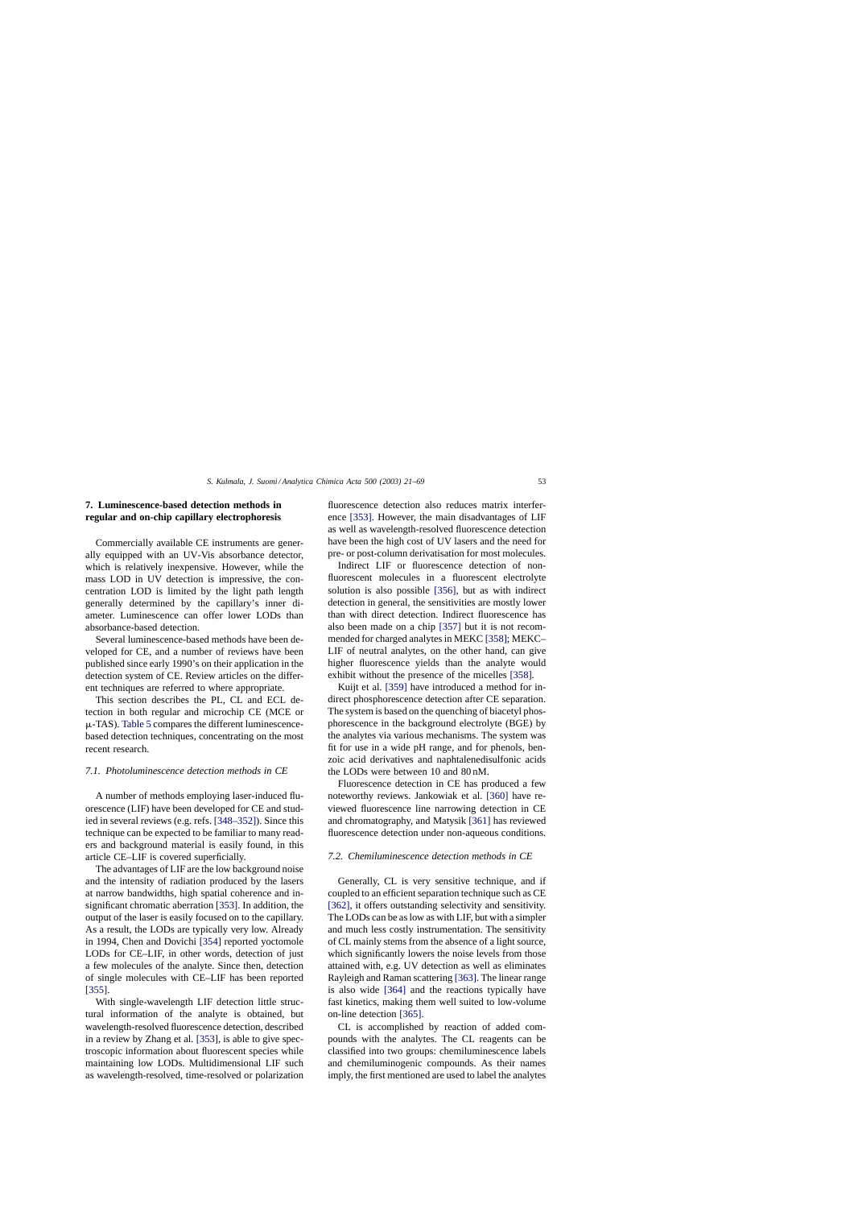# **7. Luminescence-based detection methods in regular and on-chip capillary electrophoresis**

Commercially available CE instruments are generally equipped with an UV-Vis absorbance detector, which is relatively inexpensive. However, while the mass LOD in UV detection is impressive, the concentration LOD is limited by the light path length generally determined by the capillary's inner diameter. Luminescence can offer lower LODs than absorbance-based detection.

Several luminescence-based methods have been developed for CE, and a number of reviews have been published since early 1990's on their application in the detection system of CE. Review articles on the different techniques are referred to where appropriate.

This section describes the PL, CL and ECL detection in both regular and microchip CE (MCE or  $\mu$ -TAS). [Table 5](#page-33-0) compares the different luminescencebased detection techniques, concentrating on the most recent research.

## *7.1. Photoluminescence detection methods in CE*

A number of methods employing laser-induced fluorescence (LIF) have been developed for CE and studied in several reviews (e.g. refs. [\[348–352\]\).](#page-46-0) Since this technique can be expected to be familiar to many readers and background material is easily found, in this article CE–LIF is covered superficially.

The advantages of LIF are the low background noise and the intensity of radiation produced by the lasers at narrow bandwidths, high spatial coherence and insignificant chromatic aberration [\[353\]. I](#page-46-0)n addition, the output of the laser is easily focused on to the capillary. As a result, the LODs are typically very low. Already in 1994, Chen and Dovichi [\[354\]](#page-46-0) reported yoctomole LODs for CE–LIF, in other words, detection of just a few molecules of the analyte. Since then, detection of single molecules with CE–LIF has been reported [\[355\].](#page-46-0)

With single-wavelength LIF detection little structural information of the analyte is obtained, but wavelength-resolved fluorescence detection, described in a review by Zhang et al. [\[353\],](#page-46-0) is able to give spectroscopic information about fluorescent species while maintaining low LODs. Multidimensional LIF such as wavelength-resolved, time-resolved or polarization

fluorescence detection also reduces matrix interference [\[353\].](#page-46-0) However, the main disadvantages of LIF as well as wavelength-resolved fluorescence detection have been the high cost of UV lasers and the need for pre- or post-column derivatisation for most molecules.

Indirect LIF or fluorescence detection of nonfluorescent molecules in a fluorescent electrolyte solution is also possible [\[356\],](#page-46-0) but as with indirect detection in general, the sensitivities are mostly lower than with direct detection. Indirect fluorescence has also been made on a chip [\[357\]](#page-46-0) but it is not recommended for charged analytes in MEKC [\[358\]; M](#page-46-0)EKC– LIF of neutral analytes, on the other hand, can give higher fluorescence yields than the analyte would exhibit without the presence of the micelles [\[358\].](#page-46-0)

Kuijt et al. [\[359\]](#page-46-0) have introduced a method for indirect phosphorescence detection after CE separation. The system is based on the quenching of biacetyl phosphorescence in the background electrolyte (BGE) by the analytes via various mechanisms. The system was fit for use in a wide pH range, and for phenols, benzoic acid derivatives and naphtalenedisulfonic acids the LODs were between 10 and 80 nM.

Fluorescence detection in CE has produced a few noteworthy reviews. Jankowiak et al. [\[360\]](#page-46-0) have reviewed fluorescence line narrowing detection in CE and chromatography, and Matysik [\[361\]](#page-46-0) has reviewed fluorescence detection under non-aqueous conditions.

#### *7.2. Chemiluminescence detection methods in CE*

Generally, CL is very sensitive technique, and if coupled to an efficient separation technique such as CE [\[362\],](#page-46-0) it offers outstanding selectivity and sensitivity. The LODs can be as low as with LIF, but with a simpler and much less costly instrumentation. The sensitivity of CL mainly stems from the absence of a light source, which significantly lowers the noise levels from those attained with, e.g. UV detection as well as eliminates Rayleigh and Raman scattering [\[363\]. T](#page-46-0)he linear range is also wide [\[364\]](#page-46-0) and the reactions typically have fast kinetics, making them well suited to low-volume on-line detection [\[365\].](#page-46-0)

CL is accomplished by reaction of added compounds with the analytes. The CL reagents can be classified into two groups: chemiluminescence labels and chemiluminogenic compounds. As their names imply, the first mentioned are used to label the analytes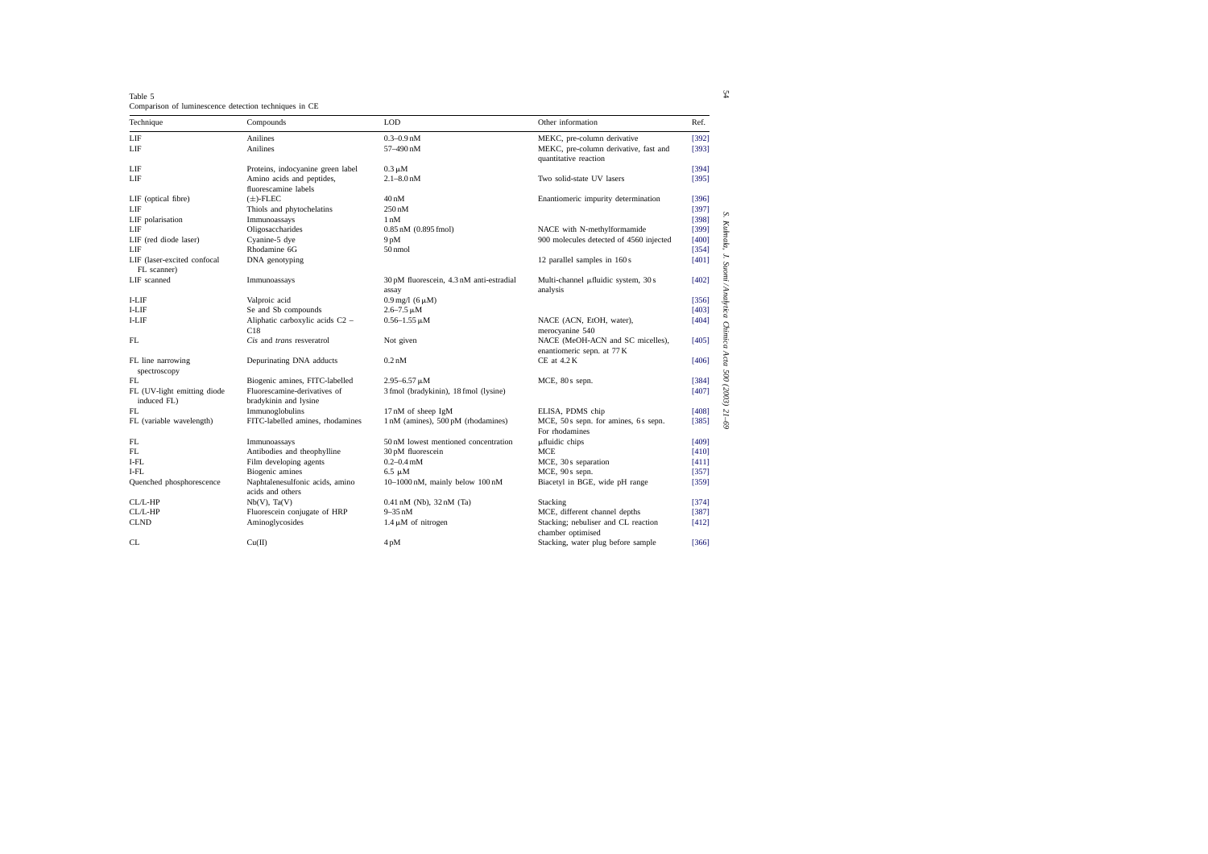<span id="page-33-0"></span>

| Technique                                  | Compounds                                             | <b>LOD</b>                                             | Other information                                              | Ref.  |
|--------------------------------------------|-------------------------------------------------------|--------------------------------------------------------|----------------------------------------------------------------|-------|
|                                            |                                                       |                                                        |                                                                |       |
| LIF                                        | Anilines                                              | $0.3 - 0.9$ nM                                         | MEKC, pre-column derivative                                    | [392] |
| LIF                                        | Anilines                                              | 57-490 nM                                              | MEKC, pre-column derivative, fast and<br>quantitative reaction | [393] |
| LIF                                        | Proteins, indocyanine green label                     | $0.3 \mu M$                                            |                                                                | [394] |
| LIF                                        | Amino acids and peptides,<br>fluorescamine labels     | $2.1 - 8.0$ nM                                         | Two solid-state UV lasers                                      | [395] |
| LIF (optical fibre)                        | $(\pm)$ -FLEC                                         | $40 \text{ nM}$                                        | Enantiomeric impurity determination                            | [396] |
| LIF                                        | Thiols and phytochelatins                             | $250 \text{ nM}$                                       |                                                                | [397] |
| LIF polarisation                           | Immunoassays                                          | $1 \text{ nM}$                                         |                                                                | [398] |
| LIF                                        | Oligosaccharides                                      | $0.85$ nM $(0.895$ fmol)                               | NACE with N-methylformamide                                    | [399] |
| LIF (red diode laser)                      | Cyanine-5 dye                                         | 9pM                                                    | 900 molecules detected of 4560 injected                        | [400] |
| LIF                                        | Rhodamine 6G                                          | $50 \text{ nmol}$                                      |                                                                | [354] |
| LIF (laser-excited confocal<br>FL scanner) | DNA genotyping                                        |                                                        | 12 parallel samples in 160 s                                   | [401] |
| LIF scanned                                | Immunoassays                                          | 30 pM fluorescein, 4.3 nM anti-estradial<br>assay      | Multi-channel µfluidic system, 30 s<br>analysis                | [402] |
| I-LIF                                      | Valproic acid                                         | $0.9 \,\mathrm{mg}/1$ (6 $\mu$ M)                      |                                                                | [356] |
| I-LIF                                      | Se and Sb compounds                                   | $2.6 - 7.5 \mu M$                                      |                                                                | [403] |
| I-LIF                                      | Aliphatic carboxylic acids C2 -                       | $0.56 - 1.55 \mu M$                                    | NACE (ACN, EtOH, water),                                       | [404] |
|                                            | C18                                                   |                                                        | merocyanine 540                                                |       |
| FL                                         | Cis and trans resveratrol                             | Not given                                              | NACE (MeOH-ACN and SC micelles),                               | [405] |
|                                            |                                                       |                                                        | enantiomeric sepn. at 77 K                                     |       |
| FL line narrowing<br>spectroscopy          | Depurinating DNA adducts                              | $0.2$ nM                                               | $CE$ at $4.2 K$                                                | [406] |
| FL                                         | Biogenic amines, FITC-labelled                        | $2.95 - 6.57 \,\mu M$                                  | MCE, 80 s sepn.                                                | [384] |
| FL (UV-light emitting diode<br>induced FL) | Fluorescamine-derivatives of<br>bradykinin and lysine | 3 fmol (bradykinin), 18 fmol (lysine)                  |                                                                | [407] |
| FL                                         | Immunoglobulins                                       | 17 nM of sheep IgM                                     | ELISA, PDMS chip                                               | [408] |
| FL (variable wavelength)                   | FITC-labelled amines, rhodamines                      | $1 \text{ nM}$ (amines), $500 \text{ pM}$ (rhodamines) | MCE, 50 s sepn. for amines, 6 s sepn.<br>For rhodamines        | [385] |
| FL                                         | Immunoassays                                          | 50 nM lowest mentioned concentration                   | µfluidic chips                                                 | [409] |
| $\mathop{\rm FL}\nolimits$                 | Antibodies and theophylline                           | 30 pM fluorescein                                      | MCE                                                            | [410] |
| I-FL                                       | Film developing agents                                | $0.2 - 0.4$ mM                                         | MCE, 30 s separation                                           | [411] |
| I-FL                                       | Biogenic amines                                       | $6.5 \mu M$                                            | MCE, 90 s sepn.                                                | [357] |
| Quenched phosphorescence                   | Naphtalenesulfonic acids, amino<br>acids and others   | $10-1000$ nM, mainly below $100$ nM                    | Biacetyl in BGE, wide pH range                                 | [359] |
| CL/L-HP                                    | $Nb(V)$ , Ta $(V)$                                    | $0.41 \text{ nM}$ (Nb), $32 \text{ nM}$ (Ta)           | Stacking                                                       | [374] |
| CL/L-HP                                    | Fluorescein conjugate of HRP                          | $9-35$ nM                                              | MCE, different channel depths                                  | [387] |
| <b>CLND</b>                                | Aminoglycosides                                       | $1.4 \mu M$ of nitrogen                                | Stacking; nebuliser and CL reaction                            | [412] |
|                                            |                                                       |                                                        | chamber optimised                                              |       |
| CL                                         | Cu(II)                                                | $4 \text{ pM}$                                         | Stacking, water plug before sample                             | [366] |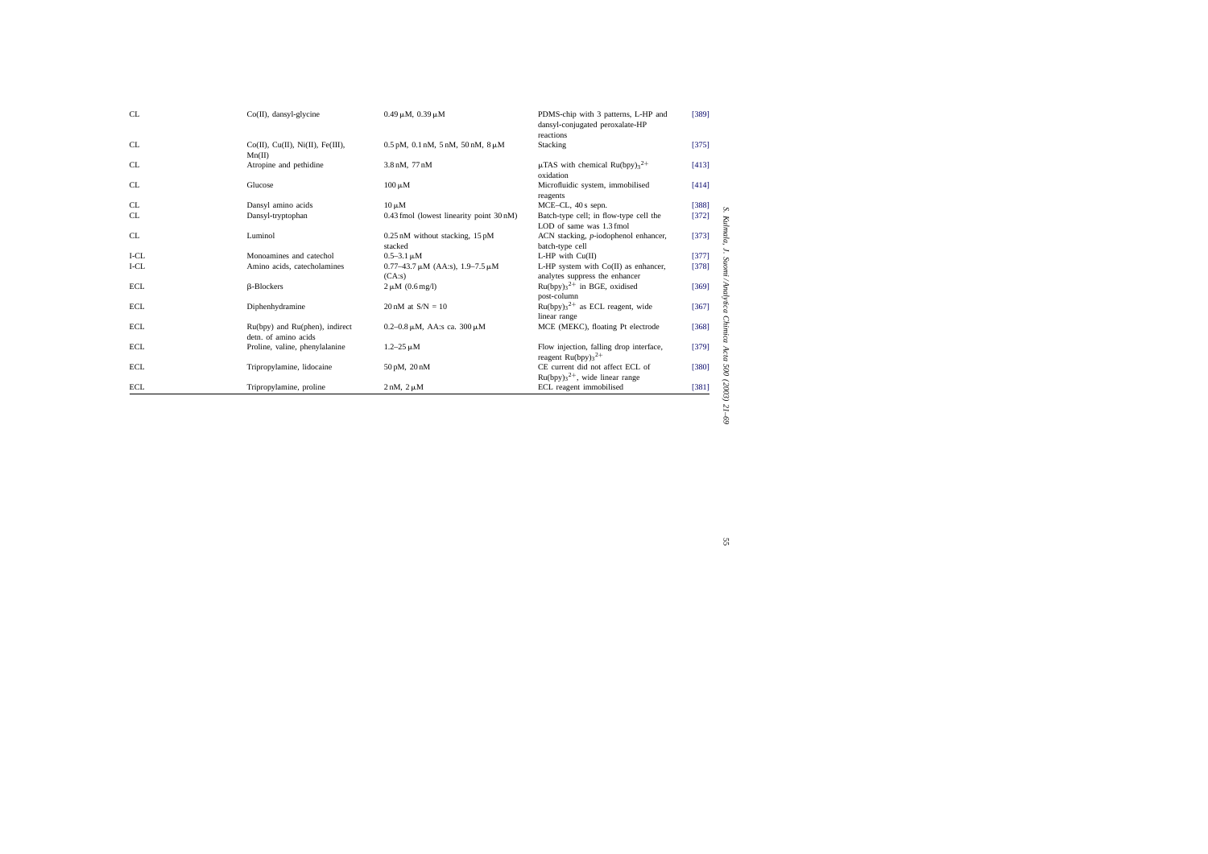| CL         | $Co(II)$ , dansyl-glycine                                   | $0.49 \mu M$ , $0.39 \mu M$                           | PDMS-chip with 3 patterns, L-HP and<br>dansyl-conjugated peroxalate-HP<br>reactions | [389]   |
|------------|-------------------------------------------------------------|-------------------------------------------------------|-------------------------------------------------------------------------------------|---------|
| CL         | $Co(II)$ , $Cu(II)$ , $Ni(II)$ , $Fe(III)$ ,<br>Mn(II)      | $0.5$ pM, $0.1$ nM, $5$ nM, $50$ nM, $8 \mu$ M        | Stacking                                                                            | $[375]$ |
| CL         | Atropine and pethidine                                      | 3.8 nM, 77 nM                                         | $\mu$ TAS with chemical Ru(bpy) <sub>3</sub> <sup>2+</sup><br>oxidation             | [413]   |
| CL         | Glucose                                                     | $100 \mu M$                                           | Microfluidic system, immobilised<br>reagents                                        | [414]   |
| CL         | Dansyl amino acids                                          | $10 \mu M$                                            | $MCE-CL$ , 40 s sepn.                                                               | [388]   |
| CL         | Dansyl-tryptophan                                           | $0.43$ fmol (lowest linearity point $30 \text{ nM}$ ) | Batch-type cell; in flow-type cell the<br>LOD of same was $1.3$ fmol                | $[372]$ |
| CL         | Luminol                                                     | $0.25$ nM without stacking, $15$ pM<br>stacked        | ACN stacking, <i>p</i> -iodophenol enhancer,<br>batch-type cell                     | $[373]$ |
| I-CL       | Monoamines and catechol                                     | $0.5 - 3.1 \mu M$                                     | L-HP with $Cu(II)$                                                                  | [377]   |
| I-CL       | Amino acids, catecholamines                                 | $0.77-43.7 \mu M$ (AA:s), 1.9-7.5 $\mu$ M<br>(CA:s)   | L-HP system with $Co(II)$ as enhancer,<br>analytes suppress the enhancer            | $[378]$ |
| <b>ECL</b> | <b>B-Blockers</b>                                           | $2 \mu M$ (0.6 mg/l)                                  | $Ru(bpy)_{3}^{2+}$ in BGE, oxidised<br>post-column                                  | [369]   |
| ECL        | Diphenhydramine                                             | $20 \text{ nM}$ at $S/N = 10$                         | $Ru(bpy)_{3}^{2+}$ as ECL reagent, wide<br>linear range                             | $[367]$ |
| ECL        | $Ru(bpy)$ and $Ru(phen)$ , indirect<br>detn. of amino acids | 0.2–0.8 $\mu$ M, AA:s ca. 300 $\mu$ M                 | MCE (MEKC), floating Pt electrode                                                   | $[368]$ |
| ECL        | Proline, valine, phenylalanine                              | $1.2 - 25 \mu M$                                      | Flow injection, falling drop interface,<br>reagent $Ru(bpy)_{3}^{2+}$               | [379]   |
| <b>ECL</b> | Tripropylamine, lidocaine                                   | 50 pM, 20 nM                                          | CE current did not affect ECL of<br>$Ru(bpy)32+$ , wide linear range                | [380]   |
| <b>ECL</b> | Tripropylamine, proline                                     | $2 \text{ nM}$ , $2 \mu \text{M}$                     | ECL reagent immobilised                                                             | $[381]$ |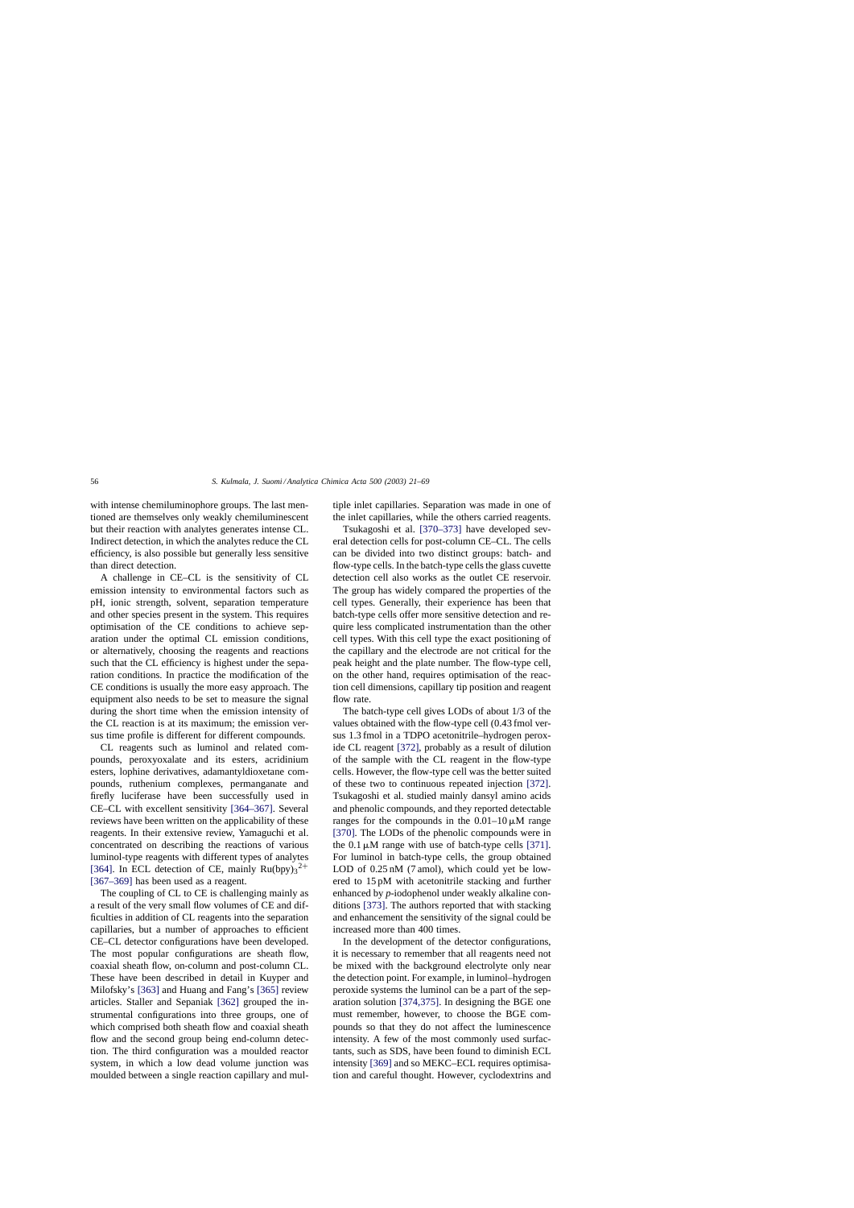with intense chemiluminophore groups. The last mentioned are themselves only weakly chemiluminescent but their reaction with analytes generates intense CL. Indirect detection, in which the analytes reduce the CL efficiency, is also possible but generally less sensitive than direct detection.

A challenge in CE–CL is the sensitivity of CL emission intensity to environmental factors such as pH, ionic strength, solvent, separation temperature and other species present in the system. This requires optimisation of the CE conditions to achieve separation under the optimal CL emission conditions, or alternatively, choosing the reagents and reactions such that the CL efficiency is highest under the separation conditions. In practice the modification of the CE conditions is usually the more easy approach. The equipment also needs to be set to measure the signal during the short time when the emission intensity of the CL reaction is at its maximum; the emission versus time profile is different for different compounds.

CL reagents such as luminol and related compounds, peroxyoxalate and its esters, acridinium esters, lophine derivatives, adamantyldioxetane compounds, ruthenium complexes, permanganate and firefly luciferase have been successfully used in CE–CL with excellent sensitivity [\[364–367\].](#page-46-0) Several reviews have been written on the applicability of these reagents. In their extensive review, Yamaguchi et al. concentrated on describing the reactions of various luminol-type reagents with different types of analytes [\[364\].](#page-46-0) In ECL detection of CE, mainly  $Ru(bpy)_{3}^{2+}$ [\[367–369\]](#page-46-0) has been used as a reagent.

The coupling of CL to CE is challenging mainly as a result of the very small flow volumes of CE and difficulties in addition of CL reagents into the separation capillaries, but a number of approaches to efficient CE–CL detector configurations have been developed. The most popular configurations are sheath flow, coaxial sheath flow, on-column and post-column CL. These have been described in detail in Kuyper and Milofsky's [\[363\]](#page-46-0) and Huang and Fang's [\[365\]](#page-46-0) review articles. Staller and Sepaniak [\[362\]](#page-46-0) grouped the instrumental configurations into three groups, one of which comprised both sheath flow and coaxial sheath flow and the second group being end-column detection. The third configuration was a moulded reactor system, in which a low dead volume junction was moulded between a single reaction capillary and multiple inlet capillaries. Separation was made in one of the inlet capillaries, while the others carried reagents.

Tsukagoshi et al. [\[370–373\]](#page-47-0) have developed several detection cells for post-column CE–CL. The cells can be divided into two distinct groups: batch- and flow-type cells. In the batch-type cells the glass cuvette detection cell also works as the outlet CE reservoir. The group has widely compared the properties of the cell types. Generally, their experience has been that batch-type cells offer more sensitive detection and require less complicated instrumentation than the other cell types. With this cell type the exact positioning of the capillary and the electrode are not critical for the peak height and the plate number. The flow-type cell, on the other hand, requires optimisation of the reaction cell dimensions, capillary tip position and reagent flow rate.

The batch-type cell gives LODs of about 1/3 of the values obtained with the flow-type cell (0.43 fmol versus 1.3 fmol in a TDPO acetonitrile–hydrogen peroxide CL reagent [\[372\],](#page-47-0) probably as a result of dilution of the sample with the CL reagent in the flow-type cells. However, the flow-type cell was the better suited of these two to continuous repeated injection [\[372\].](#page-47-0) Tsukagoshi et al. studied mainly dansyl amino acids and phenolic compounds, and they reported detectable ranges for the compounds in the  $0.01-10 \mu M$  range [\[370\].](#page-47-0) The LODs of the phenolic compounds were in the  $0.1 \mu M$  range with use of batch-type cells [\[371\].](#page-47-0) For luminol in batch-type cells, the group obtained LOD of  $0.25 \text{ nM}$  (7 amol), which could yet be lowered to 15 pM with acetonitrile stacking and further enhanced by *p*-iodophenol under weakly alkaline conditions [\[373\].](#page-47-0) The authors reported that with stacking and enhancement the sensitivity of the signal could be increased more than 400 times.

In the development of the detector configurations, it is necessary to remember that all reagents need not be mixed with the background electrolyte only near the detection point. For example, in luminol–hydrogen peroxide systems the luminol can be a part of the separation solution [\[374,375\].](#page-47-0) In designing the BGE one must remember, however, to choose the BGE compounds so that they do not affect the luminescence intensity. A few of the most commonly used surfactants, such as SDS, have been found to diminish ECL intensity [\[369\]](#page-46-0) and so MEKC–ECL requires optimisation and careful thought. However, cyclodextrins and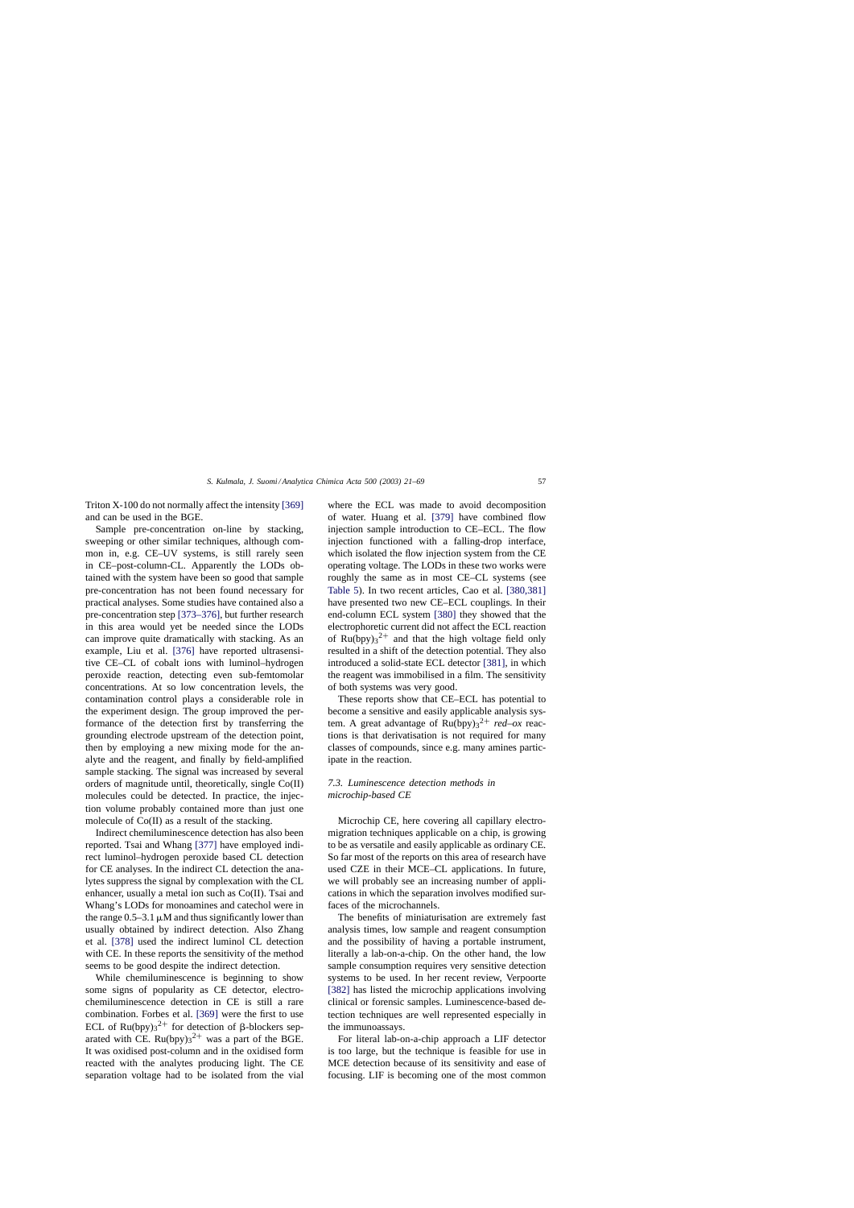Triton X-100 do not normally affect the intensity [\[369\]](#page-46-0) and can be used in the BGE.

Sample pre-concentration on-line by stacking, sweeping or other similar techniques, although common in, e.g. CE–UV systems, is still rarely seen in CE–post-column-CL. Apparently the LODs obtained with the system have been so good that sample pre-concentration has not been found necessary for practical analyses. Some studies have contained also a pre-concentration step [\[373–376\], b](#page-47-0)ut further research in this area would yet be needed since the LODs can improve quite dramatically with stacking. As an example, Liu et al. [\[376\]](#page-47-0) have reported ultrasensitive CE–CL of cobalt ions with luminol–hydrogen peroxide reaction, detecting even sub-femtomolar concentrations. At so low concentration levels, the contamination control plays a considerable role in the experiment design. The group improved the performance of the detection first by transferring the grounding electrode upstream of the detection point, then by employing a new mixing mode for the analyte and the reagent, and finally by field-amplified sample stacking. The signal was increased by several orders of magnitude until, theoretically, single Co(II) molecules could be detected. In practice, the injection volume probably contained more than just one molecule of Co(II) as a result of the stacking.

Indirect chemiluminescence detection has also been reported. Tsai and Whang [\[377\]](#page-47-0) have employed indirect luminol–hydrogen peroxide based CL detection for CE analyses. In the indirect CL detection the analytes suppress the signal by complexation with the CL enhancer, usually a metal ion such as Co(II). Tsai and Whang's LODs for monoamines and catechol were in the range  $0.5-3.1 \mu M$  and thus significantly lower than usually obtained by indirect detection. Also Zhang et al. [\[378\]](#page-47-0) used the indirect luminol CL detection with CE. In these reports the sensitivity of the method seems to be good despite the indirect detection.

While chemiluminescence is beginning to show some signs of popularity as CE detector, electrochemiluminescence detection in CE is still a rare combination. Forbes et al. [\[369\]](#page-46-0) were the first to use ECL of Ru(bpy) $3^{2+}$  for detection of  $\beta$ -blockers separated with CE.  $Ru(bpy)_{3}^{2+}$  was a part of the BGE. It was oxidised post-column and in the oxidised form reacted with the analytes producing light. The CE separation voltage had to be isolated from the vial

where the ECL was made to avoid decomposition of water. Huang et al. [\[379\]](#page-47-0) have combined flow injection sample introduction to CE–ECL. The flow injection functioned with a falling-drop interface, which isolated the flow injection system from the CE operating voltage. The LODs in these two works were roughly the same as in most CE–CL systems (see [Table 5\).](#page-33-0) In two recent articles, Cao et al. [\[380,381\]](#page-47-0) have presented two new CE–ECL couplings. In their end-column ECL system [\[380\]](#page-47-0) they showed that the electrophoretic current did not affect the ECL reaction of  $Ru(bpy)_{3}^{2+}$  and that the high voltage field only resulted in a shift of the detection potential. They also introduced a solid-state ECL detector [\[381\],](#page-47-0) in which the reagent was immobilised in a film. The sensitivity of both systems was very good.

These reports show that CE–ECL has potential to become a sensitive and easily applicable analysis system. A great advantage of  $Ru(bpy)_{3}^{2+}$  *red–ox* reactions is that derivatisation is not required for many classes of compounds, since e.g. many amines participate in the reaction.

# *7.3. Luminescence detection methods in microchip-based CE*

Microchip CE, here covering all capillary electromigration techniques applicable on a chip, is growing to be as versatile and easily applicable as ordinary CE. So far most of the reports on this area of research have used CZE in their MCE–CL applications. In future, we will probably see an increasing number of applications in which the separation involves modified surfaces of the microchannels.

The benefits of miniaturisation are extremely fast analysis times, low sample and reagent consumption and the possibility of having a portable instrument, literally a lab-on-a-chip. On the other hand, the low sample consumption requires very sensitive detection systems to be used. In her recent review, Verpoorte [\[382\]](#page-47-0) has listed the microchip applications involving clinical or forensic samples. Luminescence-based detection techniques are well represented especially in the immunoassays.

For literal lab-on-a-chip approach a LIF detector is too large, but the technique is feasible for use in MCE detection because of its sensitivity and ease of focusing. LIF is becoming one of the most common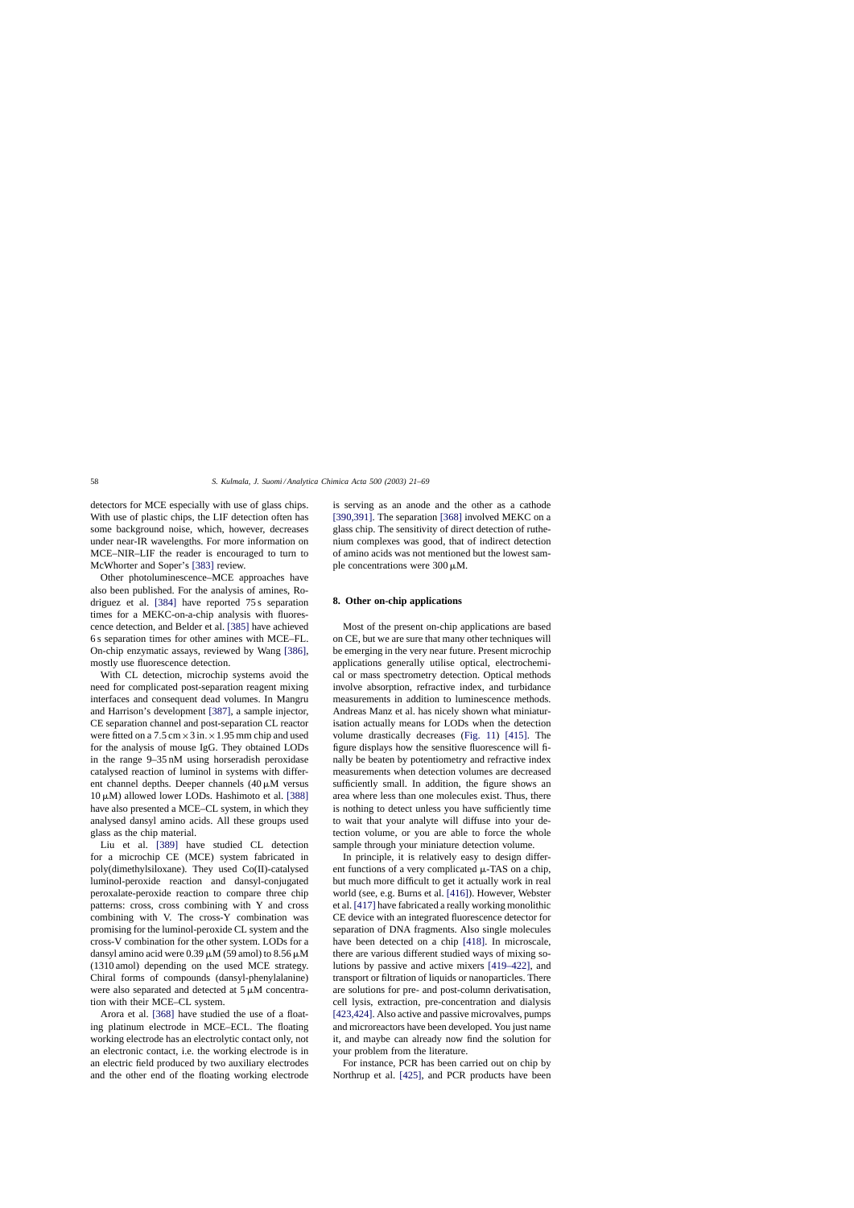detectors for MCE especially with use of glass chips. With use of plastic chips, the LIF detection often has some background noise, which, however, decreases under near-IR wavelengths. For more information on MCE–NIR–LIF the reader is encouraged to turn to McWhorter and Soper's [\[383\]](#page-47-0) review.

Other photoluminescence–MCE approaches have also been published. For the analysis of amines, Rodriguez et al. [\[384\]](#page-47-0) have reported 75 s separation times for a MEKC-on-a-chip analysis with fluorescence detection, and Belder et al. [\[385\]](#page-47-0) have achieved 6 s separation times for other amines with MCE–FL. On-chip enzymatic assays, reviewed by Wang [\[386\],](#page-47-0) mostly use fluorescence detection.

With CL detection, microchip systems avoid the need for complicated post-separation reagent mixing interfaces and consequent dead volumes. In Mangru and Harrison's development [\[387\],](#page-47-0) a sample injector, CE separation channel and post-separation CL reactor were fitted on a  $7.5 \text{ cm} \times 3 \text{ in.} \times 1.95 \text{ mm}$  chip and used for the analysis of mouse IgG. They obtained LODs in the range 9–35 nM using horseradish peroxidase catalysed reaction of luminol in systems with different channel depths. Deeper channels  $(40 \mu M)$  versus  $10 \mu$ M) allowed lower LODs. Hashimoto et al. [\[388\]](#page-47-0) have also presented a MCE–CL system, in which they analysed dansyl amino acids. All these groups used glass as the chip material.

Liu et al. [\[389\]](#page-47-0) have studied CL detection for a microchip CE (MCE) system fabricated in poly(dimethylsiloxane). They used Co(II)-catalysed luminol-peroxide reaction and dansyl-conjugated peroxalate-peroxide reaction to compare three chip patterns: cross, cross combining with Y and cross combining with V. The cross-Y combination was promising for the luminol-peroxide CL system and the cross-V combination for the other system. LODs for a dansyl amino acid were 0.39  $\mu$ M (59 amol) to 8.56  $\mu$ M (1310 amol) depending on the used MCE strategy. Chiral forms of compounds (dansyl-phenylalanine) were also separated and detected at  $5 \mu$ M concentration with their MCE–CL system.

Arora et al. [\[368\]](#page-46-0) have studied the use of a floating platinum electrode in MCE–ECL. The floating working electrode has an electrolytic contact only, not an electronic contact, i.e. the working electrode is in an electric field produced by two auxiliary electrodes and the other end of the floating working electrode is serving as an anode and the other as a cathode [\[390,391\].](#page-47-0) The separation [\[368\]](#page-46-0) involved MEKC on a glass chip. The sensitivity of direct detection of ruthenium complexes was good, that of indirect detection of amino acids was not mentioned but the lowest sample concentrations were  $300 \mu M$ .

## **8. Other on-chip applications**

Most of the present on-chip applications are based on CE, but we are sure that many other techniques will be emerging in the very near future. Present microchip applications generally utilise optical, electrochemical or mass spectrometry detection. Optical methods involve absorption, refractive index, and turbidance measurements in addition to luminescence methods. Andreas Manz et al. has nicely shown what miniaturisation actually means for LODs when the detection volume drastically decreases ([Fig. 11\)](#page-38-0) [\[415\].](#page-47-0) The figure displays how the sensitive fluorescence will finally be beaten by potentiometry and refractive index measurements when detection volumes are decreased sufficiently small. In addition, the figure shows an area where less than one molecules exist. Thus, there is nothing to detect unless you have sufficiently time to wait that your analyte will diffuse into your detection volume, or you are able to force the whole sample through your miniature detection volume.

In principle, it is relatively easy to design different functions of a very complicated  $\mu$ -TAS on a chip, but much more difficult to get it actually work in real world (see, e.g. Burns et al. [\[416\]\).](#page-47-0) However, Webster et al. [\[417\]](#page-47-0) have fabricated a really working monolithic CE device with an integrated fluorescence detector for separation of DNA fragments. Also single molecules have been detected on a chip [\[418\].](#page-47-0) In microscale, there are various different studied ways of mixing solutions by passive and active mixers [\[419–422\],](#page-47-0) and transport or filtration of liquids or nanoparticles. There are solutions for pre- and post-column derivatisation, cell lysis, extraction, pre-concentration and dialysis [\[423,424\]. A](#page-47-0)lso active and passive microvalves, pumps and microreactors have been developed. You just name it, and maybe can already now find the solution for your problem from the literature.

For instance, PCR has been carried out on chip by Northrup et al. [\[425\],](#page-47-0) and PCR products have been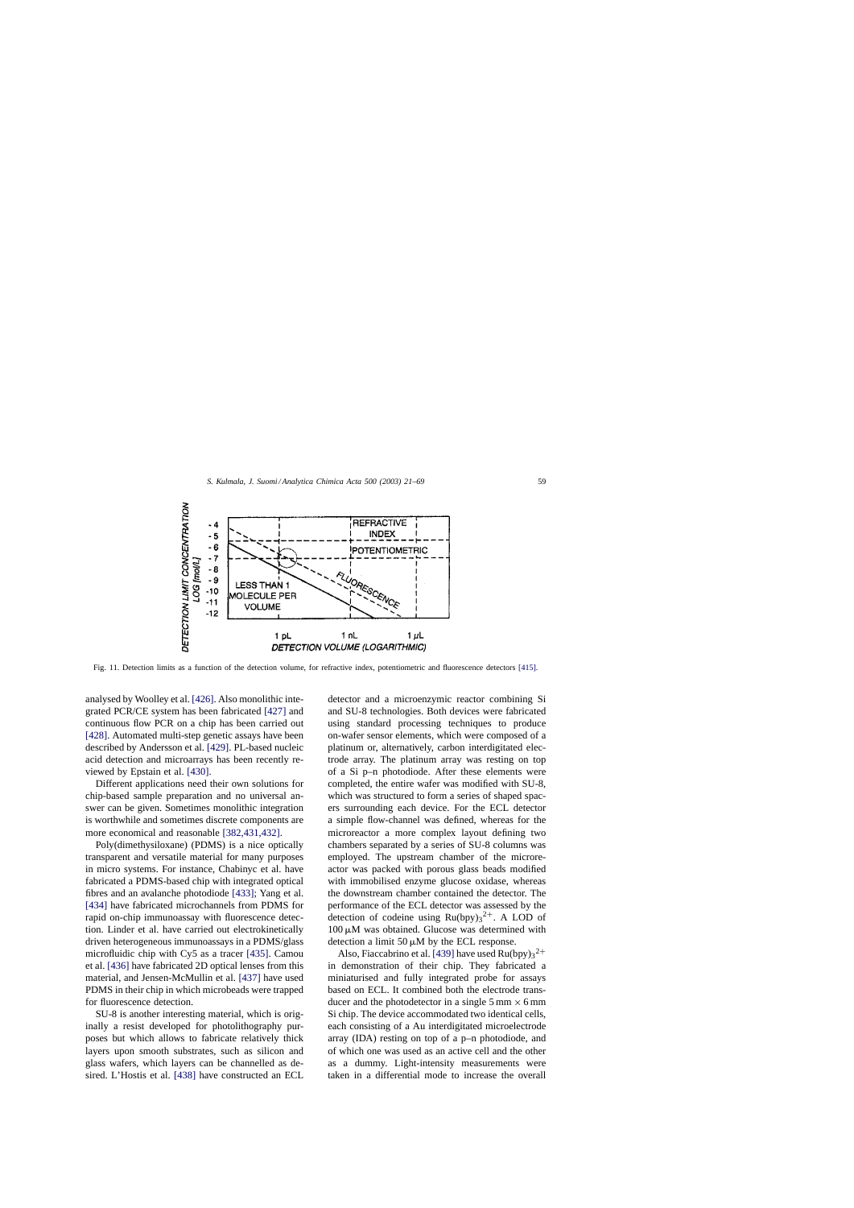<span id="page-38-0"></span>

Fig. 11. Detection limits as a function of the detection volume, for refractive index, potentiometric and fluorescence detectors [\[415\].](#page-47-0)

analysed by Woolley et al. [\[426\]. A](#page-47-0)lso monolithic integrated PCR/CE system has been fabricated [\[427\]](#page-47-0) and continuous flow PCR on a chip has been carried out [\[428\]. A](#page-47-0)utomated multi-step genetic assays have been described by Andersson et al. [\[429\]. P](#page-47-0)L-based nucleic acid detection and microarrays has been recently reviewed by Epstain et al. [\[430\].](#page-47-0)

Different applications need their own solutions for chip-based sample preparation and no universal answer can be given. Sometimes monolithic integration is worthwhile and sometimes discrete components are more economical and reasonable [\[382,431,432\].](#page-47-0)

Poly(dimethysiloxane) (PDMS) is a nice optically transparent and versatile material for many purposes in micro systems. For instance, Chabinyc et al. have fabricated a PDMS-based chip with integrated optical fibres and an avalanche photodiode [\[433\];](#page-48-0) Yang et al. [\[434\]](#page-48-0) have fabricated microchannels from PDMS for rapid on-chip immunoassay with fluorescence detection. Linder et al. have carried out electrokinetically driven heterogeneous immunoassays in a PDMS/glass microfluidic chip with Cy5 as a tracer [\[435\].](#page-48-0) Camou et al. [\[436\]](#page-48-0) have fabricated 2D optical lenses from this material, and Jensen-McMullin et al. [\[437\]](#page-48-0) have used PDMS in their chip in which microbeads were trapped for fluorescence detection.

SU-8 is another interesting material, which is originally a resist developed for photolithography purposes but which allows to fabricate relatively thick layers upon smooth substrates, such as silicon and glass wafers, which layers can be channelled as desired. L'Hostis et al. [\[438\]](#page-48-0) have constructed an ECL

detector and a microenzymic reactor combining Si and SU-8 technologies. Both devices were fabricated using standard processing techniques to produce on-wafer sensor elements, which were composed of a platinum or, alternatively, carbon interdigitated electrode array. The platinum array was resting on top of a Si p–n photodiode. After these elements were completed, the entire wafer was modified with SU-8, which was structured to form a series of shaped spacers surrounding each device. For the ECL detector a simple flow-channel was defined, whereas for the microreactor a more complex layout defining two chambers separated by a series of SU-8 columns was employed. The upstream chamber of the microreactor was packed with porous glass beads modified with immobilised enzyme glucose oxidase, whereas the downstream chamber contained the detector. The performance of the ECL detector was assessed by the detection of codeine using  $Ru(bpy)_{3}^{2+}$ . A LOD of  $100 \mu M$  was obtained. Glucose was determined with detection a limit  $50 \mu M$  by the ECL response.

Also, Fiaccabrino et al. [\[439\]](#page-48-0) have used  $Ru(bpy)_{3}^{2+}$ in demonstration of their chip. They fabricated a miniaturised and fully integrated probe for assays based on ECL. It combined both the electrode transducer and the photodetector in a single  $5 \text{ mm} \times 6 \text{ mm}$ Si chip. The device accommodated two identical cells, each consisting of a Au interdigitated microelectrode array (IDA) resting on top of a p–n photodiode, and of which one was used as an active cell and the other as a dummy. Light-intensity measurements were taken in a differential mode to increase the overall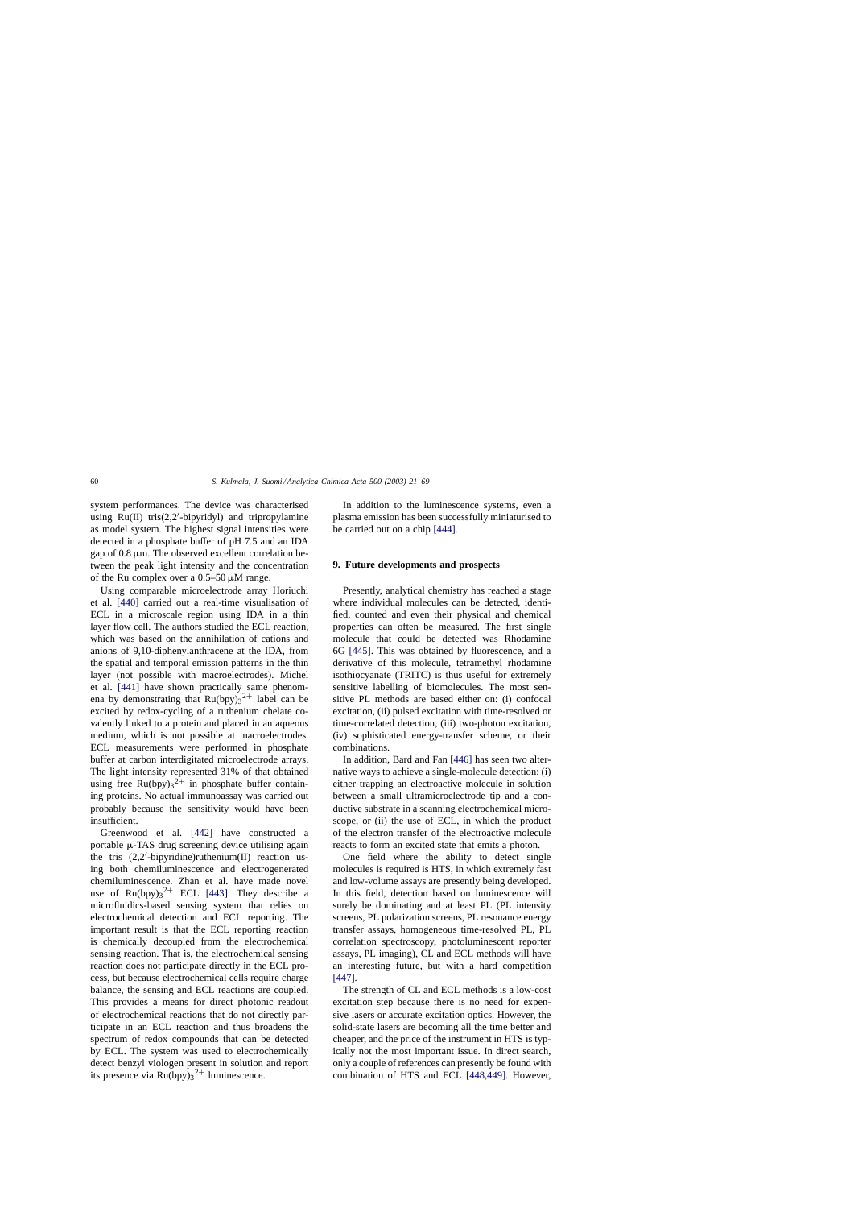system performances. The device was characterised using Ru(II) tris(2,2 -bipyridyl) and tripropylamine as model system. The highest signal intensities were detected in a phosphate buffer of pH 7.5 and an IDA gap of  $0.8 \mu m$ . The observed excellent correlation between the peak light intensity and the concentration of the Ru complex over a  $0.5-50 \mu M$  range.

Using comparable microelectrode array Horiuchi et al. [\[440\]](#page-48-0) carried out a real-time visualisation of ECL in a microscale region using IDA in a thin layer flow cell. The authors studied the ECL reaction, which was based on the annihilation of cations and anions of 9,10-diphenylanthracene at the IDA, from the spatial and temporal emission patterns in the thin layer (not possible with macroelectrodes). Michel et al. [\[441\]](#page-48-0) have shown practically same phenomena by demonstrating that  $Ru(bpy)_{3}^{2+}$  label can be excited by redox-cycling of a ruthenium chelate covalently linked to a protein and placed in an aqueous medium, which is not possible at macroelectrodes. ECL measurements were performed in phosphate buffer at carbon interdigitated microelectrode arrays. The light intensity represented 31% of that obtained using free  $Ru(bpy)_{3}^{2+}$  in phosphate buffer containing proteins. No actual immunoassay was carried out probably because the sensitivity would have been insufficient.

Greenwood et al. [\[442\]](#page-48-0) have constructed a portable  $\mu$ -TAS drug screening device utilising again the tris (2,2 -bipyridine)ruthenium(II) reaction using both chemiluminescence and electrogenerated chemiluminescence. Zhan et al. have made novel use of  $Ru(bpy)_{3}^{2+}$  ECL [\[443\].](#page-48-0) They describe a microfluidics-based sensing system that relies on electrochemical detection and ECL reporting. The important result is that the ECL reporting reaction is chemically decoupled from the electrochemical sensing reaction. That is, the electrochemical sensing reaction does not participate directly in the ECL process, but because electrochemical cells require charge balance, the sensing and ECL reactions are coupled. This provides a means for direct photonic readout of electrochemical reactions that do not directly participate in an ECL reaction and thus broadens the spectrum of redox compounds that can be detected by ECL. The system was used to electrochemically detect benzyl viologen present in solution and report its presence via  $Ru(bpy)_{3}^{2+}$  luminescence.

In addition to the luminescence systems, even a plasma emission has been successfully miniaturised to be carried out on a chip [\[444\].](#page-48-0)

#### **9. Future developments and prospects**

Presently, analytical chemistry has reached a stage where individual molecules can be detected, identified, counted and even their physical and chemical properties can often be measured. The first single molecule that could be detected was Rhodamine 6G [\[445\].](#page-48-0) This was obtained by fluorescence, and a derivative of this molecule, tetramethyl rhodamine isothiocyanate (TRITC) is thus useful for extremely sensitive labelling of biomolecules. The most sensitive PL methods are based either on: (i) confocal excitation, (ii) pulsed excitation with time-resolved or time-correlated detection, (iii) two-photon excitation, (iv) sophisticated energy-transfer scheme, or their combinations.

In addition, Bard and Fan [\[446\]](#page-48-0) has seen two alternative ways to achieve a single-molecule detection: (i) either trapping an electroactive molecule in solution between a small ultramicroelectrode tip and a conductive substrate in a scanning electrochemical microscope, or (ii) the use of ECL, in which the product of the electron transfer of the electroactive molecule reacts to form an excited state that emits a photon.

One field where the ability to detect single molecules is required is HTS, in which extremely fast and low-volume assays are presently being developed. In this field, detection based on luminescence will surely be dominating and at least PL (PL intensity screens, PL polarization screens, PL resonance energy transfer assays, homogeneous time-resolved PL, PL correlation spectroscopy, photoluminescent reporter assays, PL imaging), CL and ECL methods will have an interesting future, but with a hard competition [\[447\].](#page-48-0)

The strength of CL and ECL methods is a low-cost excitation step because there is no need for expensive lasers or accurate excitation optics. However, the solid-state lasers are becoming all the time better and cheaper, and the price of the instrument in HTS is typically not the most important issue. In direct search, only a couple of references can presently be found with combination of HTS and ECL [\[448,449\].](#page-48-0) However,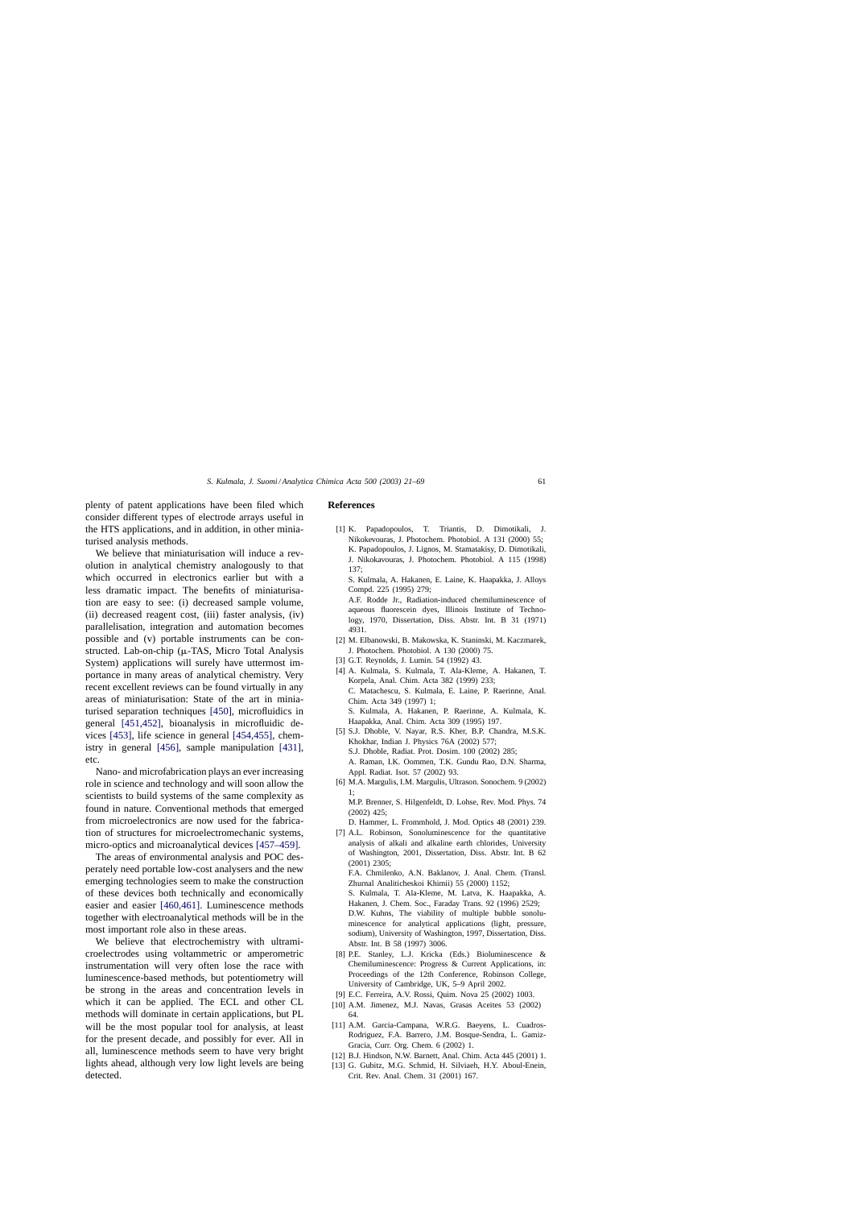<span id="page-40-0"></span>plenty of patent applications have been filed which consider different types of electrode arrays useful in the HTS applications, and in addition, in other miniaturised analysis methods.

We believe that miniaturisation will induce a revolution in analytical chemistry analogously to that which occurred in electronics earlier but with a less dramatic impact. The benefits of miniaturisation are easy to see: (i) decreased sample volume, (ii) decreased reagent cost, (iii) faster analysis, (iv) parallelisation, integration and automation becomes possible and (v) portable instruments can be constructed. Lab-on-chip  $(\mu$ -TAS, Micro Total Analysis System) applications will surely have uttermost importance in many areas of analytical chemistry. Very recent excellent reviews can be found virtually in any areas of miniaturisation: State of the art in miniaturised separation techniques [\[450\],](#page-48-0) microfluidics in general [\[451,452\],](#page-48-0) bioanalysis in microfluidic devices [\[453\],](#page-48-0) life science in general [\[454,455\],](#page-48-0) chemistry in general [\[456\],](#page-48-0) sample manipulation [\[431\],](#page-47-0) etc.

Nano- and microfabrication plays an ever increasing role in science and technology and will soon allow the scientists to build systems of the same complexity as found in nature. Conventional methods that emerged from microelectronics are now used for the fabrication of structures for microelectromechanic systems, micro-optics and microanalytical devices [\[457–459\].](#page-48-0)

The areas of environmental analysis and POC desperately need portable low-cost analysers and the new emerging technologies seem to make the construction of these devices both technically and economically easier and easier [\[460,461\].](#page-48-0) Luminescence methods together with electroanalytical methods will be in the most important role also in these areas.

We believe that electrochemistry with ultramicroelectrodes using voltammetric or amperometric instrumentation will very often lose the race with luminescence-based methods, but potentiometry will be strong in the areas and concentration levels in which it can be applied. The ECL and other CL methods will dominate in certain applications, but PL will be the most popular tool for analysis, at least for the present decade, and possibly for ever. All in all, luminescence methods seem to have very bright lights ahead, although very low light levels are being detected.

#### **References**

[1] K. Papadopoulos, T. Triantis, D. Dimotikali, J. Nikokevouras, J. Photochem. Photobiol. A 131 (2000) 55; K. Papadopoulos, J. Lignos, M. Stamatakisy, D. Dimotikali, J. Nikokavouras, J. Photochem. Photobiol. A 115 (1998) 137; S. Kulmala, A. Hakanen, E. Laine, K. Haapakka, J. Alloys Compd. 225 (1995) 279; A.F. Rodde Jr., Radiation-induced chemiluminescence of

aqueous fluorescein dyes, Illinois Institute of Technology, 1970, Dissertation, Diss. Abstr. Int. B 31 (1971) 4931.

- [2] M. Elbanowski, B. Makowska, K. Staninski, M. Kaczmarek, J. Photochem. Photobiol. A 130 (2000) 75.
- [3] G.T. Reynolds, J. Lumin. 54 (1992) 43.
- [4] A. Kulmala, S. Kulmala, T. Ala-Kleme, A. Hakanen, T. Korpela, Anal. Chim. Acta 382 (1999) 233; C. Matachescu, S. Kulmala, E. Laine, P. Raerinne, Anal. Chim. Acta 349 (1997) 1; S. Kulmala, A. Hakanen, P. Raerinne, A. Kulmala, K. Haapakka, Anal. Chim. Acta 309 (1995) 197.
- [5] S.J. Dhoble, V. Nayar, R.S. Kher, B.P. Chandra, M.S.K. Khokhar, Indian J. Physics 76A (2002) 577; S.J. Dhoble, Radiat. Prot. Dosim. 100 (2002) 285; A. Raman, I.K. Oommen, T.K. Gundu Rao, D.N. Sharma, Appl. Radiat. Isot. 57 (2002) 93.
- [6] M.A. Margulis, I.M. Margulis, Ultrason. Sonochem. 9 (2002) 1;

M.P. Brenner, S. Hilgenfeldt, D. Lohse, Rev. Mod. Phys. 74 (2002) 425;

D. Hammer, L. Frommhold, J. Mod. Optics 48 (2001) 239.

[7] A.L. Robinson, Sonoluminescence for the quantitative analysis of alkali and alkaline earth chlorides, University of Washington, 2001, Dissertation, Diss. Abstr. Int. B 62 (2001) 2305; F.A. Chmilenko, A.N. Baklanov, J. Anal. Chem. (Transl. Zhurnal Analiticheskoi Khimii) 55 (2000) 1152; S. Kulmala, T. Ala-Kleme, M. Latva, K. Haapakka, A.

Hakanen, J. Chem. Soc., Faraday Trans. 92 (1996) 2529; D.W. Kuhns, The viability of multiple bubble sonoluminescence for analytical applications (light, pressure, sodium), University of Washington, 1997, Dissertation, Diss. Abstr. Int. B 58 (1997) 3006.

- [8] P.E. Stanley, L.J. Kricka (Eds.) Bioluminescence & Chemiluminescence: Progress & Current Applications, in: Proceedings of the 12th Conference, Robinson College, University of Cambridge, UK, 5–9 April 2002.
- [9] E.C. Ferreira, A.V. Rossi, Quim. Nova 25 (2002) 1003.
- [10] A.M. Jimenez, M.J. Navas, Grasas Aceites 53 (2002) 64.
- [11] A.M. Garcia-Campana, W.R.G. Baeyens, L. Cuadros-Rodriguez, F.A. Barrero, J.M. Bosque-Sendra, L. Gamiz-Gracia, Curr. Org. Chem. 6 (2002) 1.
- [12] B.J. Hindson, N.W. Barnett, Anal. Chim. Acta 445 (2001) 1.
- [13] G. Gubitz, M.G. Schmid, H. Silviaeh, H.Y. Aboul-Enein, Crit. Rev. Anal. Chem. 31 (2001) 167.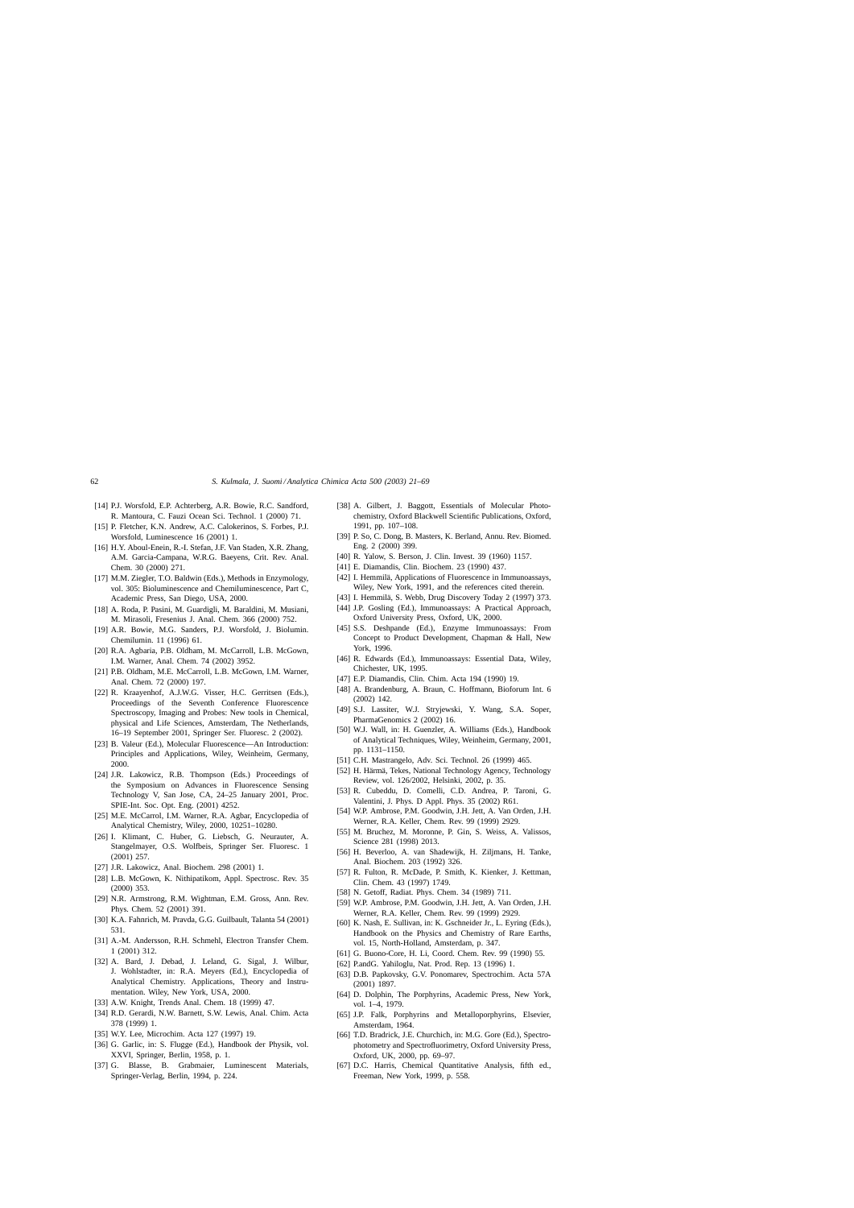- <span id="page-41-0"></span>[14] P.J. Worsfold, E.P. Achterberg, A.R. Bowie, R.C. Sandford, R. Mantoura, C. Fauzi Ocean Sci. Technol. 1 (2000) 71.
- [15] P. Fletcher, K.N. Andrew, A.C. Calokerinos, S. Forbes, P.J. Worsfold, Luminescence 16 (2001) 1.
- [16] H.Y. Aboul-Enein, R.-I. Stefan, J.F. Van Staden, X.R. Zhang, A.M. Garcia-Campana, W.R.G. Baeyens, Crit. Rev. Anal. Chem. 30 (2000) 271.
- [17] M.M. Ziegler, T.O. Baldwin (Eds.), Methods in Enzymology, vol. 305: Bioluminescence and Chemiluminescence, Part C, Academic Press, San Diego, USA, 2000.
- [18] A. Roda, P. Pasini, M. Guardigli, M. Baraldini, M. Musiani, M. Mirasoli, Fresenius J. Anal. Chem. 366 (2000) 752.
- [19] A.R. Bowie, M.G. Sanders, P.J. Worsfold, J. Biolumin. Chemilumin. 11 (1996) 61.
- [20] R.A. Agbaria, P.B. Oldham, M. McCarroll, L.B. McGown, I.M. Warner, Anal. Chem. 74 (2002) 3952.
- [21] P.B. Oldham, M.E. McCarroll, L.B. McGown, I.M. Warner, Anal. Chem. 72 (2000) 197.
- [22] R. Kraayenhof, A.J.W.G. Visser, H.C. Gerritsen (Eds.), Proceedings of the Seventh Conference Fluorescence Spectroscopy, Imaging and Probes: New tools in Chemical, physical and Life Sciences, Amsterdam, The Netherlands, 16–19 September 2001, Springer Ser. Fluoresc. 2 (2002).
- [23] B. Valeur (Ed.), Molecular Fluorescence—An Introduction: Principles and Applications, Wiley, Weinheim, Germany, 2000.
- [24] J.R. Lakowicz, R.B. Thompson (Eds.) Proceedings of the Symposium on Advances in Fluorescence Sensing Technology V, San Jose, CA, 24–25 January 2001, Proc. SPIE-Int. Soc. Opt. Eng. (2001) 4252.
- [25] M.E. McCarrol, I.M. Warner, R.A. Agbar, Encyclopedia of Analytical Chemistry, Wiley, 2000, 10251–10280.
- [26] I. Klimant, C. Huber, G. Liebsch, G. Neurauter, A. Stangelmayer, O.S. Wolfbeis, Springer Ser. Fluoresc. 1 (2001) 257.
- [27] J.R. Lakowicz, Anal. Biochem. 298 (2001) 1.
- [28] L.B. McGown, K. Nithipatikom, Appl. Spectrosc. Rev. 35 (2000) 353.
- [29] N.R. Armstrong, R.M. Wightman, E.M. Gross, Ann. Rev. Phys. Chem. 52 (2001) 391.
- [30] K.A. Fahnrich, M. Pravda, G.G. Guilbault, Talanta 54 (2001) 531.
- [31] A.-M. Andersson, R.H. Schmehl, Electron Transfer Chem. 1 (2001) 312.
- [32] A. Bard, J. Debad, J. Leland, G. Sigal, J. Wilbur, J. Wohlstadter, in: R.A. Meyers (Ed.), Encyclopedia of Analytical Chemistry. Applications, Theory and Instrumentation. Wiley, New York, USA, 2000.
- [33] A.W. Knight, Trends Anal. Chem. 18 (1999) 47.
- [34] R.D. Gerardi, N.W. Barnett, S.W. Lewis, Anal. Chim. Acta 378 (1999) 1.
- [35] W.Y. Lee, Microchim. Acta 127 (1997) 19.
- [36] G. Garlic, in: S. Flugge (Ed.), Handbook der Physik, vol. XXVI, Springer, Berlin, 1958, p. 1.
- [37] G. Blasse, B. Grabmaier, Luminescent Materials, Springer-Verlag, Berlin, 1994, p. 224.
- [38] A. Gilbert, J. Baggott, Essentials of Molecular Photochemistry, Oxford Blackwell Scientific Publications, Oxford, 1991, pp. 107–108.
- [39] P. So, C. Dong, B. Masters, K. Berland, Annu. Rev. Biomed. Eng. 2 (2000) 399.
- [40] R. Yalow, S. Berson, J. Clin. Invest. 39 (1960) 1157.
- [41] E. Diamandis, Clin. Biochem. 23 (1990) 437.
- [42] I. Hemmilä, Applications of Fluorescence in Immunoassays, Wiley, New York, 1991, and the references cited therein.
- [43] I. Hemmilä, S. Webb, Drug Discovery Today 2 (1997) 373.
- [44] J.P. Gosling (Ed.), Immunoassays: A Practical Approach, Oxford University Press, Oxford, UK, 2000.
- [45] S.S. Deshpande (Ed.), Enzyme Immunoassays: From Concept to Product Development, Chapman & Hall, New York, 1996.
- [46] R. Edwards (Ed.), Immunoassays: Essential Data, Wiley, Chichester, UK, 1995.
- [47] E.P. Diamandis, Clin. Chim. Acta 194 (1990) 19.
- [48] A. Brandenburg, A. Braun, C. Hoffmann, Bioforum Int. 6  $(2002)$  142
- [49] S.J. Lassiter, W.J. Stryjewski, Y. Wang, S.A. Soper, PharmaGenomics 2 (2002) 16.
- [50] W.J. Wall, in: H. Guenzler, A. Williams (Eds.), Handbook of Analytical Techniques, Wiley, Weinheim, Germany, 2001, pp. 1131–1150.
- [51] C.H. Mastrangelo, Adv. Sci. Technol. 26 (1999) 465.
- [52] H. Härmä, Tekes, National Technology Agency, Technology Review, vol. 126/2002, Helsinki, 2002, p. 35.
- [53] R. Cubeddu, D. Comelli, C.D. Andrea, P. Taroni, G. Valentini, J. Phys. D Appl. Phys. 35 (2002) R61.
- [54] W.P. Ambrose, P.M. Goodwin, J.H. Jett, A. Van Orden, J.H. Werner, R.A. Keller, Chem. Rev. 99 (1999) 2929.
- [55] M. Bruchez, M. Moronne, P. Gin, S. Weiss, A. Valissos, Science 281 (1998) 2013.
- [56] H. Beverloo, A. van Shadewijk, H. Ziljmans, H. Tanke, Anal. Biochem. 203 (1992) 326.
- [57] R. Fulton, R. McDade, P. Smith, K. Kienker, J. Kettman, Clin. Chem. 43 (1997) 1749.
- [58] N. Getoff, Radiat. Phys. Chem. 34 (1989) 711.
- [59] W.P. Ambrose, P.M. Goodwin, J.H. Jett, A. Van Orden, J.H. Werner, R.A. Keller, Chem. Rev. 99 (1999) 2929.
- [60] K. Nash, E. Sullivan, in: K. Gschneider Jr., L. Eyring (Eds.), Handbook on the Physics and Chemistry of Rare Earths, vol. 15, North-Holland, Amsterdam, p. 347.
- [61] G. Buono-Core, H. Li, Coord. Chem. Rev. 99 (1990) 55.
- [62] P.andG. Yahiloglu, Nat. Prod. Rep. 13 (1996) 1.
- [63] D.B. Papkovsky, G.V. Ponomarev, Spectrochim. Acta 57A (2001) 1897.
- [64] D. Dolphin, The Porphyrins, Academic Press, New York, vol. 1–4, 1979.
- [65] J.P. Falk, Porphyrins and Metalloporphyrins, Elsevier, Amsterdam, 1964.
- [66] T.D. Bradrick, J.E. Churchich, in: M.G. Gore (Ed.), Spectrophotometry and Spectrofluorimetry, Oxford University Press, Oxford, UK, 2000, pp. 69–97.
- [67] D.C. Harris, Chemical Quantitative Analysis, fifth ed., Freeman, New York, 1999, p. 558.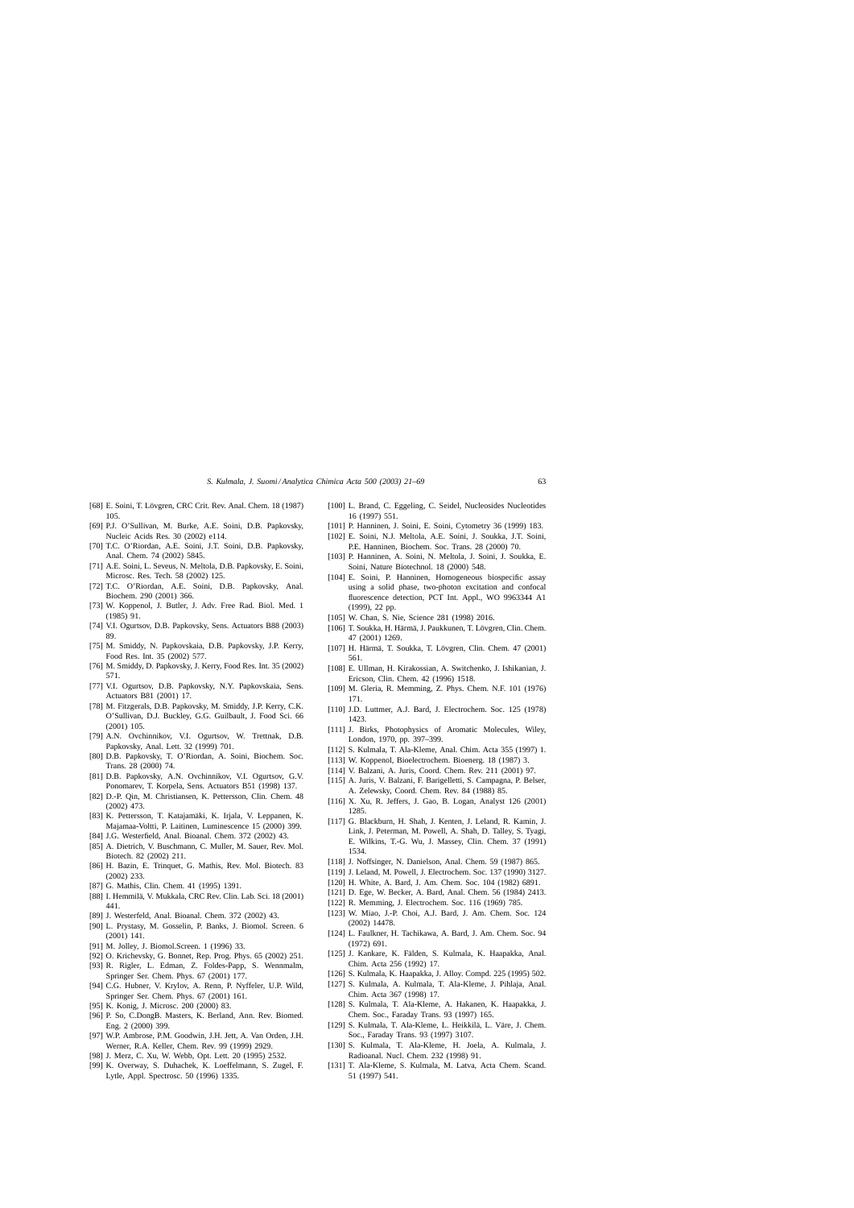- <span id="page-42-0"></span>[68] E. Soini, T. Lövgren, CRC Crit. Rev. Anal. Chem. 18 (1987) 105.
- [69] P.J. O'Sullivan, M. Burke, A.E. Soini, D.B. Papkovsky, Nucleic Acids Res. 30 (2002) e114.
- [70] T.C. O'Riordan, A.E. Soini, J.T. Soini, D.B. Papkovsky, Anal. Chem. 74 (2002) 5845.
- [71] A.E. Soini, L. Seveus, N. Meltola, D.B. Papkovsky, E. Soini, Microsc. Res. Tech. 58 (2002) 125.
- [72] T.C. O'Riordan, A.E. Soini, D.B. Papkovsky, Anal. Biochem. 290 (2001) 366.
- [73] W. Koppenol, J. Butler, J. Adv. Free Rad. Biol. Med. 1 (1985) 91.
- [74] V.I. Ogurtsov, D.B. Papkovsky, Sens. Actuators B88 (2003) 89.
- [75] M. Smiddy, N. Papkovskaia, D.B. Papkovsky, J.P. Kerry, Food Res. Int. 35 (2002) 577.
- [76] M. Smiddy, D. Papkovsky, J. Kerry, Food Res. Int. 35 (2002) 571.
- [77] V.I. Ogurtsov, D.B. Papkovsky, N.Y. Papkovskaia, Sens. Actuators B81 (2001) 17.
- [78] M. Fitzgerals, D.B. Papkovsky, M. Smiddy, J.P. Kerry, C.K. O'Sullivan, D.J. Buckley, G.G. Guilbault, J. Food Sci. 66 (2001) 105.
- [79] A.N. Ovchinnikov, V.I. Ogurtsov, W. Trettnak, D.B. Papkovsky, Anal. Lett. 32 (1999) 701.
- [80] D.B. Papkovsky, T. O'Riordan, A. Soini, Biochem. Soc. Trans. 28 (2000) 74.
- [81] D.B. Papkovsky, A.N. Ovchinnikov, V.I. Ogurtsov, G.V. Ponomarev, T. Korpela, Sens. Actuators B51 (1998) 137.
- [82] D.-P. Qin, M. Christiansen, K. Pettersson, Clin. Chem. 48 (2002) 473.
- [83] K. Pettersson, T. Katajamäki, K. Irjala, V. Leppanen, K. Majamaa-Voltti, P. Laitinen, Luminescence 15 (2000) 399.
- [84] J.G. Westerfield, Anal. Bioanal. Chem. 372 (2002) 43.
- [85] A. Dietrich, V. Buschmann, C. Muller, M. Sauer, Rev. Mol. Biotech. 82 (2002) 211.
- [86] H. Bazin, E. Trinquet, G. Mathis, Rev. Mol. Biotech. 83 (2002) 233.
- [87] G. Mathis, Clin. Chem. 41 (1995) 1391.
- [88] I. Hemmilä, V. Mukkala, CRC Rev. Clin. Lab. Sci. 18 (2001) 441.
- [89] J. Westerfeld, Anal. Bioanal. Chem. 372 (2002) 43.
- [90] L. Prystasy, M. Gosselin, P. Banks, J. Biomol. Screen. 6 (2001) 141.
- [91] M. Jolley, J. Biomol.Screen. 1 (1996) 33.
- [92] O. Krichevsky, G. Bonnet, Rep. Prog. Phys. 65 (2002) 251.
- [93] R. Rigler, L. Edman, Z. Foldes-Papp, S. Wennmalm, Springer Ser. Chem. Phys. 67 (2001) 177.
- [94] C.G. Hubner, V. Krylov, A. Renn, P. Nyffeler, U.P. Wild, Springer Ser. Chem. Phys. 67 (2001) 161.
- [95] K. Konig, J. Microsc. 200 (2000) 83.
- [96] P. So, C.DongB. Masters, K. Berland, Ann. Rev. Biomed. Eng. 2 (2000) 399.
- [97] W.P. Ambrose, P.M. Goodwin, J.H. Jett, A. Van Orden, J.H. Werner, R.A. Keller, Chem. Rev. 99 (1999) 2929.
- [98] J. Merz, C. Xu, W. Webb, Opt. Lett. 20 (1995) 2532.
- [99] K. Overway, S. Duhachek, K. Loeffelmann, S. Zugel, F. Lytle, Appl. Spectrosc. 50 (1996) 1335.
- [100] L. Brand, C. Eggeling, C. Seidel, Nucleosides Nucleotides 16 (1997) 551.
- [101] P. Hanninen, J. Soini, E. Soini, Cytometry 36 (1999) 183.
- [102] E. Soini, N.J. Meltola, A.E. Soini, J. Soukka, J.T. Soini, P.E. Hanninen, Biochem. Soc. Trans. 28 (2000) 70.
- [103] P. Hanninen, A. Soini, N. Meltola, J. Soini, J. Soukka, E. Soini, Nature Biotechnol. 18 (2000) 548.
- [104] E. Soini, P. Hanninen, Homogeneous biospecific assay using a solid phase, two-photon excitation and confocal fluorescence detection, PCT Int. Appl., WO 9963344 A1 (1999), 22 pp.
- [105] W. Chan, S. Nie, Science 281 (1998) 2016.
- [106] T. Soukka, H. Härmä, J. Paukkunen, T. Lövgren, Clin. Chem. 47 (2001) 1269.
- [107] H. Härmä, T. Soukka, T. Lövgren, Clin. Chem. 47 (2001) 561.
- [108] E. Ullman, H. Kirakossian, A. Switchenko, J. Ishikanian, J. Ericson, Clin. Chem. 42 (1996) 1518.
- [109] M. Gleria, R. Memming, Z. Phys. Chem. N.F. 101 (1976) 171.
- [110] J.D. Luttmer, A.J. Bard, J. Electrochem. Soc. 125 (1978) 1423.
- [111] J. Birks, Photophysics of Aromatic Molecules, Wiley, London, 1970, pp. 397–399.
- [112] S. Kulmala, T. Ala-Kleme, Anal. Chim. Acta 355 (1997) 1.
- [113] W. Koppenol, Bioelectrochem. Bioenerg. 18 (1987) 3.
- [114] V. Balzani, A. Juris, Coord. Chem. Rev. 211 (2001) 97.
- [115] A. Juris, V. Balzani, F. Barigelletti, S. Campagna, P. Belser, A. Zelewsky, Coord. Chem. Rev. 84 (1988) 85.
- [116] X. Xu, R. Jeffers, J. Gao, B. Logan, Analyst 126 (2001) 1285.
- [117] G. Blackburn, H. Shah, J. Kenten, J. Leland, R. Kamin, J. Link, J. Peterman, M. Powell, A. Shah, D. Talley, S. Tyagi, E. Wilkins, T.-G. Wu, J. Massey, Clin. Chem. 37 (1991) 1534.
- [118] J. Noffsinger, N. Danielson, Anal. Chem. 59 (1987) 865.
- [119] J. Leland, M. Powell, J. Electrochem. Soc. 137 (1990) 3127.
- [120] H. White, A. Bard, J. Am. Chem. Soc. 104 (1982) 6891.
- [121] D. Ege, W. Becker, A. Bard, Anal. Chem. 56 (1984) 2413.
- [122] R. Memming, J. Electrochem. Soc. 116 (1969) 785.
- [123] W. Miao, J.-P. Choi, A.J. Bard, J. Am. Chem. Soc. 124 (2002) 14478.
- [124] L. Faulkner, H. Tachikawa, A. Bard, J. Am. Chem. Soc. 94 (1972) 691.
- [125] J. Kankare, K. Fälden, S. Kulmala, K. Haapakka, Anal. Chim. Acta 256 (1992) 17.
- [126] S. Kulmala, K. Haapakka, J. Alloy. Compd. 225 (1995) 502.
- [127] S. Kulmala, A. Kulmala, T. Ala-Kleme, J. Pihlaja, Anal. Chim. Acta 367 (1998) 17.
- [128] S. Kulmala, T. Ala-Kleme, A. Hakanen, K. Haapakka, J. Chem. Soc., Faraday Trans. 93 (1997) 165.
- [129] S. Kulmala, T. Ala-Kleme, L. Heikkilä, L. Väre, J. Chem. Soc., Faraday Trans. 93 (1997) 3107.
- [130] S. Kulmala, T. Ala-Kleme, H. Joela, A. Kulmala, J. Radioanal. Nucl. Chem. 232 (1998) 91.
- [131] T. Ala-Kleme, S. Kulmala, M. Latva, Acta Chem. Scand. 51 (1997) 541.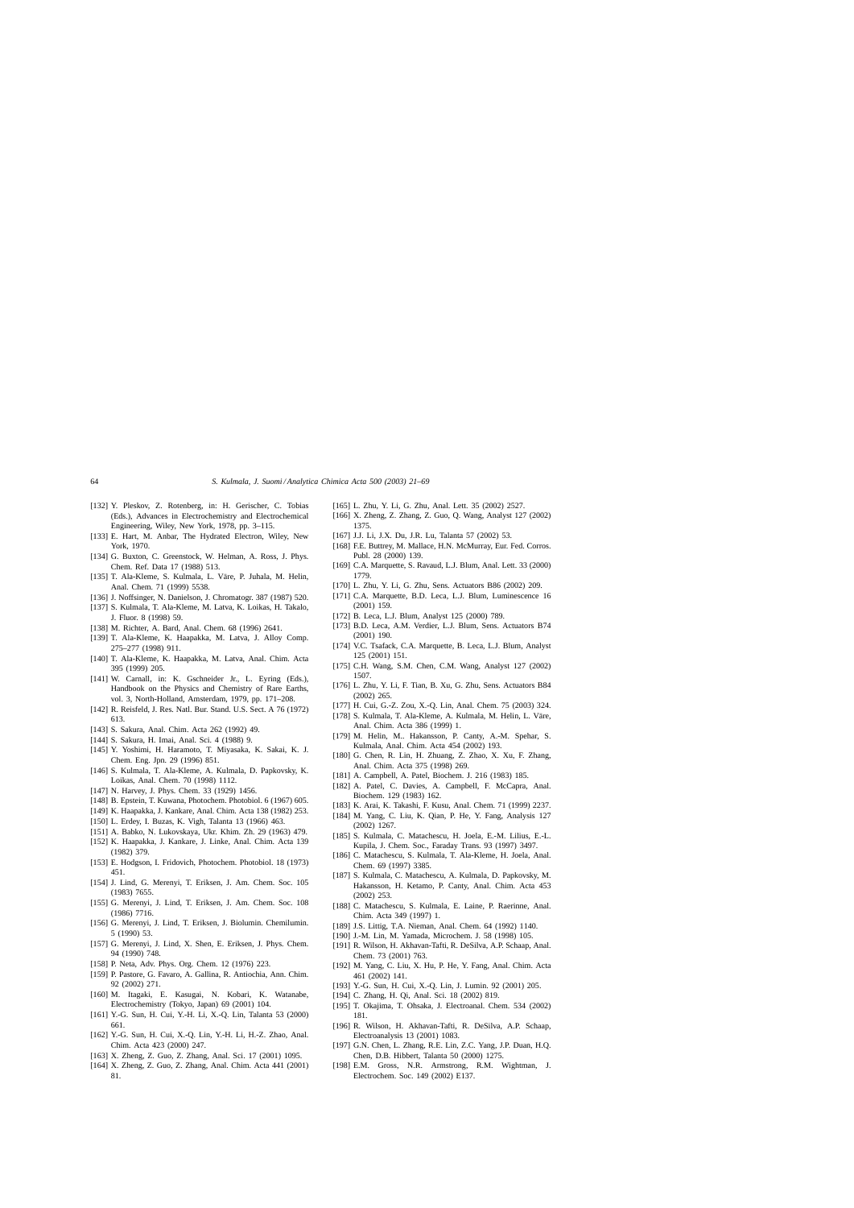- <span id="page-43-0"></span>[132] Y. Pleskov, Z. Rotenberg, in: H. Gerischer, C. Tobias (Eds.), Advances in Electrochemistry and Electrochemical Engineering, Wiley, New York, 1978, pp. 3–115.
- [133] E. Hart, M. Anbar, The Hydrated Electron, Wiley, New York, 1970.
- [134] G. Buxton, C. Greenstock, W. Helman, A. Ross, J. Phys. Chem. Ref. Data 17 (1988) 513.
- [135] T. Ala-Kleme, S. Kulmala, L. Väre, P. Juhala, M. Helin, Anal. Chem. 71 (1999) 5538.
- [136] J. Noffsinger, N. Danielson, J. Chromatogr. 387 (1987) 520.
- [137] S. Kulmala, T. Ala-Kleme, M. Latva, K. Loikas, H. Takalo, J. Fluor. 8 (1998) 59.
- [138] M. Richter, A. Bard, Anal. Chem. 68 (1996) 2641.
- [139] T. Ala-Kleme, K. Haapakka, M. Latva, J. Alloy Comp. 275–277 (1998) 911.
- [140] T. Ala-Kleme, K. Haapakka, M. Latva, Anal. Chim. Acta 395 (1999) 205.
- [141] W. Carnall, in: K. Gschneider Jr., L. Eyring (Eds.), Handbook on the Physics and Chemistry of Rare Earths, vol. 3, North-Holland, Amsterdam, 1979, pp. 171–208.
- [142] R. Reisfeld, J. Res. Natl. Bur. Stand. U.S. Sect. A 76 (1972) 613.
- [143] S. Sakura, Anal. Chim. Acta 262 (1992) 49.
- [144] S. Sakura, H. Imai, Anal. Sci. 4 (1988) 9.
- [145] Y. Yoshimi, H. Haramoto, T. Miyasaka, K. Sakai, K. J. Chem. Eng. Jpn. 29 (1996) 851.
- [146] S. Kulmala, T. Ala-Kleme, A. Kulmala, D. Papkovsky, K. Loikas, Anal. Chem. 70 (1998) 1112.
- [147] N. Harvey, J. Phys. Chem. 33 (1929) 1456.
- [148] B. Epstein, T. Kuwana, Photochem. Photobiol. 6 (1967) 605.
- [149] K. Haapakka, J. Kankare, Anal. Chim. Acta 138 (1982) 253.
- [150] L. Erdey, I. Buzas, K. Vigh, Talanta 13 (1966) 463.
- [151] A. Babko, N. Lukovskaya, Ukr. Khim. Zh. 29 (1963) 479.
- [152] K. Haapakka, J. Kankare, J. Linke, Anal. Chim. Acta 139 (1982) 379.
- [153] E. Hodgson, I. Fridovich, Photochem. Photobiol. 18 (1973) 451.
- [154] J. Lind, G. Merenyi, T. Eriksen, J. Am. Chem. Soc. 105 (1983) 7655.
- [155] G. Merenyi, J. Lind, T. Eriksen, J. Am. Chem. Soc. 108 (1986) 7716.
- [156] G. Merenyi, J. Lind, T. Eriksen, J. Biolumin. Chemilumin. 5 (1990) 53.
- [157] G. Merenyi, J. Lind, X. Shen, E. Eriksen, J. Phys. Chem. 94 (1990) 748.
- [158] P. Neta, Adv. Phys. Org. Chem. 12 (1976) 223.
- [159] P. Pastore, G. Favaro, A. Gallina, R. Antiochia, Ann. Chim. 92 (2002) 271.
- [160] M. Itagaki, E. Kasugai, N. Kobari, K. Watanabe, Electrochemistry (Tokyo, Japan) 69 (2001) 104.
- [161] Y.-G. Sun, H. Cui, Y.-H. Li, X.-Q. Lin, Talanta 53 (2000) 661.
- [162] Y.-G. Sun, H. Cui, X.-Q. Lin, Y.-H. Li, H.-Z. Zhao, Anal. Chim. Acta 423 (2000) 247.
- [163] X. Zheng, Z. Guo, Z. Zhang, Anal. Sci. 17 (2001) 1095.
- [164] X. Zheng, Z. Guo, Z. Zhang, Anal. Chim. Acta 441 (2001) 81.
- [165] L. Zhu, Y. Li, G. Zhu, Anal. Lett. 35 (2002) 2527.
- [166] X. Zheng, Z. Zhang, Z. Guo, Q. Wang, Analyst 127 (2002) 1375.
- [167] J.J. Li, J.X. Du, J.R. Lu, Talanta 57 (2002) 53.
- [168] F.E. Buttrey, M. Mallace, H.N. McMurray, Eur. Fed. Corros. Publ. 28 (2000) 139.
- [169] C.A. Marquette, S. Ravaud, L.J. Blum, Anal. Lett. 33 (2000) 1779.
- [170] L. Zhu, Y. Li, G. Zhu, Sens. Actuators B86 (2002) 209.
- [171] C.A. Marquette, B.D. Leca, L.J. Blum, Luminescence 16 (2001) 159.
- [172] B. Leca, L.J. Blum, Analyst 125 (2000) 789.
- [173] B.D. Leca, A.M. Verdier, L.J. Blum, Sens. Actuators B74 (2001) 190.
- [174] V.C. Tsafack, C.A. Marquette, B. Leca, L.J. Blum, Analyst 125 (2001) 151.
- [175] C.H. Wang, S.M. Chen, C.M. Wang, Analyst 127 (2002) 1507.
- [176] L. Zhu, Y. Li, F. Tian, B. Xu, G. Zhu, Sens. Actuators B84 (2002) 265.
- [177] H. Cui, G.-Z. Zou, X.-Q. Lin, Anal. Chem. 75 (2003) 324.
- [178] S. Kulmala, T. Ala-Kleme, A. Kulmala, M. Helin, L. Väre, Anal. Chim. Acta 386 (1999) 1.
- [179] M. Helin, M.. Hakansson, P. Canty, A.-M. Spehar, S. Kulmala, Anal. Chim. Acta 454 (2002) 193.
- [180] G. Chen, R. Lin, H. Zhuang, Z. Zhao, X. Xu, F. Zhang, Anal. Chim. Acta 375 (1998) 269.
- [181] A. Campbell, A. Patel, Biochem. J. 216 (1983) 185.
- [182] A. Patel, C. Davies, A. Campbell, F. McCapra, Anal. Biochem. 129 (1983) 162.
- [183] K. Arai, K. Takashi, F. Kusu, Anal. Chem. 71 (1999) 2237.
- [184] M. Yang, C. Liu, K. Qian, P. He, Y. Fang, Analysis 127 (2002) 1267.
- [185] S. Kulmala, C. Matachescu, H. Joela, E.-M. Lilius, E.-L. Kupila, J. Chem. Soc., Faraday Trans. 93 (1997) 3497.
- [186] C. Matachescu, S. Kulmala, T. Ala-Kleme, H. Joela, Anal. Chem. 69 (1997) 3385.
- [187] S. Kulmala, C. Matachescu, A. Kulmala, D. Papkovsky, M. Hakansson, H. Ketamo, P. Canty, Anal. Chim. Acta 453 (2002) 253.
- [188] C. Matachescu, S. Kulmala, E. Laine, P. Raerinne, Anal. Chim. Acta 349 (1997) 1.
- [189] J.S. Littig, T.A. Nieman, Anal. Chem. 64 (1992) 1140.
- [190] J.-M. Lin, M. Yamada, Microchem. J. 58 (1998) 105.
- [191] R. Wilson, H. Akhavan-Tafti, R. DeSilva, A.P. Schaap, Anal. Chem. 73 (2001) 763.
- [192] M. Yang, C. Liu, X. Hu, P. He, Y. Fang, Anal. Chim. Acta 461 (2002) 141.
- [193] Y.-G. Sun, H. Cui, X.-Q. Lin, J. Lumin. 92 (2001) 205.
- [194] C. Zhang, H. Qi, Anal. Sci. 18 (2002) 819.
- [195] T. Okajima, T. Ohsaka, J. Electroanal. Chem. 534 (2002) 181.
- [196] R. Wilson, H. Akhavan-Tafti, R. DeSilva, A.P. Schaap, Electroanalysis 13 (2001) 1083.
- [197] G.N. Chen, L. Zhang, R.E. Lin, Z.C. Yang, J.P. Duan, H.Q. Chen, D.B. Hibbert, Talanta 50 (2000) 1275.
- [198] E.M. Gross, N.R. Armstrong, R.M. Wightman, J. Electrochem. Soc. 149 (2002) E137.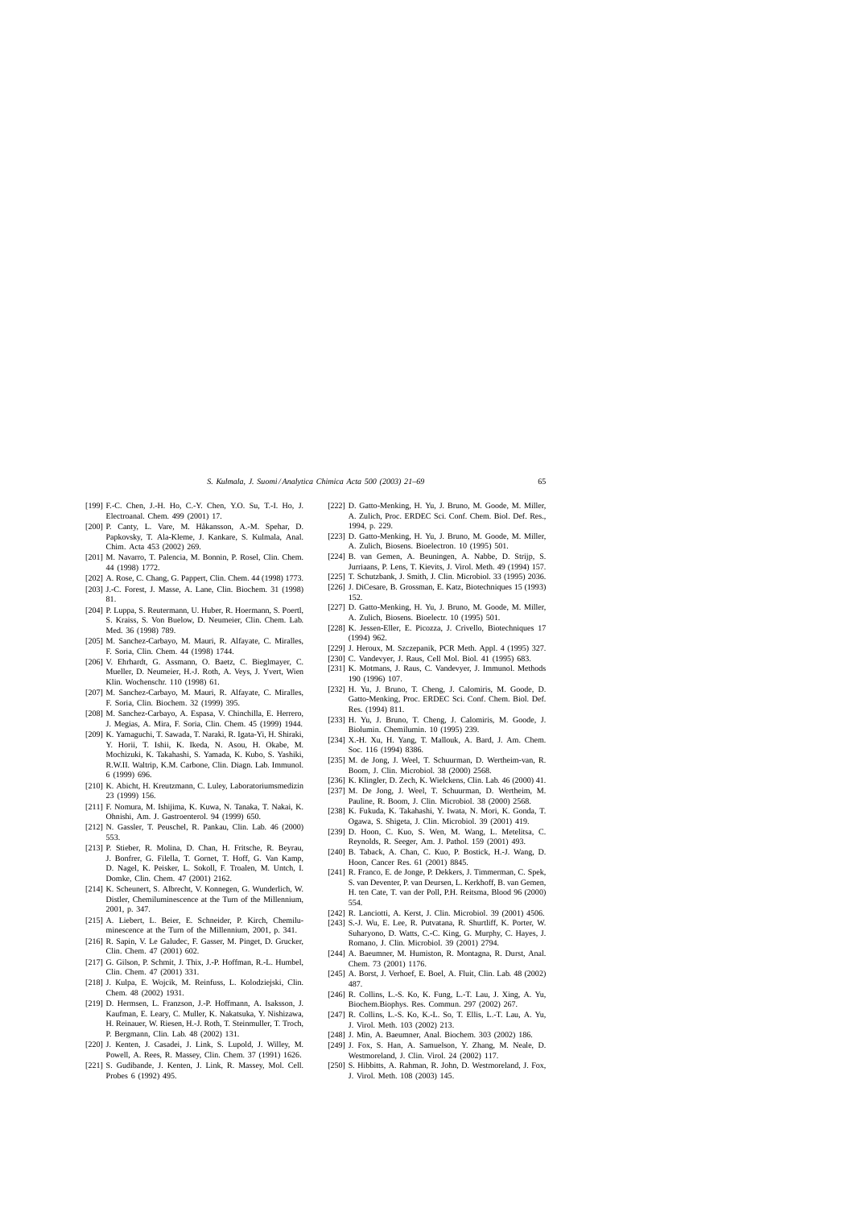- <span id="page-44-0"></span>[199] F.-C. Chen, J.-H. Ho, C.-Y. Chen, Y.O. Su, T.-I. Ho, J. Electroanal. Chem. 499 (2001) 17.
- [200] P. Canty, L. Vare, M. Håkansson, A.-M. Spehar, D. Papkovsky, T. Ala-Kleme, J. Kankare, S. Kulmala, Anal. Chim. Acta 453 (2002) 269.
- [201] M. Navarro, T. Palencia, M. Bonnin, P. Rosel, Clin. Chem. 44 (1998) 1772.
- [202] A. Rose, C. Chang, G. Pappert, Clin. Chem. 44 (1998) 1773.
- [203] J.-C. Forest, J. Masse, A. Lane, Clin. Biochem. 31 (1998) 81.
- [204] P. Luppa, S. Reutermann, U. Huber, R. Hoermann, S. Poertl, S. Kraiss, S. Von Buelow, D. Neumeier, Clin. Chem. Lab. Med. 36 (1998) 789.
- [205] M. Sanchez-Carbayo, M. Mauri, R. Alfayate, C. Miralles, F. Soria, Clin. Chem. 44 (1998) 1744.
- [206] V. Ehrhardt, G. Assmann, O. Baetz, C. Bieglmayer, C. Mueller, D. Neumeier, H.-J. Roth, A. Veys, J. Yvert, Wien Klin. Wochenschr. 110 (1998) 61.
- [207] M. Sanchez-Carbayo, M. Mauri, R. Alfayate, C. Miralles, F. Soria, Clin. Biochem. 32 (1999) 395.
- [208] M. Sanchez-Carbayo, A. Espasa, V. Chinchilla, E. Herrero, J. Megias, A. Mira, F. Soria, Clin. Chem. 45 (1999) 1944.
- [209] K. Yamaguchi, T. Sawada, T. Naraki, R. Igata-Yi, H. Shiraki, Y. Horii, T. Ishii, K. Ikeda, N. Asou, H. Okabe, M. Mochizuki, K. Takahashi, S. Yamada, K. Kubo, S. Yashiki, R.W.II. Waltrip, K.M. Carbone, Clin. Diagn. Lab. Immunol. 6 (1999) 696.
- [210] K. Abicht, H. Kreutzmann, C. Luley, Laboratoriumsmedizin 23 (1999) 156.
- [211] F. Nomura, M. Ishijima, K. Kuwa, N. Tanaka, T. Nakai, K. Ohnishi, Am. J. Gastroenterol. 94 (1999) 650.
- [212] N. Gassler, T. Peuschel, R. Pankau, Clin. Lab. 46 (2000) 553.
- [213] P. Stieber, R. Molina, D. Chan, H. Fritsche, R. Beyrau, J. Bonfrer, G. Filella, T. Gornet, T. Hoff, G. Van Kamp, D. Nagel, K. Peisker, L. Sokoll, F. Troalen, M. Untch, I. Domke, Clin. Chem. 47 (2001) 2162.
- [214] K. Scheunert, S. Albrecht, V. Konnegen, G. Wunderlich, W. Distler, Chemiluminescence at the Turn of the Millennium, 2001, p. 347.
- [215] A. Liebert, L. Beier, E. Schneider, P. Kirch, Chemiluminescence at the Turn of the Millennium, 2001, p. 341.
- [216] R. Sapin, V. Le Galudec, F. Gasser, M. Pinget, D. Grucker, Clin. Chem. 47 (2001) 602.
- [217] G. Gilson, P. Schmit, J. Thix, J.-P. Hoffman, R.-L. Humbel, Clin. Chem. 47 (2001) 331.
- [218] J. Kulpa, E. Wojcik, M. Reinfuss, L. Kolodziejski, Clin. Chem. 48 (2002) 1931.
- [219] D. Hermsen, L. Franzson, J.-P. Hoffmann, A. Isaksson, J. Kaufman, E. Leary, C. Muller, K. Nakatsuka, Y. Nishizawa, H. Reinauer, W. Riesen, H.-J. Roth, T. Steinmuller, T. Troch, P. Bergmann, Clin. Lab. 48 (2002) 131.
- [220] J. Kenten, J. Casadei, J. Link, S. Lupold, J. Willey, M. Powell, A. Rees, R. Massey, Clin. Chem. 37 (1991) 1626.
- [221] S. Gudibande, J. Kenten, J. Link, R. Massey, Mol. Cell. Probes 6 (1992) 495.
- [222] D. Gatto-Menking, H. Yu, J. Bruno, M. Goode, M. Miller, A. Zulich, Proc. ERDEC Sci. Conf. Chem. Biol. Def. Res., 1994, p. 229.
- [223] D. Gatto-Menking, H. Yu, J. Bruno, M. Goode, M. Miller, A. Zulich, Biosens. Bioelectron. 10 (1995) 501.
- [224] B. van Gemen, A. Beuningen, A. Nabbe, D. Strijp, S. Jurriaans, P. Lens, T. Kievits, J. Virol. Meth. 49 (1994) 157.
- [225] T. Schutzbank, J. Smith, J. Clin. Microbiol. 33 (1995) 2036.
	- [226] J. DiCesare, B. Grossman, E. Katz, Biotechniques 15 (1993) 152.
	- [227] D. Gatto-Menking, H. Yu, J. Bruno, M. Goode, M. Miller, A. Zulich, Biosens. Bioelectr. 10 (1995) 501.
	- [228] K. Jessen-Eller, E. Picozza, J. Crivello, Biotechniques 17 (1994) 962.
	- [229] J. Heroux, M. Szczepanik, PCR Meth. Appl. 4 (1995) 327.
	- [230] C. Vandevyer, J. Raus, Cell Mol. Biol. 41 (1995) 683.
	- [231] K. Motmans, J. Raus, C. Vandevyer, J. Immunol. Methods 190 (1996) 107.
	- [232] H. Yu, J. Bruno, T. Cheng, J. Calomiris, M. Goode, D. Gatto-Menking, Proc. ERDEC Sci. Conf. Chem. Biol. Def. Res. (1994) 811.
	- [233] H. Yu, J. Bruno, T. Cheng, J. Calomiris, M. Goode, J. Biolumin. Chemilumin. 10 (1995) 239.
	- [234] X.-H. Xu, H. Yang, T. Mallouk, A. Bard, J. Am. Chem. Soc. 116 (1994) 8386.
	- [235] M. de Jong, J. Weel, T. Schuurman, D. Wertheim-van, R. Boom, J. Clin. Microbiol. 38 (2000) 2568.
	- [236] K. Klingler, D. Zech, K. Wielckens, Clin. Lab. 46 (2000) 41.
	- [237] M. De Jong, J. Weel, T. Schuurman, D. Wertheim, M. Pauline, R. Boom, J. Clin. Microbiol. 38 (2000) 2568.
	- [238] K. Fukuda, K. Takahashi, Y. Iwata, N. Mori, K. Gonda, T. Ogawa, S. Shigeta, J. Clin. Microbiol. 39 (2001) 419.
	- [239] D. Hoon, C. Kuo, S. Wen, M. Wang, L. Metelitsa, C. Reynolds, R. Seeger, Am. J. Pathol. 159 (2001) 493.
	- [240] B. Taback, A. Chan, C. Kuo, P. Bostick, H.-J. Wang, D. Hoon, Cancer Res. 61 (2001) 8845.
	- [241] R. Franco, E. de Jonge, P. Dekkers, J. Timmerman, C. Spek, S. van Deventer, P. van Deursen, L. Kerkhoff, B. van Gemen, H. ten Cate, T. van der Poll, P.H. Reitsma, Blood 96 (2000) 554.
	- [242] R. Lanciotti, A. Kerst, J. Clin. Microbiol. 39 (2001) 4506.
	- [243] S.-J. Wu, E. Lee, R. Putvatana, R. Shurtliff, K. Porter, W. Suharyono, D. Watts, C.-C. King, G. Murphy, C. Hayes, J. Romano, J. Clin. Microbiol. 39 (2001) 2794.
	- [244] A. Baeumner, M. Humiston, R. Montagna, R. Durst, Anal. Chem. 73 (2001) 1176.
	- [245] A. Borst, J. Verhoef, E. Boel, A. Fluit, Clin. Lab. 48 (2002) 487.
	- [246] R. Collins, L.-S. Ko, K. Fung, L.-T. Lau, J. Xing, A. Yu, Biochem.Biophys. Res. Commun. 297 (2002) 267.
	- [247] R. Collins, L.-S. Ko, K.-L. So, T. Ellis, L.-T. Lau, A. Yu, J. Virol. Meth. 103 (2002) 213.
	- [248] J. Min, A. Baeumner, Anal. Biochem. 303 (2002) 186.
	- [249] J. Fox, S. Han, A. Samuelson, Y. Zhang, M. Neale, D. Westmoreland, J. Clin. Virol. 24 (2002) 117.
	- [250] S. Hibbitts, A. Rahman, R. John, D. Westmoreland, J. Fox, J. Virol. Meth. 108 (2003) 145.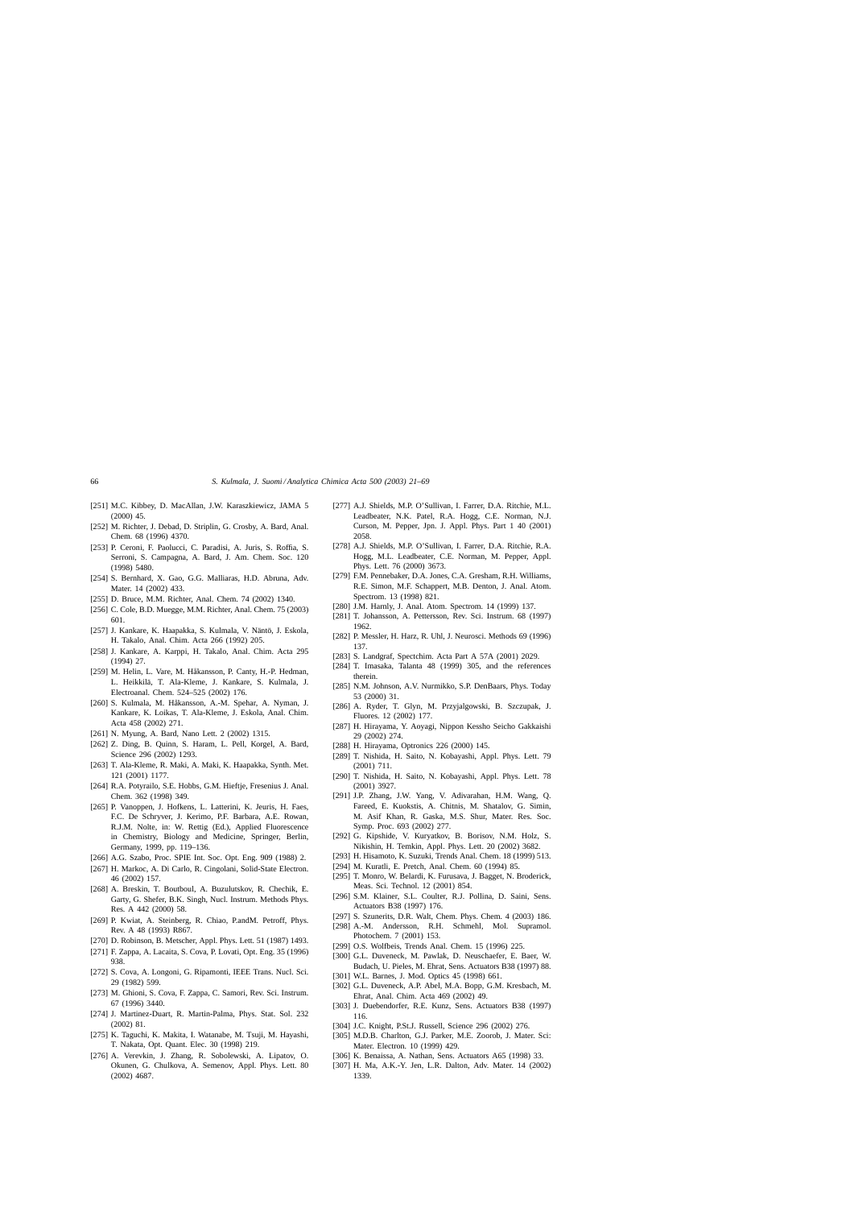- <span id="page-45-0"></span>[251] M.C. Kibbey, D. MacAllan, J.W. Karaszkiewicz, JAMA 5 (2000) 45.
- [252] M. Richter, J. Debad, D. Striplin, G. Crosby, A. Bard, Anal. Chem. 68 (1996) 4370.
- [253] P. Ceroni, F. Paolucci, C. Paradisi, A. Juris, S. Roffia, S. Serroni, S. Campagna, A. Bard, J. Am. Chem. Soc. 120 (1998) 5480.
- [254] S. Bernhard, X. Gao, G.G. Malliaras, H.D. Abruna, Adv. Mater. 14 (2002) 433.
- [255] D. Bruce, M.M. Richter, Anal. Chem. 74 (2002) 1340.
- [256] C. Cole, B.D. Muegge, M.M. Richter, Anal. Chem. 75 (2003) 601.
- [257] J. Kankare, K. Haapakka, S. Kulmala, V. Näntö, J. Eskola, H. Takalo, Anal. Chim. Acta 266 (1992) 205.
- [258] J. Kankare, A. Karppi, H. Takalo, Anal. Chim. Acta 295 (1994) 27.
- [259] M. Helin, L. Vare, M. Håkansson, P. Canty, H.-P. Hedman, L. Heikkilä, T. Ala-Kleme, J. Kankare, S. Kulmala, J. Electroanal. Chem. 524–525 (2002) 176.
- [260] S. Kulmala, M. Håkansson, A.-M. Spehar, A. Nyman, J. Kankare, K. Loikas, T. Ala-Kleme, J. Eskola, Anal. Chim. Acta 458 (2002) 271.
- [261] N. Myung, A. Bard, Nano Lett. 2 (2002) 1315.
- [262] Z. Ding, B. Quinn, S. Haram, L. Pell, Korgel, A. Bard, Science 296 (2002) 1293.
- [263] T. Ala-Kleme, R. Maki, A. Maki, K. Haapakka, Synth. Met. 121 (2001) 1177.
- [264] R.A. Potyrailo, S.E. Hobbs, G.M. Hieftje, Fresenius J. Anal. Chem. 362 (1998) 349.
- [265] P. Vanoppen, J. Hofkens, L. Latterini, K. Jeuris, H. Faes, F.C. De Schryver, J. Kerimo, P.F. Barbara, A.E. Rowan, R.J.M. Nolte, in: W. Rettig (Ed.), Applied Fluorescence in Chemistry, Biology and Medicine, Springer, Berlin, Germany, 1999, pp. 119–136.
- [266] A.G. Szabo, Proc. SPIE Int. Soc. Opt. Eng. 909 (1988) 2.
- [267] H. Markoc, A. Di Carlo, R. Cingolani, Solid-State Electron. 46 (2002) 157.
- [268] A. Breskin, T. Boutboul, A. Buzulutskov, R. Chechik, E. Garty, G. Shefer, B.K. Singh, Nucl. Instrum. Methods Phys. Res. A 442 (2000) 58.
- [269] P. Kwiat, A. Steinberg, R. Chiao, P.andM. Petroff, Phys. Rev. A 48 (1993) R867.
- [270] D. Robinson, B. Metscher, Appl. Phys. Lett. 51 (1987) 1493.
- [271] F. Zappa, A. Lacaita, S. Cova, P. Lovati, Opt. Eng. 35 (1996) 938.
- [272] S. Cova, A. Longoni, G. Ripamonti, IEEE Trans. Nucl. Sci. 29 (1982) 599.
- [273] M. Ghioni, S. Cova, F. Zappa, C. Samori, Rev. Sci. Instrum. 67 (1996) 3440.
- [274] J. Martinez-Duart, R. Martin-Palma, Phys. Stat. Sol. 232 (2002) 81.
- [275] K. Taguchi, K. Makita, I. Watanabe, M. Tsuji, M. Hayashi, T. Nakata, Opt. Quant. Elec. 30 (1998) 219.
- [276] A. Verevkin, J. Zhang, R. Sobolewski, A. Lipatov, O. Okunen, G. Chulkova, A. Semenov, Appl. Phys. Lett. 80 (2002) 4687.
- [277] A.J. Shields, M.P. O'Sullivan, I. Farrer, D.A. Ritchie, M.L. Leadbeater, N.K. Patel, R.A. Hogg, C.E. Norman, N.J. Curson, M. Pepper, Jpn. J. Appl. Phys. Part 1 40 (2001) 2058.
- [278] A.J. Shields, M.P. O'Sullivan, I. Farrer, D.A. Ritchie, R.A. Hogg, M.L. Leadbeater, C.E. Norman, M. Pepper, Appl. Phys. Lett. 76 (2000) 3673.
- [279] F.M. Pennebaker, D.A. Jones, C.A. Gresham, R.H. Williams, R.E. Simon, M.F. Schappert, M.B. Denton, J. Anal. Atom. Spectrom. 13 (1998) 821.
- [280] J.M. Harnly, J. Anal. Atom. Spectrom. 14 (1999) 137.
- [281] T. Johansson, A. Pettersson, Rev. Sci. Instrum. 68 (1997) 1962.
- [282] P. Messler, H. Harz, R. Uhl, J. Neurosci. Methods 69 (1996) 137.
- [283] S. Landgraf, Spectchim. Acta Part A 57A (2001) 2029.
- [284] T. Imasaka, Talanta 48 (1999) 305, and the references therein.
- [285] N.M. Johnson, A.V. Nurmikko, S.P. DenBaars, Phys. Today 53 (2000) 31.
- [286] A. Ryder, T. Glyn, M. Przyjalgowski, B. Szczupak, J. Fluores. 12 (2002) 177.
- [287] H. Hirayama, Y. Aoyagi, Nippon Kessho Seicho Gakkaishi 29 (2002) 274.
- [288] H. Hirayama, Optronics 226 (2000) 145.
- [289] T. Nishida, H. Saito, N. Kobayashi, Appl. Phys. Lett. 79 (2001) 711.
- [290] T. Nishida, H. Saito, N. Kobayashi, Appl. Phys. Lett. 78 (2001) 3927.
- [291] J.P. Zhang, J.W. Yang, V. Adivarahan, H.M. Wang, Q. Fareed, E. Kuokstis, A. Chitnis, M. Shatalov, G. Simin, M. Asif Khan, R. Gaska, M.S. Shur, Mater. Res. Soc. Symp. Proc. 693 (2002) 277.
- [292] G. Kipshide, V. Kuryatkov, B. Borisov, N.M. Holz, S. Nikishin, H. Temkin, Appl. Phys. Lett. 20 (2002) 3682.
- [293] H. Hisamoto, K. Suzuki, Trends Anal. Chem. 18 (1999) 513.
- [294] M. Kuratli, E. Pretch, Anal. Chem. 60 (1994) 85.
- [295] T. Monro, W. Belardi, K. Furusava, J. Bagget, N. Broderick, Meas. Sci. Technol. 12 (2001) 854.
- [296] S.M. Klainer, S.L. Coulter, R.J. Pollina, D. Saini, Sens. Actuators B38 (1997) 176.
- [297] S. Szunerits, D.R. Walt, Chem. Phys. Chem. 4 (2003) 186.
- [298] A.-M. Andersson, R.H. Schmehl, Mol. Supramol. Photochem. 7 (2001) 153.
- [299] O.S. Wolfbeis, Trends Anal. Chem. 15 (1996) 225.
- [300] G.L. Duveneck, M. Pawlak, D. Neuschaefer, E. Baer, W. Budach, U. Pieles, M. Ehrat, Sens. Actuators B38 (1997) 88.
- [301] W.L. Barnes, J. Mod. Optics 45 (1998) 661.
- [302] G.L. Duveneck, A.P. Abel, M.A. Bopp, G.M. Kresbach, M. Ehrat, Anal. Chim. Acta 469 (2002) 49.
- [303] J. Duebendorfer, R.E. Kunz, Sens. Actuators B38 (1997) 116.
- [304] J.C. Knight, P.St.J. Russell, Science 296 (2002) 276.
- [305] M.D.B. Charlton, G.J. Parker, M.E. Zoorob, J. Mater. Sci: Mater. Electron. 10 (1999) 429.
- [306] K. Benaissa, A. Nathan, Sens. Actuators A65 (1998) 33.
- [307] H. Ma, A.K.-Y. Jen, L.R. Dalton, Adv. Mater. 14 (2002) 1339.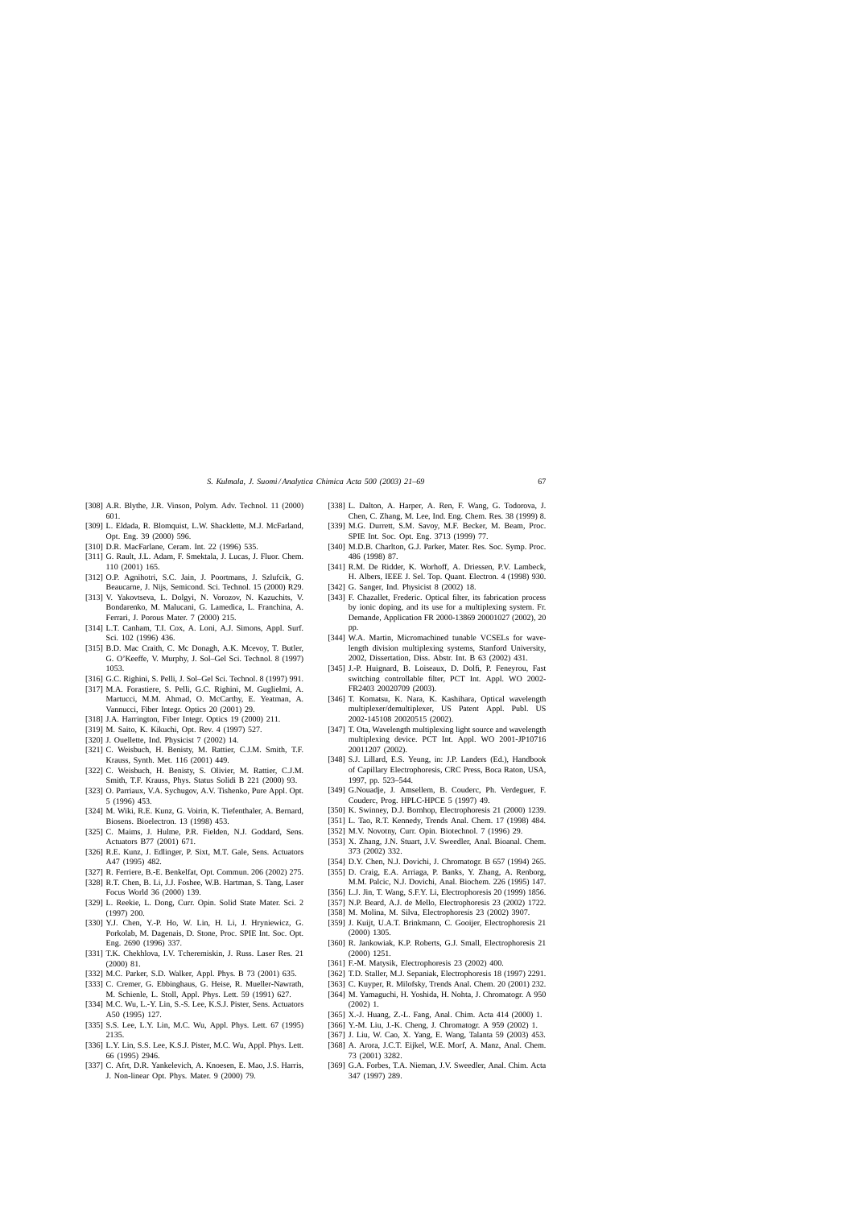- <span id="page-46-0"></span>[308] A.R. Blythe, J.R. Vinson, Polym. Adv. Technol. 11 (2000) 601.
- [309] L. Eldada, R. Blomquist, L.W. Shacklette, M.J. McFarland, Opt. Eng. 39 (2000) 596.
- [310] D.R. MacFarlane, Ceram. Int. 22 (1996) 535.
- [311] G. Rault, J.L. Adam, F. Smektala, J. Lucas, J. Fluor. Chem. 110 (2001) 165.
- [312] O.P. Agnihotri, S.C. Jain, J. Poortmans, J. Szlufcik, G. Beaucarne, J. Nijs, Semicond. Sci. Technol. 15 (2000) R29.
- [313] V. Yakovtseva, L. Dolgyi, N. Vorozov, N. Kazuchits, V. Bondarenko, M. Malucani, G. Lamedica, L. Franchina, A. Ferrari, J. Porous Mater. 7 (2000) 215.
- [314] L.T. Canham, T.I. Cox, A. Loni, A.J. Simons, Appl. Surf. Sci. 102 (1996) 436.
- [315] B.D. Mac Craith, C. Mc Donagh, A.K. Mcevoy, T. Butler, G. O'Keeffe, V. Murphy, J. Sol–Gel Sci. Technol. 8 (1997) 1053.
- [316] G.C. Righini, S. Pelli, J. Sol–Gel Sci. Technol. 8 (1997) 991.
- [317] M.A. Forastiere, S. Pelli, G.C. Righini, M. Guglielmi, A. Martucci, M.M. Ahmad, O. McCarthy, E. Yeatman, A. Vannucci, Fiber Integr. Optics 20 (2001) 29.
- [318] J.A. Harrington, Fiber Integr. Optics 19 (2000) 211.
- [319] M. Saito, K. Kikuchi, Opt. Rev. 4 (1997) 527.
- [320] J. Ouellette, Ind. Physicist 7 (2002) 14.
- [321] C. Weisbuch, H. Benisty, M. Rattier, C.J.M. Smith, T.F. Krauss, Synth. Met. 116 (2001) 449.
- [322] C. Weisbuch, H. Benisty, S. Olivier, M. Rattier, C.J.M. Smith, T.F. Krauss, Phys. Status Solidi B 221 (2000) 93.
- [323] O. Parriaux, V.A. Sychugov, A.V. Tishenko, Pure Appl. Opt. 5 (1996) 453.
- [324] M. Wiki, R.E. Kunz, G. Voirin, K. Tiefenthaler, A. Bernard, Biosens. Bioelectron. 13 (1998) 453.
- [325] C. Maims, J. Hulme, P.R. Fielden, N.J. Goddard, Sens. Actuators B77 (2001) 671.
- [326] R.E. Kunz, J. Edlinger, P. Sixt, M.T. Gale, Sens. Actuators A47 (1995) 482.
- [327] R. Ferriere, B.-E. Benkelfat, Opt. Commun. 206 (2002) 275.
- [328] R.T. Chen, B. Li, J.J. Foshee, W.B. Hartman, S. Tang, Laser Focus World 36 (2000) 139.
- [329] L. Reekie, L. Dong, Curr. Opin. Solid State Mater. Sci. 2 (1997) 200.
- [330] Y.J. Chen, Y.-P. Ho, W. Lin, H. Li, J. Hryniewicz, G. Porkolab, M. Dagenais, D. Stone, Proc. SPIE Int. Soc. Opt. Eng. 2690 (1996) 337.
- [331] T.K. Chekhlova, I.V. Tcheremiskin, J. Russ. Laser Res. 21 (2000) 81.
- [332] M.C. Parker, S.D. Walker, Appl. Phys. B 73 (2001) 635.
- [333] C. Cremer, G. Ebbinghaus, G. Heise, R. Mueller-Nawrath, M. Schienle, L. Stoll, Appl. Phys. Lett. 59 (1991) 627.
- [334] M.C. Wu, L.-Y. Lin, S.-S. Lee, K.S.J. Pister, Sens. Actuators A50 (1995) 127.
- [335] S.S. Lee, L.Y. Lin, M.C. Wu, Appl. Phys. Lett. 67 (1995) 2135.
- [336] L.Y. Lin, S.S. Lee, K.S.J. Pister, M.C. Wu, Appl. Phys. Lett. 66 (1995) 2946.
- [337] C. Afrt, D.R. Yankelevich, A. Knoesen, E. Mao, J.S. Harris, J. Non-linear Opt. Phys. Mater. 9 (2000) 79.
- [338] L. Dalton, A. Harper, A. Ren, F. Wang, G. Todorova, J. Chen, C. Zhang, M. Lee, Ind. Eng. Chem. Res. 38 (1999) 8.
- [339] M.G. Durrett, S.M. Savoy, M.F. Becker, M. Beam, Proc. SPIE Int. Soc. Opt. Eng. 3713 (1999) 77.
- [340] M.D.B. Charlton, G.J. Parker, Mater. Res. Soc. Symp. Proc. 486 (1998) 87.
- [341] R.M. De Ridder, K. Worhoff, A. Driessen, P.V. Lambeck, H. Albers, IEEE J. Sel. Top. Quant. Electron. 4 (1998) 930.
- [342] G. Sanger, Ind. Physicist 8 (2002) 18.
- [343] F. Chazallet, Frederic. Optical filter, its fabrication process by ionic doping, and its use for a multiplexing system. Fr. Demande, Application FR 2000-13869 20001027 (2002), 20 pp.
- [344] W.A. Martin, Micromachined tunable VCSELs for wavelength division multiplexing systems, Stanford University, 2002, Dissertation, Diss. Abstr. Int. B 63 (2002) 431.
- [345] J.-P. Huignard, B. Loiseaux, D. Dolfi, P. Feneyrou, Fast switching controllable filter, PCT Int. Appl. WO 2002- FR2403 20020709 (2003).
- [346] T. Komatsu, K. Nara, K. Kashihara, Optical wavelength multiplexer/demultiplexer, US Patent Appl. Publ. US 2002-145108 20020515 (2002).
- [347] T. Ota, Wavelength multiplexing light source and wavelength multiplexing device. PCT Int. Appl. WO 2001-JP10716 20011207 (2002).
- [348] S.J. Lillard, E.S. Yeung, in: J.P. Landers (Ed.), Handbook of Capillary Electrophoresis, CRC Press, Boca Raton, USA, 1997, pp. 523–544.
- [349] G.Nouadje, J. Amsellem, B. Couderc, Ph. Verdeguer, F. Couderc, Prog. HPLC-HPCE 5 (1997) 49.
- [350] K. Swinney, D.J. Bornhop, Electrophoresis 21 (2000) 1239.
- [351] L. Tao, R.T. Kennedy, Trends Anal. Chem. 17 (1998) 484.
- [352] M.V. Novotny, Curr. Opin. Biotechnol. 7 (1996) 29.
- [353] X. Zhang, J.N. Stuart, J.V. Sweedler, Anal. Bioanal. Chem. 373 (2002) 332.
- [354] D.Y. Chen, N.J. Dovichi, J. Chromatogr. B 657 (1994) 265.
- [355] D. Craig, E.A. Arriaga, P. Banks, Y. Zhang, A. Renborg, M.M. Palcic, N.J. Dovichi, Anal. Biochem. 226 (1995) 147.
- [356] L.J. Jin, T. Wang, S.F.Y. Li, Electrophoresis 20 (1999) 1856.
- [357] N.P. Beard, A.J. de Mello, Electrophoresis 23 (2002) 1722.
- [358] M. Molina, M. Silva, Electrophoresis 23 (2002) 3907.
- [359] J. Kuijt, U.A.T. Brinkmann, C. Gooijer, Electrophoresis 21 (2000) 1305.
- [360] R. Jankowiak, K.P. Roberts, G.J. Small, Electrophoresis 21 (2000) 1251.
- [361] F.-M. Matysik, Electrophoresis 23 (2002) 400.
- [362] T.D. Staller, M.J. Sepaniak, Electrophoresis 18 (1997) 2291.
- [363] C. Kuyper, R. Milofsky, Trends Anal. Chem. 20 (2001) 232.
- [364] M. Yamaguchi, H. Yoshida, H. Nohta, J. Chromatogr. A 950 (2002) 1.
- [365] X.-J. Huang, Z.-L. Fang, Anal. Chim. Acta 414 (2000) 1.
- [366] Y.-M. Liu, J.-K. Cheng, J. Chromatogr. A 959 (2002) 1.
- [367] J. Liu, W. Cao, X. Yang, E. Wang, Talanta 59 (2003) 453.
- [368] A. Arora, J.C.T. Eijkel, W.E. Morf, A. Manz, Anal. Chem. 73 (2001) 3282.
- [369] G.A. Forbes, T.A. Nieman, J.V. Sweedler, Anal. Chim. Acta 347 (1997) 289.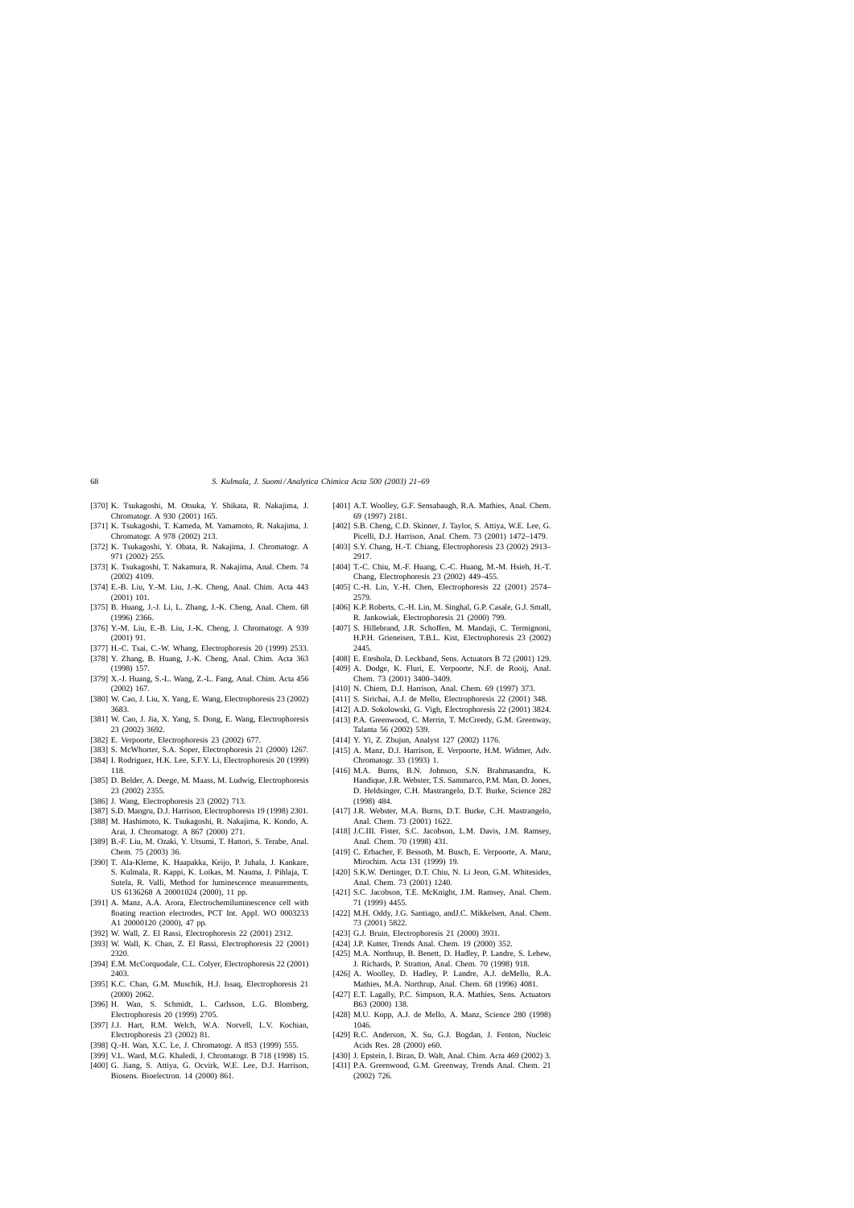- <span id="page-47-0"></span>[370] K. Tsukagoshi, M. Otsuka, Y. Shikata, R. Nakajima, J. Chromatogr. A 930 (2001) 165.
- [371] K. Tsukagoshi, T. Kameda, M. Yamamoto, R. Nakajima, J. Chromatogr. A 978 (2002) 213.
- [372] K. Tsukagoshi, Y. Obata, R. Nakajima, J. Chromatogr. A 971 (2002) 255.
- [373] K. Tsukagoshi, T. Nakamura, R. Nakajima, Anal. Chem. 74 (2002) 4109.
- [374] E.-B. Liu, Y.-M. Liu, J.-K. Cheng, Anal. Chim. Acta 443 (2001) 101.
- [375] B. Huang, J.-J. Li, L. Zhang, J.-K. Cheng, Anal. Chem. 68 (1996) 2366.
- [376] Y.-M. Liu, E.-B. Liu, J.-K. Cheng, J. Chromatogr. A 939 (2001) 91.
- [377] H.-C. Tsai, C.-W. Whang, Electrophoresis 20 (1999) 2533.
- [378] Y. Zhang, B. Huang, J.-K. Cheng, Anal. Chim. Acta 363 (1998) 157.
- [379] X.-J. Huang, S.-L. Wang, Z.-L. Fang, Anal. Chim. Acta 456 (2002) 167.
- [380] W. Cao, J. Liu, X. Yang, E. Wang, Electrophoresis 23 (2002) 3683.
- [381] W. Cao, J. Jia, X. Yang, S. Dong, E. Wang, Electrophoresis 23 (2002) 3692.
- [382] E. Verpoorte, Electrophoresis 23 (2002) 677.
- [383] S. McWhorter, S.A. Soper, Electrophoresis 21 (2000) 1267.
- [384] I. Rodriguez, H.K. Lee, S.F.Y. Li, Electrophoresis 20 (1999) 118.
- [385] D. Belder, A. Deege, M. Maass, M. Ludwig, Electrophoresis 23 (2002) 2355.
- [386] J. Wang, Electrophoresis 23 (2002) 713.
- [387] S.D. Mangru, D.J. Harrison, Electrophoresis 19 (1998) 2301.
- [388] M. Hashimoto, K. Tsukagoshi, R. Nakajima, K. Kondo, A. Arai, J. Chromatogr. A 867 (2000) 271.
- [389] B.-F. Liu, M. Ozaki, Y. Utsumi, T. Hattori, S. Terabe, Anal. Chem. 75 (2003) 36.
- [390] T. Ala-Kleme, K. Haapakka, Keijo, P. Juhala, J. Kankare, S. Kulmala, R. Kappi, K. Loikas, M. Nauma, J. Pihlaja, T. Sutela, R. Valli, Method for luminescence measurements, US 6136268 A 20001024 (2000), 11 pp.
- [391] A. Manz, A.A. Arora, Electrochemiluminescence cell with floating reaction electrodes, PCT Int. Appl. WO 0003233 A1 20000120 (2000), 47 pp.
- [392] W. Wall, Z. El Rassi, Electrophoresis 22 (2001) 2312.
- [393] W. Wall, K. Chan, Z. El Rassi, Electrophoresis 22 (2001) 2320.
- [394] E.M. McCorquodale, C.L. Colyer, Electrophoresis 22 (2001) 2403.
- [395] K.C. Chan, G.M. Muschik, H.J. Issaq, Electrophoresis 21 (2000) 2062.
- [396] H. Wan, S. Schmidt, L. Carlsson, L.G. Blomberg, Electrophoresis 20 (1999) 2705.
- [397] J.J. Hart, R.M. Welch, W.A. Norvell, L.V. Kochian, Electrophoresis 23 (2002) 81.
- [398] O.-H. Wan, X.C. Le, J. Chromatogr. A 853 (1999) 555.
- [399] V.L. Ward, M.G. Khaledi, J. Chromatogr. B 718 (1998) 15.
- [400] G. Jiang, S. Attiya, G. Ocvirk, W.E. Lee, D.J. Harrison, Biosens. Bioelectron. 14 (2000) 861.
- [401] A.T. Woolley, G.F. Sensabaugh, R.A. Mathies, Anal. Chem. 69 (1997) 2181.
- [402] S.B. Cheng, C.D. Skinner, J. Taylor, S. Attiya, W.E. Lee, G. Picelli, D.J. Harrison, Anal. Chem. 73 (2001) 1472–1479.
- [403] S.Y. Chang, H.-T. Chiang, Electrophoresis 23 (2002) 2913– 2917.
- [404] T.-C. Chiu, M.-F. Huang, C.-C. Huang, M.-M. Hsieh, H.-T. Chang, Electrophoresis 23 (2002) 449–455.
- [405] C.-H. Lin, Y.-H. Chen, Electrophoresis 22 (2001) 2574– 2579.
- [406] K.P. Roberts, C.-H. Lin, M. Singhal, G.P. Casale, G.J. Small, R. Jankowiak, Electrophoresis 21 (2000) 799.
- [407] S. Hillebrand, J.R. Schoffen, M. Mandaji, C. Termignoni, H.P.H. Grieneisen, T.B.L. Kist, Electrophoresis 23 (2002) 2445.
- [408] E. Eteshola, D. Leckband, Sens. Actuators B 72 (2001) 129.
- [409] A. Dodge, K. Fluri, E. Verpoorte, N.F. de Rooij, Anal. Chem. 73 (2001) 3400–3409.
- [410] N. Chiem, D.J. Harrison, Anal. Chem. 69 (1997) 373.
- [411] S. Sirichai, A.J. de Mello, Electrophoresis 22 (2001) 348.
- [412] A.D. Sokolowski, G. Vigh, Electrophoresis 22 (2001) 3824.
- [413] P.A. Greenwood, C. Merrin, T. McCreedy, G.M. Greenway, Talanta 56 (2002) 539.
- [414] Y. Yi, Z. Zhujun, Analyst 127 (2002) 1176.
- [415] A. Manz, D.J. Harrison, E. Verpoorte, H.M. Widmer, Adv. Chromatogr. 33 (1993) 1.
- [416] M.A. Burns, B.N. Johnson, S.N. Brahmasandra, K. Handique, J.R. Webster, T.S. Sammarco, P.M. Man, D. Jones, D. Heldsinger, C.H. Mastrangelo, D.T. Burke, Science 282 (1998) 484.
- [417] J.R. Webster, M.A. Burns, D.T. Burke, C.H. Mastrangelo, Anal. Chem. 73 (2001) 1622.
- [418] J.C.III. Fister, S.C. Jacobson, L.M. Davis, J.M. Ramsey, Anal. Chem. 70 (1998) 431.
- [419] C. Erbacher, F. Bessoth, M. Busch, E. Verpoorte, A. Manz, Mirochim. Acta 131 (1999) 19.
- [420] S.K.W. Dertinger, D.T. Chiu, N. Li Jeon, G.M. Whitesides, Anal. Chem. 73 (2001) 1240.
- [421] S.C. Jacobson, T.E. McKnight, J.M. Ramsey, Anal. Chem. 71 (1999) 4455.
- [422] M.H. Oddy, J.G. Santiago, and J.C. Mikkelsen, Anal. Chem. 73 (2001) 5822.
- [423] G.J. Bruin, Electrophoresis 21 (2000) 3931.
- [424] J.P. Kutter, Trends Anal. Chem. 19 (2000) 352.
- [425] M.A. Northrup, B. Benett, D. Hadley, P. Landre, S. Lehew, J. Richards, P. Stratton, Anal. Chem. 70 (1998) 918.
- [426] A. Woolley, D. Hadley, P. Landre, A.J. deMello, R.A. Mathies, M.A. Northrup, Anal. Chem. 68 (1996) 4081.
- [427] E.T. Lagally, P.C. Simpson, R.A. Mathies, Sens. Actuators B63 (2000) 138.
- [428] M.U. Kopp, A.J. de Mello, A. Manz, Science 280 (1998) 1046.
- [429] R.C. Anderson, X. Su, G.J. Bogdan, J. Fenton, Nucleic Acids Res. 28 (2000) e60.
- [430] J. Epstein, I. Biran, D. Walt, Anal. Chim. Acta 469 (2002) 3.
- [431] P.A. Greenwood, G.M. Greenway, Trends Anal. Chem. 21 (2002) 726.